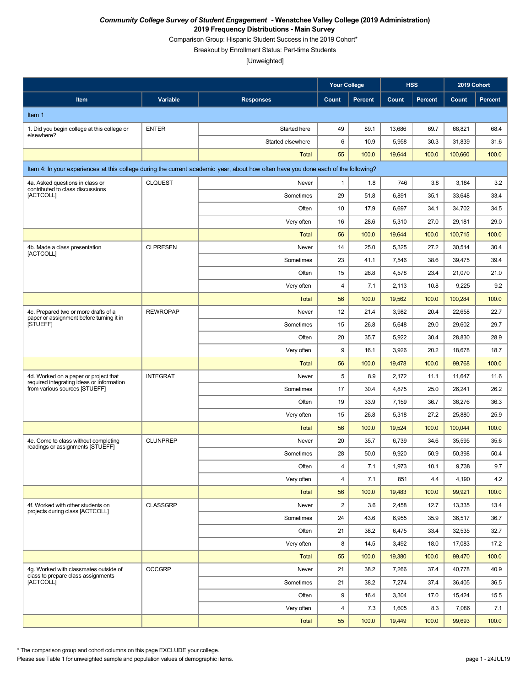Comparison Group: Hispanic Student Success in the 2019 Cohort\*

Breakout by Enrollment Status: Part-time Students

[Unweighted]

|                                                                                    |                 |                                                                                                                                    | <b>Your College</b>     |                |        | <b>HSS</b>     | 2019 Cohort |                |
|------------------------------------------------------------------------------------|-----------------|------------------------------------------------------------------------------------------------------------------------------------|-------------------------|----------------|--------|----------------|-------------|----------------|
| Item                                                                               | Variable        | <b>Responses</b>                                                                                                                   | Count                   | <b>Percent</b> | Count  | <b>Percent</b> | Count       | <b>Percent</b> |
| Item 1                                                                             |                 |                                                                                                                                    |                         |                |        |                |             |                |
| 1. Did you begin college at this college or                                        | <b>ENTER</b>    | Started here                                                                                                                       | 49                      | 89.1           | 13,686 | 69.7           | 68,821      | 68.4           |
| elsewhere?                                                                         |                 | Started elsewhere                                                                                                                  | 6                       | 10.9           | 5,958  | 30.3           | 31,839      | 31.6           |
|                                                                                    |                 | <b>Total</b>                                                                                                                       | 55                      | 100.0          | 19,644 | 100.0          | 100,660     | 100.0          |
|                                                                                    |                 | Item 4: In your experiences at this college during the current academic year, about how often have you done each of the following? |                         |                |        |                |             |                |
| 4a. Asked questions in class or                                                    | <b>CLQUEST</b>  | Never                                                                                                                              | $\mathbf{1}$            | 1.8            | 746    | 3.8            | 3,184       | 3.2            |
| contributed to class discussions<br>[ACTCOLL]                                      |                 | Sometimes                                                                                                                          | 29                      | 51.8           | 6,891  | 35.1           | 33,648      | 33.4           |
|                                                                                    |                 | Often                                                                                                                              | 10                      | 17.9           | 6,697  | 34.1           | 34,702      | 34.5           |
|                                                                                    |                 | Very often                                                                                                                         | 16                      | 28.6           | 5,310  | 27.0           | 29,181      | 29.0           |
|                                                                                    |                 | <b>Total</b>                                                                                                                       | 56                      | 100.0          | 19,644 | 100.0          | 100,715     | 100.0          |
| 4b. Made a class presentation                                                      | <b>CLPRESEN</b> | Never                                                                                                                              | 14                      | 25.0           | 5,325  | 27.2           | 30,514      | 30.4           |
| [ACTCOLL]                                                                          |                 | Sometimes                                                                                                                          | 23                      | 41.1           | 7,546  | 38.6           | 39,475      | 39.4           |
|                                                                                    |                 | Often                                                                                                                              | 15                      | 26.8           | 4,578  | 23.4           | 21,070      | 21.0           |
|                                                                                    |                 | Very often                                                                                                                         | 4                       | 7.1            | 2,113  | 10.8           | 9,225       | 9.2            |
|                                                                                    |                 | <b>Total</b>                                                                                                                       | 56                      | 100.0          | 19,562 | 100.0          | 100,284     | 100.0          |
| 4c. Prepared two or more drafts of a<br>paper or assignment before turning it in   | <b>REWROPAP</b> | Never                                                                                                                              | 12                      | 21.4           | 3,982  | 20.4           | 22,658      | 22.7           |
| <b>ISTUEFFI</b>                                                                    |                 | Sometimes                                                                                                                          | 15                      | 26.8           | 5,648  | 29.0           | 29,602      | 29.7           |
|                                                                                    |                 | Often                                                                                                                              | 20                      | 35.7           | 5,922  | 30.4           | 28,830      | 28.9           |
|                                                                                    |                 | Very often                                                                                                                         | 9                       | 16.1           | 3,926  | 20.2           | 18,678      | 18.7           |
|                                                                                    |                 | <b>Total</b>                                                                                                                       | 56                      | 100.0          | 19,478 | 100.0          | 99,768      | 100.0          |
| 4d. Worked on a paper or project that<br>required integrating ideas or information | <b>INTEGRAT</b> | Never                                                                                                                              | 5                       | 8.9            | 2,172  | 11.1           | 11,647      | 11.6           |
| from various sources [STUEFF]                                                      |                 | Sometimes                                                                                                                          | 17                      | 30.4           | 4,875  | 25.0           | 26,241      | 26.2           |
|                                                                                    |                 | Often                                                                                                                              | 19                      | 33.9           | 7,159  | 36.7           | 36,276      | 36.3           |
|                                                                                    |                 | Very often                                                                                                                         | 15                      | 26.8           | 5,318  | 27.2           | 25,880      | 25.9           |
|                                                                                    |                 | <b>Total</b>                                                                                                                       | 56                      | 100.0          | 19,524 | 100.0          | 100,044     | 100.0          |
| 4e. Come to class without completing<br>readings or assignments [STUEFF]           | <b>CLUNPREP</b> | Never                                                                                                                              | 20                      | 35.7           | 6,739  | 34.6           | 35,595      | 35.6           |
|                                                                                    |                 | Sometimes                                                                                                                          | 28                      | 50.0           | 9,920  | 50.9           | 50,398      | 50.4           |
|                                                                                    |                 | Often                                                                                                                              | 4                       | 7.1            | 1,973  | 10.1           | 9,738       | 9.7            |
|                                                                                    |                 | Very often                                                                                                                         | $\overline{\mathbf{4}}$ | 7.1            | 851    | 4.4            | 4,190       | 4.2            |
|                                                                                    |                 | <b>Total</b>                                                                                                                       | 56                      | 100.0          | 19,483 | 100.0          | 99,921      | 100.0          |
| 4f. Worked with other students on<br>projects during class [ACTCOLL]               | <b>CLASSGRP</b> | Never                                                                                                                              | 2                       | 3.6            | 2,458  | 12.7           | 13,335      | 13.4           |
|                                                                                    |                 | Sometimes                                                                                                                          | 24                      | 43.6           | 6,955  | 35.9           | 36,517      | 36.7           |
|                                                                                    |                 | Often                                                                                                                              | 21                      | 38.2           | 6,475  | 33.4           | 32,535      | 32.7           |
|                                                                                    |                 | Very often                                                                                                                         | 8                       | 14.5           | 3,492  | 18.0           | 17,083      | 17.2           |
|                                                                                    |                 | <b>Total</b>                                                                                                                       | 55                      | 100.0          | 19,380 | 100.0          | 99,470      | 100.0          |
| 4g. Worked with classmates outside of<br>class to prepare class assignments        | <b>OCCGRP</b>   | Never                                                                                                                              | 21                      | 38.2           | 7,266  | 37.4           | 40,778      | 40.9           |
| [ACTCOLL]                                                                          |                 | Sometimes                                                                                                                          | 21                      | 38.2           | 7,274  | 37.4           | 36,405      | 36.5           |
|                                                                                    |                 | Often                                                                                                                              | 9                       | 16.4           | 3,304  | 17.0           | 15,424      | 15.5           |
|                                                                                    |                 | Very often                                                                                                                         | 4                       | 7.3            | 1,605  | 8.3            | 7,086       | 7.1            |
|                                                                                    |                 | <b>Total</b>                                                                                                                       | 55                      | 100.0          | 19,449 | 100.0          | 99,693      | 100.0          |

\* The comparison group and cohort columns on this page EXCLUDE your college.

Please see Table 1 for unweighted sample and population values of demographic items. page 1 - 24JUL19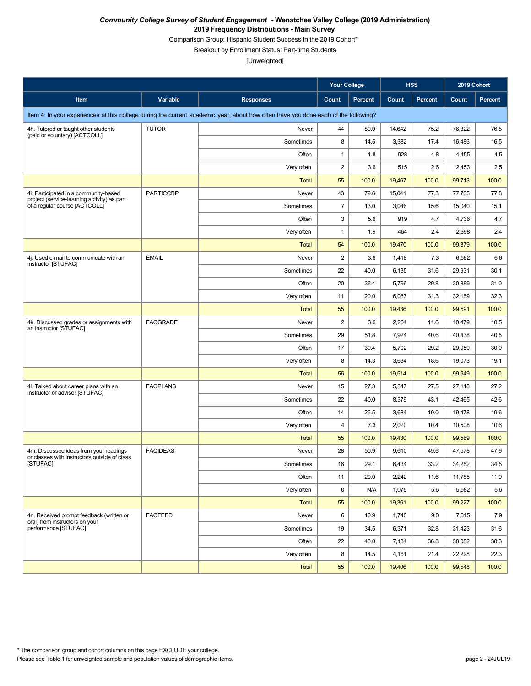Comparison Group: Hispanic Student Success in the 2019 Cohort\*

Breakout by Enrollment Status: Part-time Students

|                                                                                        |                  |                                                                                                                                    | <b>Your College</b> |         |        | <b>HSS</b>     | 2019 Cohort |                |
|----------------------------------------------------------------------------------------|------------------|------------------------------------------------------------------------------------------------------------------------------------|---------------------|---------|--------|----------------|-------------|----------------|
| Item                                                                                   | Variable         | <b>Responses</b>                                                                                                                   | Count               | Percent | Count  | <b>Percent</b> | Count       | <b>Percent</b> |
|                                                                                        |                  | Item 4: In your experiences at this college during the current academic year, about how often have you done each of the following? |                     |         |        |                |             |                |
| 4h. Tutored or taught other students                                                   | <b>TUTOR</b>     | Never                                                                                                                              | 44                  | 80.0    | 14,642 | 75.2           | 76,322      | 76.5           |
| (paid or voluntary) [ACTCOLL]                                                          |                  | Sometimes                                                                                                                          | 8                   | 14.5    | 3,382  | 17.4           | 16,483      | 16.5           |
|                                                                                        |                  | Often                                                                                                                              | 1                   | 1.8     | 928    | 4.8            | 4,455       | 4.5            |
|                                                                                        |                  | Very often                                                                                                                         | 2                   | 3.6     | 515    | 2.6            | 2,453       | 2.5            |
|                                                                                        |                  | <b>Total</b>                                                                                                                       | 55                  | 100.0   | 19,467 | 100.0          | 99,713      | 100.0          |
| 4i. Participated in a community-based<br>project (service-learning activity) as part   | <b>PARTICCBP</b> | Never                                                                                                                              | 43                  | 79.6    | 15,041 | 77.3           | 77,705      | 77.8           |
| of a regular course [ACTCOLL]                                                          |                  | Sometimes                                                                                                                          | $\overline{7}$      | 13.0    | 3,046  | 15.6           | 15,040      | 15.1           |
|                                                                                        |                  | Often                                                                                                                              | 3                   | 5.6     | 919    | 4.7            | 4,736       | 4.7            |
|                                                                                        |                  | Very often                                                                                                                         | $\mathbf{1}$        | 1.9     | 464    | 2.4            | 2,398       | 2.4            |
|                                                                                        |                  | <b>Total</b>                                                                                                                       | 54                  | 100.0   | 19,470 | 100.0          | 99,879      | 100.0          |
| 4j. Used e-mail to communicate with an<br>instructor [STUFAC]                          | <b>EMAIL</b>     | Never                                                                                                                              | 2                   | 3.6     | 1,418  | 7.3            | 6,582       | 6.6            |
|                                                                                        |                  | Sometimes                                                                                                                          | 22                  | 40.0    | 6,135  | 31.6           | 29,931      | 30.1           |
|                                                                                        |                  | Often                                                                                                                              | 20                  | 36.4    | 5,796  | 29.8           | 30,889      | 31.0           |
|                                                                                        |                  | Very often                                                                                                                         | 11                  | 20.0    | 6,087  | 31.3           | 32,189      | 32.3           |
|                                                                                        |                  | Total                                                                                                                              | 55                  | 100.0   | 19,436 | 100.0          | 99,591      | 100.0          |
| 4k. Discussed grades or assignments with<br>an instructor [STUFAC]                     | <b>FACGRADE</b>  | Never                                                                                                                              | 2                   | 3.6     | 2,254  | 11.6           | 10,479      | 10.5           |
|                                                                                        |                  | Sometimes                                                                                                                          | 29                  | 51.8    | 7,924  | 40.6           | 40,438      | 40.5           |
|                                                                                        |                  | Often                                                                                                                              | 17                  | 30.4    | 5,702  | 29.2           | 29,959      | 30.0           |
|                                                                                        |                  | Very often                                                                                                                         | 8                   | 14.3    | 3,634  | 18.6           | 19,073      | 19.1           |
|                                                                                        |                  | <b>Total</b>                                                                                                                       | 56                  | 100.0   | 19,514 | 100.0          | 99,949      | 100.0          |
| 4I. Talked about career plans with an<br>instructor or advisor [STUFAC]                | <b>FACPLANS</b>  | Never                                                                                                                              | 15                  | 27.3    | 5,347  | 27.5           | 27,118      | 27.2           |
|                                                                                        |                  | Sometimes                                                                                                                          | 22                  | 40.0    | 8,379  | 43.1           | 42,465      | 42.6           |
|                                                                                        |                  | Often                                                                                                                              | 14                  | 25.5    | 3,684  | 19.0           | 19,478      | 19.6           |
|                                                                                        |                  | Very often                                                                                                                         | 4                   | 7.3     | 2,020  | 10.4           | 10,508      | 10.6           |
|                                                                                        |                  | Total                                                                                                                              | 55                  | 100.0   | 19,430 | 100.0          | 99,569      | 100.0          |
| 4m. Discussed ideas from your readings<br>or classes with instructors outside of class | <b>FACIDEAS</b>  | Never                                                                                                                              | 28                  | 50.9    | 9,610  | 49.6           | 47.578      | 47.9           |
| [STUFAC]                                                                               |                  | Sometimes                                                                                                                          | 16                  | 29.1    | 6,434  | 33.2           | 34,282      | 34.5           |
|                                                                                        |                  | Often                                                                                                                              | 11                  | 20.0    | 2,242  | 11.6           | 11,785      | 11.9           |
|                                                                                        |                  | Very often                                                                                                                         | $\mathbf 0$         | N/A     | 1,075  | 5.6            | 5,582       | 5.6            |
|                                                                                        |                  | <b>Total</b>                                                                                                                       | 55                  | 100.0   | 19,361 | 100.0          | 99,227      | 100.0          |
| 4n. Received prompt feedback (written or<br>oral) from instructors on your             | <b>FACFEED</b>   | Never                                                                                                                              | 6                   | 10.9    | 1,740  | 9.0            | 7,815       | 7.9            |
| performance [STUFAC]                                                                   |                  | Sometimes                                                                                                                          | 19                  | 34.5    | 6,371  | 32.8           | 31,423      | 31.6           |
|                                                                                        |                  | Often                                                                                                                              | 22                  | 40.0    | 7,134  | 36.8           | 38,082      | 38.3           |
|                                                                                        |                  | Very often                                                                                                                         | 8                   | 14.5    | 4,161  | 21.4           | 22,228      | 22.3           |
|                                                                                        |                  | <b>Total</b>                                                                                                                       | 55                  | 100.0   | 19,406 | 100.0          | 99,548      | 100.0          |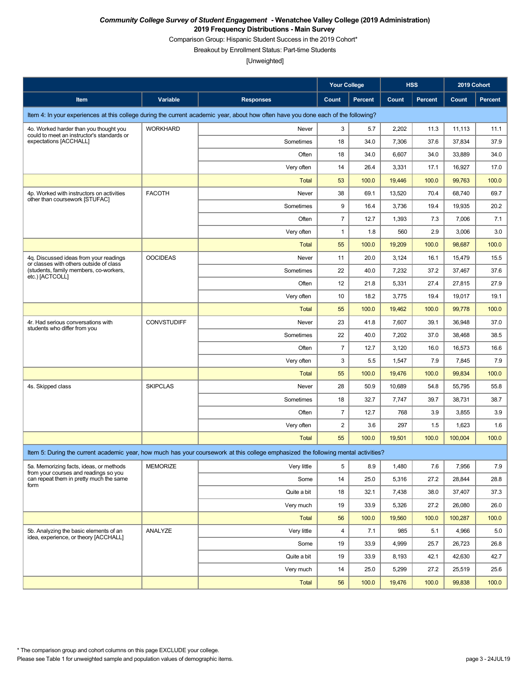Comparison Group: Hispanic Student Success in the 2019 Cohort\*

Breakout by Enrollment Status: Part-time Students

|                                                                                   |                    |                                                                                                                                    | <b>Your College</b> |         |        | <b>HSS</b>     | 2019 Cohort |         |
|-----------------------------------------------------------------------------------|--------------------|------------------------------------------------------------------------------------------------------------------------------------|---------------------|---------|--------|----------------|-------------|---------|
| Item                                                                              | Variable           | <b>Responses</b>                                                                                                                   | Count               | Percent | Count  | <b>Percent</b> | Count       | Percent |
|                                                                                   |                    | Item 4: In your experiences at this college during the current academic year, about how often have you done each of the following? |                     |         |        |                |             |         |
| 4o. Worked harder than you thought you                                            | <b>WORKHARD</b>    | Never                                                                                                                              | 3                   | 5.7     | 2,202  | 11.3           | 11,113      | 11.1    |
| could to meet an instructor's standards or<br>expectations [ACCHALL]              |                    | Sometimes                                                                                                                          | 18                  | 34.0    | 7,306  | 37.6           | 37,834      | 37.9    |
|                                                                                   |                    | Often                                                                                                                              | 18                  | 34.0    | 6,607  | 34.0           | 33,889      | 34.0    |
|                                                                                   |                    | Very often                                                                                                                         | 14                  | 26.4    | 3,331  | 17.1           | 16,927      | 17.0    |
|                                                                                   |                    | <b>Total</b>                                                                                                                       | 53                  | 100.0   | 19,446 | 100.0          | 99,763      | 100.0   |
| 4p. Worked with instructors on activities<br>other than coursework [STUFAC]       | <b>FACOTH</b>      | Never                                                                                                                              | 38                  | 69.1    | 13,520 | 70.4           | 68,740      | 69.7    |
|                                                                                   |                    | Sometimes                                                                                                                          | 9                   | 16.4    | 3,736  | 19.4           | 19,935      | 20.2    |
|                                                                                   |                    | Often                                                                                                                              | $\boldsymbol{7}$    | 12.7    | 1,393  | 7.3            | 7,006       | 7.1     |
|                                                                                   |                    | Very often                                                                                                                         | $\mathbf{1}$        | 1.8     | 560    | 2.9            | 3,006       | 3.0     |
|                                                                                   |                    | <b>Total</b>                                                                                                                       | 55                  | 100.0   | 19,209 | 100.0          | 98,687      | 100.0   |
| 4q. Discussed ideas from your readings<br>or classes with others outside of class | <b>OOCIDEAS</b>    | Never                                                                                                                              | 11                  | 20.0    | 3,124  | 16.1           | 15,479      | 15.5    |
| (students, family members, co-workers,<br>etc.) [ACTCOLL]                         |                    | Sometimes                                                                                                                          | 22                  | 40.0    | 7,232  | 37.2           | 37,467      | 37.6    |
|                                                                                   |                    | Often                                                                                                                              | 12                  | 21.8    | 5,331  | 27.4           | 27,815      | 27.9    |
|                                                                                   |                    | Very often                                                                                                                         | 10                  | 18.2    | 3,775  | 19.4           | 19,017      | 19.1    |
|                                                                                   |                    | <b>Total</b>                                                                                                                       | 55                  | 100.0   | 19,462 | 100.0          | 99,778      | 100.0   |
| 4r. Had serious conversations with<br>students who differ from you                | <b>CONVSTUDIFF</b> | Never                                                                                                                              | 23                  | 41.8    | 7,607  | 39.1           | 36,948      | 37.0    |
|                                                                                   |                    | Sometimes                                                                                                                          | 22                  | 40.0    | 7,202  | 37.0           | 38,468      | 38.5    |
|                                                                                   |                    | Often                                                                                                                              | $\overline{7}$      | 12.7    | 3,120  | 16.0           | 16,573      | 16.6    |
|                                                                                   |                    | Very often                                                                                                                         | 3                   | 5.5     | 1,547  | 7.9            | 7,845       | 7.9     |
|                                                                                   |                    | <b>Total</b>                                                                                                                       | 55                  | 100.0   | 19,476 | 100.0          | 99,834      | 100.0   |
| 4s. Skipped class                                                                 | <b>SKIPCLAS</b>    | Never                                                                                                                              | 28                  | 50.9    | 10,689 | 54.8           | 55,795      | 55.8    |
|                                                                                   |                    | Sometimes                                                                                                                          | 18                  | 32.7    | 7,747  | 39.7           | 38,731      | 38.7    |
|                                                                                   |                    | Often                                                                                                                              | $\overline{7}$      | 12.7    | 768    | 3.9            | 3,855       | 3.9     |
|                                                                                   |                    | Very often                                                                                                                         | $\boldsymbol{2}$    | 3.6     | 297    | 1.5            | 1,623       | 1.6     |
|                                                                                   |                    | <b>Total</b>                                                                                                                       | 55                  | 100.0   | 19,501 | 100.0          | 100,004     | 100.0   |
|                                                                                   |                    | Item 5: During the current academic year, how much has your coursework at this college emphasized the following mental activities? |                     |         |        |                |             |         |
| 5a. Memorizing facts, ideas, or methods<br>from your courses and readings so you  | <b>MEMORIZE</b>    | Very little                                                                                                                        | 5                   | 8.9     | 1,480  | 7.6            | 7,956       | 7.9     |
| can repeat them in pretty much the same<br>form                                   |                    | Some                                                                                                                               | 14                  | 25.0    | 5,316  | 27.2           | 28,844      | 28.8    |
|                                                                                   |                    | Quite a bit                                                                                                                        | 18                  | 32.1    | 7,438  | 38.0           | 37,407      | 37.3    |
|                                                                                   |                    | Very much                                                                                                                          | 19                  | 33.9    | 5,326  | 27.2           | 26,080      | 26.0    |
|                                                                                   |                    | <b>Total</b>                                                                                                                       | 56                  | 100.0   | 19,560 | 100.0          | 100,287     | 100.0   |
| 5b. Analyzing the basic elements of an<br>idea, experience, or theory [ACCHALL]   | ANALYZE            | Very little                                                                                                                        | $\overline{4}$      | 7.1     | 985    | 5.1            | 4,966       | 5.0     |
|                                                                                   |                    | Some                                                                                                                               | 19                  | 33.9    | 4,999  | 25.7           | 26,723      | 26.8    |
|                                                                                   |                    | Quite a bit                                                                                                                        | 19                  | 33.9    | 8,193  | 42.1           | 42,630      | 42.7    |
|                                                                                   |                    | Very much                                                                                                                          | 14                  | 25.0    | 5,299  | 27.2           | 25,519      | 25.6    |
|                                                                                   |                    | Total                                                                                                                              | 56                  | 100.0   | 19,476 | 100.0          | 99,838      | 100.0   |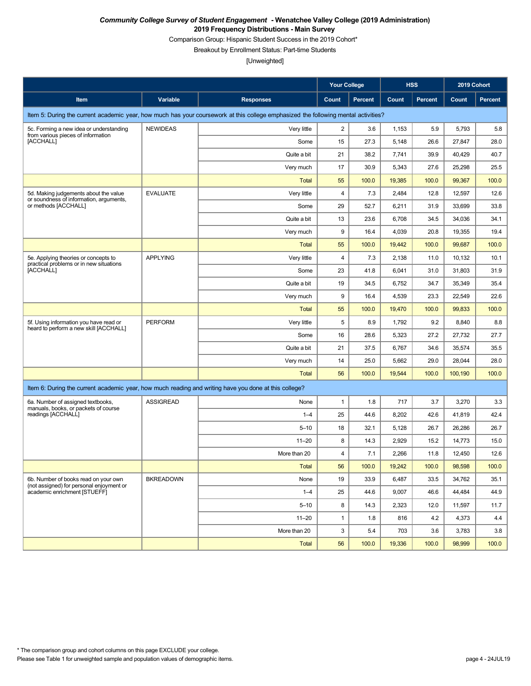Comparison Group: Hispanic Student Success in the 2019 Cohort\*

Breakout by Enrollment Status: Part-time Students

|                                                                                                       |                  |                                                                                                                                    | <b>Your College</b> |                |        | <b>HSS</b>     | 2019 Cohort |                |
|-------------------------------------------------------------------------------------------------------|------------------|------------------------------------------------------------------------------------------------------------------------------------|---------------------|----------------|--------|----------------|-------------|----------------|
| Item                                                                                                  | Variable         | <b>Responses</b>                                                                                                                   | Count               | <b>Percent</b> | Count  | <b>Percent</b> | Count       | <b>Percent</b> |
|                                                                                                       |                  | Item 5: During the current academic year, how much has your coursework at this college emphasized the following mental activities? |                     |                |        |                |             |                |
| 5c. Forming a new idea or understanding<br>from various pieces of information                         | <b>NEWIDEAS</b>  | Very little                                                                                                                        | $\overline{c}$      | 3.6            | 1,153  | 5.9            | 5,793       | 5.8            |
| [ACCHALL]                                                                                             |                  | Some                                                                                                                               | 15                  | 27.3           | 5,148  | 26.6           | 27,847      | 28.0           |
|                                                                                                       |                  | Quite a bit                                                                                                                        | 21                  | 38.2           | 7,741  | 39.9           | 40,429      | 40.7           |
|                                                                                                       |                  | Very much                                                                                                                          | 17                  | 30.9           | 5,343  | 27.6           | 25,298      | 25.5           |
|                                                                                                       |                  | <b>Total</b>                                                                                                                       | 55                  | 100.0          | 19,385 | 100.0          | 99,367      | 100.0          |
| 5d. Making judgements about the value<br>or soundness of information, arguments,                      | <b>EVALUATE</b>  | Very little                                                                                                                        | 4                   | 7.3            | 2,484  | 12.8           | 12,597      | 12.6           |
| or methods [ACCHALL]                                                                                  |                  | Some                                                                                                                               | 29                  | 52.7           | 6,211  | 31.9           | 33,699      | 33.8           |
|                                                                                                       |                  | Quite a bit                                                                                                                        | 13                  | 23.6           | 6,708  | 34.5           | 34,036      | 34.1           |
|                                                                                                       |                  | Very much                                                                                                                          | 9                   | 16.4           | 4,039  | 20.8           | 19,355      | 19.4           |
|                                                                                                       |                  | <b>Total</b>                                                                                                                       | 55                  | 100.0          | 19,442 | 100.0          | 99,687      | 100.0          |
| 5e. Applying theories or concepts to<br>practical problems or in new situations                       | <b>APPLYING</b>  | Very little                                                                                                                        | 4                   | 7.3            | 2,138  | 11.0           | 10,132      | 10.1           |
| [ACCHALL]                                                                                             |                  | Some                                                                                                                               | 23                  | 41.8           | 6,041  | 31.0           | 31,803      | 31.9           |
|                                                                                                       |                  | Quite a bit                                                                                                                        | 19                  | 34.5           | 6,752  | 34.7           | 35,349      | 35.4           |
|                                                                                                       |                  | Very much                                                                                                                          | 9                   | 16.4           | 4,539  | 23.3           | 22,549      | 22.6           |
|                                                                                                       |                  | <b>Total</b>                                                                                                                       | 55                  | 100.0          | 19,470 | 100.0          | 99,833      | 100.0          |
| 5f. Using information you have read or<br>heard to perform a new skill [ACCHALL]                      | <b>PERFORM</b>   | Very little                                                                                                                        | 5                   | 8.9            | 1,792  | 9.2            | 8,840       | 8.8            |
|                                                                                                       |                  | Some                                                                                                                               | 16                  | 28.6           | 5,323  | 27.2           | 27,732      | 27.7           |
|                                                                                                       |                  | Quite a bit                                                                                                                        | 21                  | 37.5           | 6,767  | 34.6           | 35,574      | 35.5           |
|                                                                                                       |                  | Very much                                                                                                                          | 14                  | 25.0           | 5,662  | 29.0           | 28,044      | 28.0           |
|                                                                                                       |                  | <b>Total</b>                                                                                                                       | 56                  | 100.0          | 19,544 | 100.0          | 100,190     | 100.0          |
| Item 6: During the current academic year, how much reading and writing have you done at this college? |                  |                                                                                                                                    |                     |                |        |                |             |                |
| 6a. Number of assigned textbooks,<br>manuals, books, or packets of course                             | <b>ASSIGREAD</b> | None                                                                                                                               | $\mathbf{1}$        | 1.8            | 717    | 3.7            | 3,270       | 3.3            |
| readings [ACCHALL]                                                                                    |                  | $1 - 4$                                                                                                                            | 25                  | 44.6           | 8,202  | 42.6           | 41,819      | 42.4           |
|                                                                                                       |                  | $5 - 10$                                                                                                                           | 18                  | 32.1           | 5,128  | 26.7           | 26,286      | 26.7           |
|                                                                                                       |                  | $11 - 20$                                                                                                                          | 8                   | 14.3           | 2,929  | 15.2           | 14,773      | 15.0           |
|                                                                                                       |                  | More than 20                                                                                                                       | 4                   | 7.1            | 2,266  | 11.8           | 12,450      | 12.6           |
|                                                                                                       |                  | Total                                                                                                                              | 56                  | 100.0          | 19,242 | 100.0          | 98,598      | 100.0          |
| 6b. Number of books read on your own<br>(not assigned) for personal enjoyment or                      | <b>BKREADOWN</b> | None                                                                                                                               | 19                  | 33.9           | 6,487  | 33.5           | 34,762      | 35.1           |
| academic enrichment [STUEFF]                                                                          |                  | $1 - 4$                                                                                                                            | 25                  | 44.6           | 9,007  | 46.6           | 44,484      | 44.9           |
|                                                                                                       |                  | $5 - 10$                                                                                                                           | 8                   | 14.3           | 2,323  | 12.0           | 11,597      | 11.7           |
|                                                                                                       |                  | $11 - 20$                                                                                                                          | $\mathbf{1}$        | 1.8            | 816    | 4.2            | 4,373       | 4.4            |
|                                                                                                       |                  | More than 20                                                                                                                       | 3                   | 5.4            | 703    | 3.6            | 3,783       | 3.8            |
|                                                                                                       |                  | Total                                                                                                                              | 56                  | 100.0          | 19,336 | 100.0          | 98,999      | 100.0          |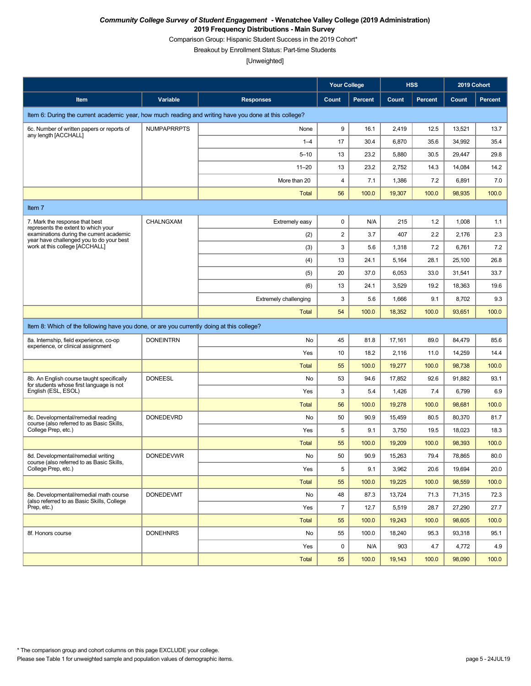Comparison Group: Hispanic Student Success in the 2019 Cohort\*

Breakout by Enrollment Status: Part-time Students

|                                                                                                                             |                    |                              | <b>Your College</b> |                |        | <b>HSS</b>     | 2019 Cohort |                |
|-----------------------------------------------------------------------------------------------------------------------------|--------------------|------------------------------|---------------------|----------------|--------|----------------|-------------|----------------|
| Item                                                                                                                        | Variable           | <b>Responses</b>             | Count               | <b>Percent</b> | Count  | <b>Percent</b> | Count       | <b>Percent</b> |
| Item 6: During the current academic year, how much reading and writing have you done at this college?                       |                    |                              |                     |                |        |                |             |                |
| 6c. Number of written papers or reports of<br>any length [ACCHALL]                                                          | <b>NUMPAPRRPTS</b> | None                         | 9                   | 16.1           | 2,419  | 12.5           | 13,521      | 13.7           |
|                                                                                                                             |                    | $1 - 4$                      | 17                  | 30.4           | 6,870  | 35.6           | 34,992      | 35.4           |
|                                                                                                                             |                    | $5 - 10$                     | 13                  | 23.2           | 5,880  | 30.5           | 29,447      | 29.8           |
|                                                                                                                             |                    | $11 - 20$                    | 13                  | 23.2           | 2,752  | 14.3           | 14,084      | 14.2           |
|                                                                                                                             |                    | More than 20                 | 4                   | 7.1            | 1,386  | 7.2            | 6,891       | 7.0            |
|                                                                                                                             |                    | <b>Total</b>                 | 56                  | 100.0          | 19,307 | 100.0          | 98,935      | 100.0          |
| Item 7                                                                                                                      |                    |                              |                     |                |        |                |             |                |
| 7. Mark the response that best                                                                                              | CHALNGXAM          | Extremely easy               | $\pmb{0}$           | N/A            | 215    | 1.2            | 1,008       | 1.1            |
| represents the extent to which your<br>examinations during the current academic<br>year have challenged you to do your best |                    | (2)                          | $\sqrt{2}$          | 3.7            | 407    | 2.2            | 2,176       | 2.3            |
| work at this college [ACCHALL]                                                                                              |                    | (3)                          | 3                   | 5.6            | 1,318  | 7.2            | 6,761       | 7.2            |
|                                                                                                                             |                    | (4)                          | 13                  | 24.1           | 5,164  | 28.1           | 25,100      | 26.8           |
|                                                                                                                             |                    | (5)                          | 20                  | 37.0           | 6,053  | 33.0           | 31,541      | 33.7           |
|                                                                                                                             |                    | (6)                          | 13                  | 24.1           | 3,529  | 19.2           | 18,363      | 19.6           |
|                                                                                                                             |                    | <b>Extremely challenging</b> | 3                   | 5.6            | 1,666  | 9.1            | 8,702       | 9.3            |
|                                                                                                                             |                    | <b>Total</b>                 | 54                  | 100.0          | 18,352 | 100.0          | 93,651      | 100.0          |
| Item 8: Which of the following have you done, or are you currently doing at this college?                                   |                    |                              |                     |                |        |                |             |                |
| 8a. Internship, field experience, co-op<br>experience, or clinical assignment                                               | <b>DONEINTRN</b>   | No                           | 45                  | 81.8           | 17,161 | 89.0           | 84,479      | 85.6           |
|                                                                                                                             |                    | Yes                          | 10                  | 18.2           | 2,116  | 11.0           | 14,259      | 14.4           |
|                                                                                                                             |                    | <b>Total</b>                 | 55                  | 100.0          | 19,277 | 100.0          | 98,738      | 100.0          |
| 8b. An English course taught specifically<br>for students whose first language is not                                       | <b>DONEESL</b>     | No                           | 53                  | 94.6           | 17,852 | 92.6           | 91,882      | 93.1           |
| English (ESL, ESOL)                                                                                                         |                    | Yes                          | 3                   | 5.4            | 1,426  | 7.4            | 6,799       | 6.9            |
|                                                                                                                             |                    | <b>Total</b>                 | 56                  | 100.0          | 19,278 | 100.0          | 98,681      | 100.0          |
| 8c. Developmental/remedial reading<br>course (also referred to as Basic Skills,                                             | <b>DONEDEVRD</b>   | No                           | 50                  | 90.9           | 15,459 | 80.5           | 80,370      | 81.7           |
| College Prep, etc.)                                                                                                         |                    | Yes                          | 5                   | 9.1            | 3,750  | 19.5           | 18,023      | 18.3           |
|                                                                                                                             |                    | <b>Total</b>                 | 55                  | 100.0          | 19,209 | 100.0          | 98,393      | 100.0          |
| 8d. Developmental/remedial writing<br>course (also referred to as Basic Skills,                                             | <b>DONEDEVWR</b>   | No                           | 50                  | 90.9           | 15,263 | 79.4           | 78,865      | 80.0           |
| College Prep, etc.)                                                                                                         |                    | Yes                          | 5                   | 9.1            | 3,962  | 20.6           | 19,694      | 20.0           |
|                                                                                                                             |                    | <b>Total</b>                 | 55                  | 100.0          | 19,225 | 100.0          | 98.559      | 100.0          |
| 8e. Developmental/remedial math course<br>(also referred to as Basic Skills, College                                        | <b>DONEDEVMT</b>   | No                           | 48                  | 87.3           | 13,724 | 71.3           | 71,315      | 72.3           |
| Prep, etc.)                                                                                                                 |                    | Yes                          | $\overline{7}$      | 12.7           | 5,519  | 28.7           | 27,290      | 27.7           |
|                                                                                                                             |                    | <b>Total</b>                 | 55                  | 100.0          | 19,243 | 100.0          | 98,605      | 100.0          |
| 8f. Honors course                                                                                                           | <b>DONEHNRS</b>    | No                           | 55                  | 100.0          | 18,240 | 95.3           | 93,318      | 95.1           |
|                                                                                                                             |                    | Yes                          | $\mathbf 0$         | N/A            | 903    | 4.7            | 4,772       | 4.9            |
|                                                                                                                             |                    | Total                        | 55                  | 100.0          | 19,143 | 100.0          | 98,090      | 100.0          |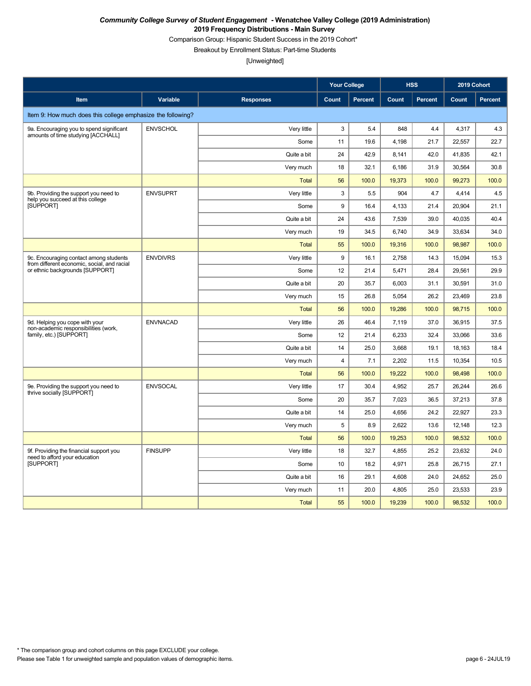Comparison Group: Hispanic Student Success in the 2019 Cohort\*

Breakout by Enrollment Status: Part-time Students

|                                                                                       |                 |                  | <b>Your College</b> |                |        | <b>HSS</b>     | 2019 Cohort |                |
|---------------------------------------------------------------------------------------|-----------------|------------------|---------------------|----------------|--------|----------------|-------------|----------------|
| Item                                                                                  | Variable        | <b>Responses</b> | <b>Count</b>        | <b>Percent</b> | Count  | <b>Percent</b> | Count       | <b>Percent</b> |
| Item 9: How much does this college emphasize the following?                           |                 |                  |                     |                |        |                |             |                |
| 9a. Encouraging you to spend significant                                              | <b>ENVSCHOL</b> | Very little      | 3                   | 5.4            | 848    | 4.4            | 4,317       | 4.3            |
| amounts of time studying [ACCHALL]                                                    |                 | Some             | 11                  | 19.6           | 4,198  | 21.7           | 22,557      | 22.7           |
|                                                                                       |                 | Quite a bit      | 24                  | 42.9           | 8,141  | 42.0           | 41,835      | 42.1           |
|                                                                                       |                 | Very much        | 18                  | 32.1           | 6,186  | 31.9           | 30,564      | 30.8           |
|                                                                                       |                 | <b>Total</b>     | 56                  | 100.0          | 19,373 | 100.0          | 99,273      | 100.0          |
| 9b. Providing the support you need to<br>help you succeed at this college             | <b>ENVSUPRT</b> | Very little      | 3                   | 5.5            | 904    | 4.7            | 4,414       | 4.5            |
| <b>ISUPPORTI</b>                                                                      |                 | Some             | 9                   | 16.4           | 4,133  | 21.4           | 20.904      | 21.1           |
|                                                                                       |                 | Quite a bit      | 24                  | 43.6           | 7,539  | 39.0           | 40,035      | 40.4           |
|                                                                                       |                 | Very much        | 19                  | 34.5           | 6,740  | 34.9           | 33,634      | 34.0           |
|                                                                                       |                 | <b>Total</b>     | 55                  | 100.0          | 19,316 | 100.0          | 98.987      | 100.0          |
| 9c. Encouraging contact among students<br>from different economic, social, and racial | <b>ENVDIVRS</b> | Very little      | 9                   | 16.1           | 2.758  | 14.3           | 15.094      | 15.3           |
| or ethnic backgrounds [SUPPORT]                                                       |                 | Some             | 12                  | 21.4           | 5,471  | 28.4           | 29.561      | 29.9           |
|                                                                                       |                 | Quite a bit      | 20                  | 35.7           | 6,003  | 31.1           | 30,591      | 31.0           |
|                                                                                       |                 | Very much        | 15                  | 26.8           | 5,054  | 26.2           | 23,469      | 23.8           |
|                                                                                       |                 | <b>Total</b>     | 56                  | 100.0          | 19,286 | 100.0          | 98,715      | 100.0          |
| 9d. Helping you cope with your<br>non-academic responsibilities (work.                | <b>ENVNACAD</b> | Very little      | 26                  | 46.4           | 7,119  | 37.0           | 36,915      | 37.5           |
| family, etc.) [SUPPORT]                                                               |                 | Some             | 12                  | 21.4           | 6,233  | 32.4           | 33,066      | 33.6           |
|                                                                                       |                 | Quite a bit      | 14                  | 25.0           | 3,668  | 19.1           | 18,163      | 18.4           |
|                                                                                       |                 | Very much        | 4                   | 7.1            | 2,202  | 11.5           | 10,354      | 10.5           |
|                                                                                       |                 | <b>Total</b>     | 56                  | 100.0          | 19,222 | 100.0          | 98,498      | 100.0          |
| 9e. Providing the support you need to<br>thrive socially [SUPPORT]                    | <b>ENVSOCAL</b> | Very little      | 17                  | 30.4           | 4,952  | 25.7           | 26,244      | 26.6           |
|                                                                                       |                 | Some             | 20                  | 35.7           | 7,023  | 36.5           | 37,213      | 37.8           |
|                                                                                       |                 | Quite a bit      | 14                  | 25.0           | 4,656  | 24.2           | 22.927      | 23.3           |
|                                                                                       |                 | Very much        | 5                   | 8.9            | 2,622  | 13.6           | 12,148      | 12.3           |
|                                                                                       |                 | <b>Total</b>     | 56                  | 100.0          | 19,253 | 100.0          | 98,532      | 100.0          |
| 9f. Providing the financial support you<br>need to afford your education              | <b>FINSUPP</b>  | Very little      | 18                  | 32.7           | 4,855  | 25.2           | 23,632      | 24.0           |
| <b>ISUPPORTI</b>                                                                      |                 | Some             | 10                  | 18.2           | 4,971  | 25.8           | 26,715      | 27.1           |
|                                                                                       |                 | Quite a bit      | 16                  | 29.1           | 4,608  | 24.0           | 24,652      | 25.0           |
|                                                                                       |                 | Very much        | 11                  | 20.0           | 4,805  | 25.0           | 23,533      | 23.9           |
|                                                                                       |                 | <b>Total</b>     | 55                  | 100.0          | 19,239 | 100.0          | 98,532      | 100.0          |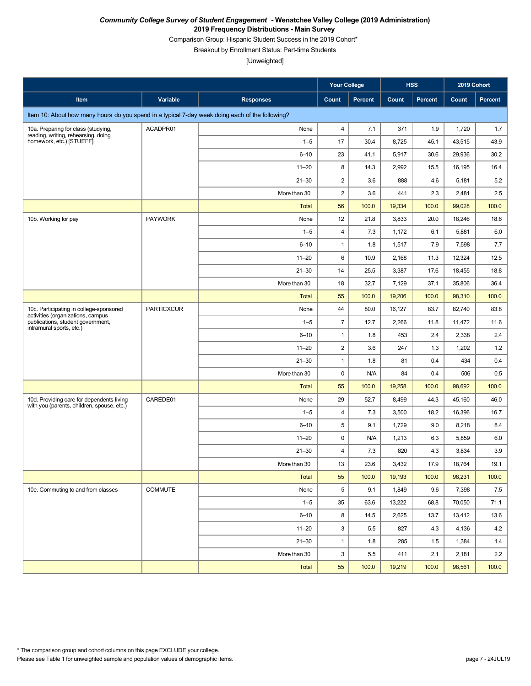Comparison Group: Hispanic Student Success in the 2019 Cohort\*

Breakout by Enrollment Status: Part-time Students

|                                                                                                 |                   |                  | <b>Your College</b>     |         | <b>HSS</b> |         | 2019 Cohort |         |
|-------------------------------------------------------------------------------------------------|-------------------|------------------|-------------------------|---------|------------|---------|-------------|---------|
| Item                                                                                            | Variable          | <b>Responses</b> | Count                   | Percent | Count      | Percent | Count       | Percent |
| Item 10: About how many hours do you spend in a typical 7-day week doing each of the following? |                   |                  |                         |         |            |         |             |         |
| 10a. Preparing for class (studying,<br>reading, writing, rehearsing, doing                      | ACADPR01          | None             | 4                       | 7.1     | 371        | 1.9     | 1,720       | 1.7     |
| homework, etc.) [STUEFF]                                                                        |                   | $1 - 5$          | 17                      | 30.4    | 8,725      | 45.1    | 43,515      | 43.9    |
|                                                                                                 |                   | $6 - 10$         | 23                      | 41.1    | 5,917      | 30.6    | 29,936      | 30.2    |
|                                                                                                 |                   | $11 - 20$        | 8                       | 14.3    | 2,992      | 15.5    | 16,195      | 16.4    |
|                                                                                                 |                   | $21 - 30$        | $\overline{2}$          | 3.6     | 888        | 4.6     | 5,181       | 5.2     |
|                                                                                                 |                   | More than 30     | $\boldsymbol{2}$        | 3.6     | 441        | 2.3     | 2,481       | 2.5     |
|                                                                                                 |                   | <b>Total</b>     | 56                      | 100.0   | 19,334     | 100.0   | 99,028      | 100.0   |
| 10b. Working for pay                                                                            | <b>PAYWORK</b>    | None             | 12                      | 21.8    | 3,833      | 20.0    | 18,246      | 18.6    |
|                                                                                                 |                   | $1 - 5$          | $\overline{4}$          | 7.3     | 1,172      | 6.1     | 5,881       | 6.0     |
|                                                                                                 |                   | $6 - 10$         | $\mathbf{1}$            | 1.8     | 1,517      | 7.9     | 7,598       | 7.7     |
|                                                                                                 |                   | $11 - 20$        | 6                       | 10.9    | 2,168      | 11.3    | 12,324      | 12.5    |
|                                                                                                 |                   | $21 - 30$        | 14                      | 25.5    | 3,387      | 17.6    | 18,455      | 18.8    |
|                                                                                                 |                   | More than 30     | 18                      | 32.7    | 7,129      | 37.1    | 35,806      | 36.4    |
|                                                                                                 |                   | <b>Total</b>     | 55                      | 100.0   | 19,206     | 100.0   | 98,310      | 100.0   |
| 10c. Participating in college-sponsored<br>activities (organizations, campus                    | <b>PARTICXCUR</b> | None             | 44                      | 80.0    | 16,127     | 83.7    | 82,740      | 83.8    |
| publications, student government,<br>intramural sports, etc.)                                   |                   | $1 - 5$          | $\overline{7}$          | 12.7    | 2,266      | 11.8    | 11,472      | 11.6    |
|                                                                                                 |                   | $6 - 10$         | $\mathbf{1}$            | 1.8     | 453        | 2.4     | 2,338       | 2.4     |
|                                                                                                 |                   | $11 - 20$        | $\overline{c}$          | 3.6     | 247        | 1.3     | 1,202       | 1.2     |
|                                                                                                 |                   | $21 - 30$        | $\mathbf{1}$            | 1.8     | 81         | 0.4     | 434         | 0.4     |
|                                                                                                 |                   | More than 30     | $\pmb{0}$               | N/A     | 84         | 0.4     | 506         | 0.5     |
|                                                                                                 |                   | <b>Total</b>     | 55                      | 100.0   | 19,258     | 100.0   | 98,692      | 100.0   |
| 10d. Providing care for dependents living<br>with you (parents, children, spouse, etc.)         | CAREDE01          | None             | 29                      | 52.7    | 8,499      | 44.3    | 45,160      | 46.0    |
|                                                                                                 |                   | $1 - 5$          | 4                       | 7.3     | 3,500      | 18.2    | 16,396      | 16.7    |
|                                                                                                 |                   | $6 - 10$         | 5                       | 9.1     | 1,729      | 9.0     | 8,218       | 8.4     |
|                                                                                                 |                   | $11 - 20$        | $\pmb{0}$               | N/A     | 1,213      | 6.3     | 5,859       | 6.0     |
|                                                                                                 |                   | $21 - 30$        | $\overline{\mathbf{4}}$ | 7.3     | 820        | 4.3     | 3,834       | 3.9     |
|                                                                                                 |                   | More than 30     | 13                      | 23.6    | 3,432      | 17.9    | 18,764      | 19.1    |
|                                                                                                 |                   | <b>Total</b>     | 55                      | 100.0   | 19,193     | 100.0   | 98,231      | 100.0   |
| 10e. Commuting to and from classes                                                              | COMMUTE           | None             | 5                       | 9.1     | 1,849      | 9.6     | 7,398       | 7.5     |
|                                                                                                 |                   | $1 - 5$          | 35                      | 63.6    | 13,222     | 68.8    | 70,050      | 71.1    |
|                                                                                                 |                   | $6 - 10$         | 8                       | 14.5    | 2,625      | 13.7    | 13,412      | 13.6    |
|                                                                                                 |                   | $11 - 20$        | 3                       | 5.5     | 827        | 4.3     | 4,136       | 4.2     |
|                                                                                                 |                   | $21 - 30$        | $\mathbf{1}$            | 1.8     | 285        | 1.5     | 1,384       | 1.4     |
|                                                                                                 |                   | More than 30     | 3                       | $5.5\,$ | 411        | 2.1     | 2,181       | 2.2     |
|                                                                                                 |                   | Total            | 55                      | 100.0   | 19,219     | 100.0   | 98,561      | 100.0   |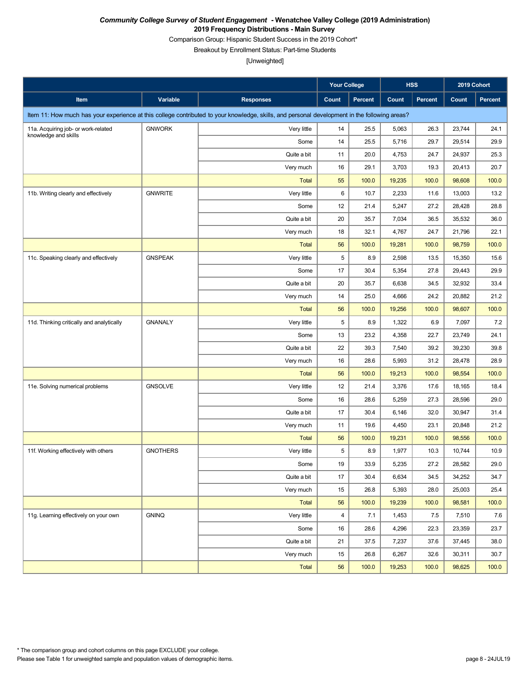Comparison Group: Hispanic Student Success in the 2019 Cohort\*

Breakout by Enrollment Status: Part-time Students

|                                           |                 |                                                                                                                                               | <b>Your College</b> |         |        | <b>HSS</b> | 2019 Cohort |                |
|-------------------------------------------|-----------------|-----------------------------------------------------------------------------------------------------------------------------------------------|---------------------|---------|--------|------------|-------------|----------------|
| Item                                      | Variable        | <b>Responses</b>                                                                                                                              | Count               | Percent | Count  | Percent    | Count       | <b>Percent</b> |
|                                           |                 | Item 11: How much has your experience at this college contributed to your knowledge, skills, and personal development in the following areas? |                     |         |        |            |             |                |
| 11a. Acquiring job- or work-related       | <b>GNWORK</b>   | Very little                                                                                                                                   | 14                  | 25.5    | 5,063  | 26.3       | 23,744      | 24.1           |
| knowledge and skills                      |                 | Some                                                                                                                                          | 14                  | 25.5    | 5,716  | 29.7       | 29,514      | 29.9           |
|                                           |                 | Quite a bit                                                                                                                                   | 11                  | 20.0    | 4,753  | 24.7       | 24,937      | 25.3           |
|                                           |                 | Very much                                                                                                                                     | 16                  | 29.1    | 3,703  | 19.3       | 20,413      | 20.7           |
|                                           |                 | <b>Total</b>                                                                                                                                  | 55                  | 100.0   | 19,235 | 100.0      | 98,608      | 100.0          |
| 11b. Writing clearly and effectively      | <b>GNWRITE</b>  | Very little                                                                                                                                   | 6                   | 10.7    | 2,233  | 11.6       | 13,003      | 13.2           |
|                                           |                 | Some                                                                                                                                          | 12                  | 21.4    | 5,247  | 27.2       | 28,428      | 28.8           |
|                                           |                 | Quite a bit                                                                                                                                   | 20                  | 35.7    | 7,034  | 36.5       | 35,532      | 36.0           |
|                                           |                 | Very much                                                                                                                                     | 18                  | 32.1    | 4,767  | 24.7       | 21,796      | 22.1           |
|                                           |                 | <b>Total</b>                                                                                                                                  | 56                  | 100.0   | 19,281 | 100.0      | 98,759      | 100.0          |
| 11c. Speaking clearly and effectively     | <b>GNSPEAK</b>  | Very little                                                                                                                                   | 5                   | 8.9     | 2,598  | 13.5       | 15,350      | 15.6           |
|                                           |                 | Some                                                                                                                                          | 17                  | 30.4    | 5,354  | 27.8       | 29,443      | 29.9           |
|                                           |                 | Quite a bit                                                                                                                                   | 20                  | 35.7    | 6,638  | 34.5       | 32,932      | 33.4           |
|                                           |                 | Very much                                                                                                                                     | 14                  | 25.0    | 4,666  | 24.2       | 20,882      | 21.2           |
|                                           |                 | <b>Total</b>                                                                                                                                  | 56                  | 100.0   | 19,256 | 100.0      | 98,607      | 100.0          |
| 11d. Thinking critically and analytically | <b>GNANALY</b>  | Very little                                                                                                                                   | 5                   | 8.9     | 1,322  | 6.9        | 7,097       | 7.2            |
|                                           |                 | Some                                                                                                                                          | 13                  | 23.2    | 4,358  | 22.7       | 23,749      | 24.1           |
|                                           |                 | Quite a bit                                                                                                                                   | 22                  | 39.3    | 7,540  | 39.2       | 39,230      | 39.8           |
|                                           |                 | Very much                                                                                                                                     | 16                  | 28.6    | 5,993  | 31.2       | 28,478      | 28.9           |
|                                           |                 | <b>Total</b>                                                                                                                                  | 56                  | 100.0   | 19,213 | 100.0      | 98,554      | 100.0          |
| 11e. Solving numerical problems           | <b>GNSOLVE</b>  | Very little                                                                                                                                   | 12                  | 21.4    | 3,376  | 17.6       | 18,165      | 18.4           |
|                                           |                 | Some                                                                                                                                          | 16                  | 28.6    | 5,259  | 27.3       | 28,596      | 29.0           |
|                                           |                 | Quite a bit                                                                                                                                   | 17                  | 30.4    | 6,146  | 32.0       | 30,947      | 31.4           |
|                                           |                 | Very much                                                                                                                                     | 11                  | 19.6    | 4,450  | 23.1       | 20,848      | 21.2           |
|                                           |                 | <b>Total</b>                                                                                                                                  | 56                  | 100.0   | 19,231 | 100.0      | 98,556      | 100.0          |
| 11f. Working effectively with others      | <b>GNOTHERS</b> | Very little                                                                                                                                   | 5                   | 8.9     | 1,977  | 10.3       | 10,744      | 10.9           |
|                                           |                 | Some                                                                                                                                          | 19                  | 33.9    | 5,235  | 27.2       | 28,582      | 29.0           |
|                                           |                 | Quite a bit                                                                                                                                   | 17                  | 30.4    | 6,634  | 34.5       | 34,252      | 34.7           |
|                                           |                 | Very much                                                                                                                                     | 15                  | 26.8    | 5,393  | 28.0       | 25,003      | 25.4           |
|                                           |                 | <b>Total</b>                                                                                                                                  | 56                  | 100.0   | 19,239 | 100.0      | 98,581      | 100.0          |
| 11g. Learning effectively on your own     | <b>GNINQ</b>    | Very little                                                                                                                                   | 4                   | 7.1     | 1,453  | 7.5        | 7,510       | 7.6            |
|                                           |                 | Some                                                                                                                                          | 16                  | 28.6    | 4,296  | 22.3       | 23,359      | 23.7           |
|                                           |                 | Quite a bit                                                                                                                                   | 21                  | 37.5    | 7,237  | 37.6       | 37,445      | 38.0           |
|                                           |                 | Very much                                                                                                                                     | 15                  | 26.8    | 6,267  | 32.6       | 30,311      | 30.7           |
|                                           |                 | <b>Total</b>                                                                                                                                  | 56                  | 100.0   | 19,253 | 100.0      | 98,625      | 100.0          |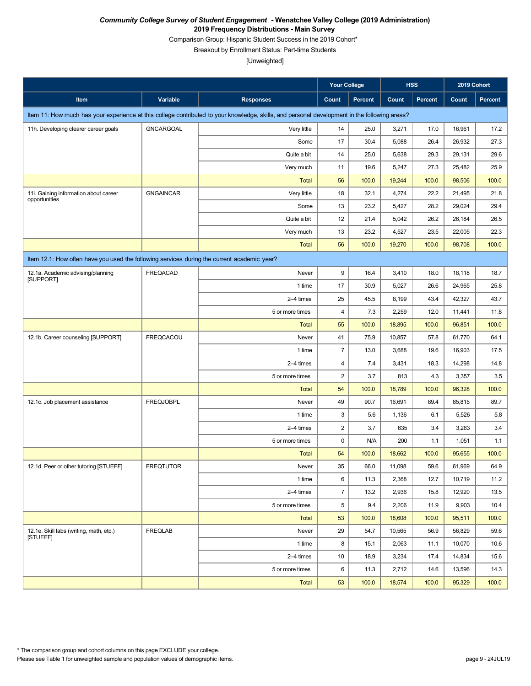Comparison Group: Hispanic Student Success in the 2019 Cohort\*

Breakout by Enrollment Status: Part-time Students

|                                                                                             |                  |                                                                                                                                               | <b>Your College</b>     |                |        | <b>HSS</b>     | 2019 Cohort |                |
|---------------------------------------------------------------------------------------------|------------------|-----------------------------------------------------------------------------------------------------------------------------------------------|-------------------------|----------------|--------|----------------|-------------|----------------|
| Item                                                                                        | Variable         | <b>Responses</b>                                                                                                                              | <b>Count</b>            | <b>Percent</b> | Count  | <b>Percent</b> | Count       | <b>Percent</b> |
|                                                                                             |                  | Item 11: How much has your experience at this college contributed to your knowledge, skills, and personal development in the following areas? |                         |                |        |                |             |                |
| 11h. Developing clearer career goals                                                        | <b>GNCARGOAL</b> | Very little                                                                                                                                   | 14                      | 25.0           | 3,271  | 17.0           | 16,961      | 17.2           |
|                                                                                             |                  | Some                                                                                                                                          | 17                      | 30.4           | 5,088  | 26.4           | 26,932      | 27.3           |
|                                                                                             |                  | Quite a bit                                                                                                                                   | 14                      | 25.0           | 5,638  | 29.3           | 29,131      | 29.6           |
|                                                                                             |                  | Very much                                                                                                                                     | 11                      | 19.6           | 5,247  | 27.3           | 25,482      | 25.9           |
|                                                                                             |                  | <b>Total</b>                                                                                                                                  | 56                      | 100.0          | 19,244 | 100.0          | 98,506      | 100.0          |
| 11i. Gaining information about career<br>opportunities                                      | <b>GNGAINCAR</b> | Very little                                                                                                                                   | 18                      | 32.1           | 4,274  | 22.2           | 21,495      | 21.8           |
|                                                                                             |                  | Some                                                                                                                                          | 13                      | 23.2           | 5,427  | 28.2           | 29,024      | 29.4           |
|                                                                                             |                  | Quite a bit                                                                                                                                   | 12                      | 21.4           | 5,042  | 26.2           | 26,184      | 26.5           |
|                                                                                             |                  | Very much                                                                                                                                     | 13                      | 23.2           | 4,527  | 23.5           | 22,005      | 22.3           |
|                                                                                             |                  | <b>Total</b>                                                                                                                                  | 56                      | 100.0          | 19,270 | 100.0          | 98,708      | 100.0          |
| Item 12.1: How often have you used the following services during the current academic year? |                  |                                                                                                                                               |                         |                |        |                |             |                |
| 12.1a. Academic advising/planning<br>[SUPPORT]                                              | <b>FREQACAD</b>  | Never                                                                                                                                         | 9                       | 16.4           | 3,410  | 18.0           | 18,118      | 18.7           |
|                                                                                             |                  | 1 time                                                                                                                                        | 17                      | 30.9           | 5,027  | 26.6           | 24,965      | 25.8           |
|                                                                                             |                  | 2-4 times                                                                                                                                     | 25                      | 45.5           | 8,199  | 43.4           | 42,327      | 43.7           |
|                                                                                             |                  | 5 or more times                                                                                                                               | $\overline{\mathbf{4}}$ | 7.3            | 2,259  | 12.0           | 11,441      | 11.8           |
|                                                                                             |                  | <b>Total</b>                                                                                                                                  | 55                      | 100.0          | 18,895 | 100.0          | 96,851      | 100.0          |
| 12.1b. Career counseling [SUPPORT]                                                          | <b>FREQCACOU</b> | Never                                                                                                                                         | 41                      | 75.9           | 10,857 | 57.8           | 61,770      | 64.1           |
|                                                                                             |                  | 1 time                                                                                                                                        | $\overline{7}$          | 13.0           | 3,688  | 19.6           | 16,903      | 17.5           |
|                                                                                             |                  | 2-4 times                                                                                                                                     | $\overline{\mathbf{4}}$ | 7.4            | 3,431  | 18.3           | 14,298      | 14.8           |
|                                                                                             |                  | 5 or more times                                                                                                                               | $\overline{\mathbf{c}}$ | 3.7            | 813    | 4.3            | 3,357       | 3.5            |
|                                                                                             |                  | <b>Total</b>                                                                                                                                  | 54                      | 100.0          | 18,789 | 100.0          | 96,328      | 100.0          |
| 12.1c. Job placement assistance                                                             | <b>FREQJOBPL</b> | Never                                                                                                                                         | 49                      | 90.7           | 16,691 | 89.4           | 85,815      | 89.7           |
|                                                                                             |                  | 1 time                                                                                                                                        | 3                       | 5.6            | 1,136  | 6.1            | 5,526       | 5.8            |
|                                                                                             |                  | 2-4 times                                                                                                                                     | $\overline{2}$          | 3.7            | 635    | 3.4            | 3,263       | 3.4            |
|                                                                                             |                  | 5 or more times                                                                                                                               | 0                       | N/A            | 200    | 1.1            | 1,051       | 1.1            |
|                                                                                             |                  | <b>Total</b>                                                                                                                                  | 54                      | 100.0          | 18,662 | 100.0          | 95,655      | 100.0          |
| 12.1d. Peer or other tutoring [STUEFF]                                                      | <b>FREQTUTOR</b> | Never                                                                                                                                         | 35                      | 66.0           | 11,098 | 59.6           | 61,969      | 64.9           |
|                                                                                             |                  | 1 time                                                                                                                                        | 6                       | 11.3           | 2,368  | 12.7           | 10,719      | 11.2           |
|                                                                                             |                  | 2-4 times                                                                                                                                     | $\overline{7}$          | 13.2           | 2,936  | 15.8           | 12,920      | 13.5           |
|                                                                                             |                  | 5 or more times                                                                                                                               | 5                       | 9.4            | 2,206  | 11.9           | 9,903       | 10.4           |
|                                                                                             |                  | Total                                                                                                                                         | 53                      | 100.0          | 18,608 | 100.0          | 95,511      | 100.0          |
| 12.1e. Skill labs (writing, math, etc.)<br><b>ISTUEFFI</b>                                  | <b>FREQLAB</b>   | Never                                                                                                                                         | 29                      | 54.7           | 10,565 | 56.9           | 56,829      | 59.6           |
|                                                                                             |                  | 1 time                                                                                                                                        | 8                       | 15.1           | 2,063  | 11.1           | 10,070      | 10.6           |
|                                                                                             |                  | 2-4 times                                                                                                                                     | 10                      | 18.9           | 3,234  | 17.4           | 14,834      | 15.6           |
|                                                                                             |                  | 5 or more times                                                                                                                               | 6                       | 11.3           | 2,712  | 14.6           | 13,596      | 14.3           |
|                                                                                             |                  | Total                                                                                                                                         | 53                      | 100.0          | 18,574 | 100.0          | 95,329      | 100.0          |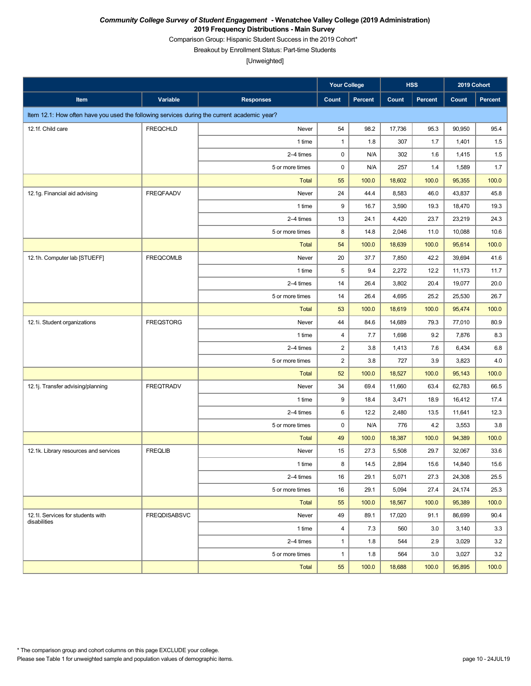Comparison Group: Hispanic Student Success in the 2019 Cohort\*

Breakout by Enrollment Status: Part-time Students

|                                                                                             |                     |                  | <b>Your College</b> |         |        | <b>HSS</b>     | 2019 Cohort |                |
|---------------------------------------------------------------------------------------------|---------------------|------------------|---------------------|---------|--------|----------------|-------------|----------------|
| Item                                                                                        | Variable            | <b>Responses</b> | Count               | Percent | Count  | <b>Percent</b> | Count       | <b>Percent</b> |
| Item 12.1: How often have you used the following services during the current academic year? |                     |                  |                     |         |        |                |             |                |
| 12.1f. Child care                                                                           | <b>FREQCHLD</b>     | Never            | 54                  | 98.2    | 17,736 | 95.3           | 90,950      | 95.4           |
|                                                                                             |                     | 1 time           | $\mathbf{1}$        | 1.8     | 307    | 1.7            | 1,401       | 1.5            |
|                                                                                             |                     | 2-4 times        | 0                   | N/A     | 302    | 1.6            | 1,415       | 1.5            |
|                                                                                             |                     | 5 or more times  | 0                   | N/A     | 257    | 1.4            | 1,589       | 1.7            |
|                                                                                             |                     | <b>Total</b>     | 55                  | 100.0   | 18,602 | 100.0          | 95,355      | 100.0          |
| 12.1g. Financial aid advising                                                               | <b>FREQFAADV</b>    | Never            | 24                  | 44.4    | 8,583  | 46.0           | 43,837      | 45.8           |
|                                                                                             |                     | 1 time           | 9                   | 16.7    | 3,590  | 19.3           | 18,470      | 19.3           |
|                                                                                             |                     | 2-4 times        | 13                  | 24.1    | 4,420  | 23.7           | 23,219      | 24.3           |
|                                                                                             |                     | 5 or more times  | 8                   | 14.8    | 2,046  | 11.0           | 10,088      | 10.6           |
|                                                                                             |                     | <b>Total</b>     | 54                  | 100.0   | 18,639 | 100.0          | 95,614      | 100.0          |
| 12.1h. Computer lab [STUEFF]                                                                | <b>FREQCOMLB</b>    | Never            | 20                  | 37.7    | 7,850  | 42.2           | 39,694      | 41.6           |
|                                                                                             |                     | 1 time           | 5                   | 9.4     | 2,272  | 12.2           | 11,173      | 11.7           |
|                                                                                             |                     | 2-4 times        | 14                  | 26.4    | 3,802  | 20.4           | 19,077      | 20.0           |
|                                                                                             |                     | 5 or more times  | 14                  | 26.4    | 4,695  | 25.2           | 25,530      | 26.7           |
|                                                                                             |                     | <b>Total</b>     | 53                  | 100.0   | 18,619 | 100.0          | 95,474      | 100.0          |
| 12.1i. Student organizations                                                                | <b>FREQSTORG</b>    | Never            | 44                  | 84.6    | 14,689 | 79.3           | 77,010      | 80.9           |
|                                                                                             |                     | 1 time           | $\overline{4}$      | 7.7     | 1,698  | 9.2            | 7,876       | 8.3            |
|                                                                                             |                     | 2-4 times        | $\sqrt{2}$          | 3.8     | 1,413  | 7.6            | 6,434       | 6.8            |
|                                                                                             |                     | 5 or more times  | $\overline{c}$      | 3.8     | 727    | 3.9            | 3,823       | 4.0            |
|                                                                                             |                     | <b>Total</b>     | 52                  | 100.0   | 18,527 | 100.0          | 95,143      | 100.0          |
| 12.1j. Transfer advising/planning                                                           | <b>FREQTRADV</b>    | Never            | 34                  | 69.4    | 11,660 | 63.4           | 62,783      | 66.5           |
|                                                                                             |                     | 1 time           | 9                   | 18.4    | 3,471  | 18.9           | 16,412      | 17.4           |
|                                                                                             |                     | 2-4 times        | 6                   | 12.2    | 2,480  | 13.5           | 11,641      | 12.3           |
|                                                                                             |                     | 5 or more times  | $\pmb{0}$           | N/A     | 776    | 4.2            | 3,553       | 3.8            |
|                                                                                             |                     | <b>Total</b>     | 49                  | 100.0   | 18,387 | 100.0          | 94,389      | 100.0          |
| 12.1k. Library resources and services                                                       | <b>FREQLIB</b>      | Never            | 15                  | 27.3    | 5,508  | 29.7           | 32,067      | 33.6           |
|                                                                                             |                     | $1$ time         | 8                   | 14.5    | 2,894  | 15.6           | 14,840      | $15.6\,$       |
|                                                                                             |                     | 2-4 times        | 16                  | 29.1    | 5,071  | 27.3           | 24,308      | 25.5           |
|                                                                                             |                     | 5 or more times  | 16                  | 29.1    | 5,094  | 27.4           | 24,174      | 25.3           |
|                                                                                             |                     | Total            | 55                  | 100.0   | 18,567 | 100.0          | 95,389      | 100.0          |
| 12.1I. Services for students with<br>disabilities                                           | <b>FREQDISABSVC</b> | Never            | 49                  | 89.1    | 17,020 | 91.1           | 86,699      | 90.4           |
|                                                                                             |                     | 1 time           | $\overline{4}$      | 7.3     | 560    | 3.0            | 3,140       | 3.3            |
|                                                                                             |                     | 2-4 times        | $\mathbf{1}$        | 1.8     | 544    | 2.9            | 3,029       | 3.2            |
|                                                                                             |                     | 5 or more times  | $\mathbf{1}$        | 1.8     | 564    | 3.0            | 3,027       | 3.2            |
|                                                                                             |                     | Total            | 55                  | 100.0   | 18,688 | 100.0          | 95,895      | 100.0          |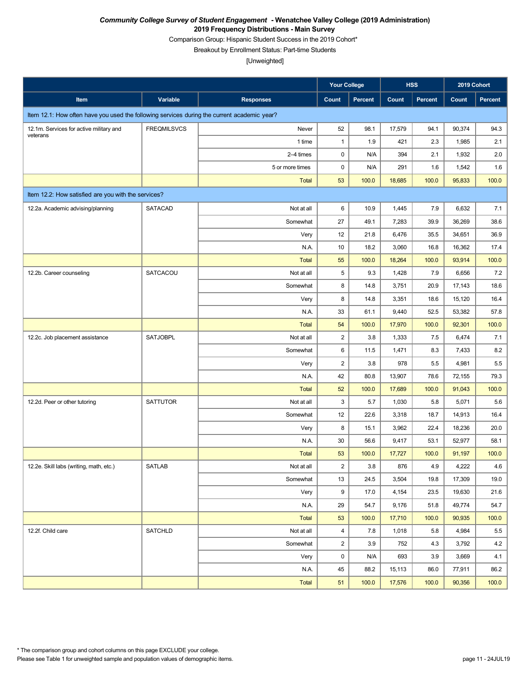Comparison Group: Hispanic Student Success in the 2019 Cohort\*

Breakout by Enrollment Status: Part-time Students

|                                                                                             |                    |                  | <b>Your College</b> |             |               | <b>HSS</b>     | 2019 Cohort      |               |
|---------------------------------------------------------------------------------------------|--------------------|------------------|---------------------|-------------|---------------|----------------|------------------|---------------|
| Item                                                                                        | Variable           | <b>Responses</b> | Count               | Percent     | Count         | <b>Percent</b> | Count            | Percent       |
| Item 12.1: How often have you used the following services during the current academic year? |                    |                  |                     |             |               |                |                  |               |
| 12.1m. Services for active military and                                                     | <b>FREQMILSVCS</b> | Never            | 52                  | 98.1        | 17,579        | 94.1           | 90,374           | 94.3          |
| veterans                                                                                    |                    | 1 time           | $\mathbf{1}$        | 1.9         | 421           | 2.3            | 1,985            | 2.1           |
|                                                                                             |                    | 2-4 times        | 0                   | N/A         | 394           | 2.1            | 1,932            | 2.0           |
|                                                                                             |                    | 5 or more times  | $\pmb{0}$           | N/A         | 291           | 1.6            | 1,542            | 1.6           |
|                                                                                             |                    | <b>Total</b>     | 53                  | 100.0       | 18,685        | 100.0          | 95,833           | 100.0         |
| Item 12.2: How satisfied are you with the services?                                         |                    |                  |                     |             |               |                |                  |               |
| 12.2a. Academic advising/planning                                                           | SATACAD            | Not at all       | 6                   | 10.9        | 1,445         | 7.9            | 6,632            | 7.1           |
|                                                                                             |                    | Somewhat         | 27                  | 49.1        | 7,283         | 39.9           | 36,269           | 38.6          |
|                                                                                             |                    | Very             | 12                  | 21.8        | 6,476         | 35.5           | 34,651           | 36.9          |
|                                                                                             |                    | N.A.             | 10                  | 18.2        | 3,060         | 16.8           | 16,362           | 17.4          |
|                                                                                             |                    | <b>Total</b>     | 55                  | 100.0       | 18,264        | 100.0          | 93,914           | 100.0         |
| 12.2b. Career counseling                                                                    | SATCACOU           | Not at all       | 5                   | 9.3         | 1,428         | 7.9            | 6,656            | 7.2           |
|                                                                                             |                    | Somewhat         | 8                   | 14.8        | 3,751         | 20.9           | 17,143           | 18.6          |
|                                                                                             |                    | Very             | 8                   | 14.8        | 3,351         | 18.6           | 15,120           | 16.4          |
|                                                                                             |                    | N.A.             | 33                  | 61.1        | 9,440         | 52.5           | 53,382           | 57.8          |
|                                                                                             |                    | <b>Total</b>     | 54                  | 100.0       | 17,970        | 100.0          | 92,301           | 100.0         |
| 12.2c. Job placement assistance                                                             | <b>SATJOBPL</b>    | Not at all       | $\sqrt{2}$          | 3.8         | 1,333         | 7.5            | 6,474            | 7.1           |
|                                                                                             |                    | Somewhat         | 6                   | 11.5        | 1,471         | 8.3            | 7,433            | 8.2           |
|                                                                                             |                    | Very             | $\sqrt{2}$          | 3.8         | 978           | 5.5            | 4,981            | 5.5           |
|                                                                                             |                    | N.A.             | 42                  | 80.8        | 13,907        | 78.6           | 72,155           | 79.3          |
|                                                                                             |                    | <b>Total</b>     | 52                  | 100.0       | 17,689        | 100.0          | 91,043           | 100.0         |
| 12.2d. Peer or other tutoring                                                               | <b>SATTUTOR</b>    | Not at all       | 3                   | 5.7         | 1,030         | 5.8            | 5,071            | 5.6           |
|                                                                                             |                    | Somewhat         | 12                  | 22.6        | 3,318         | 18.7           | 14,913           | 16.4          |
|                                                                                             |                    | Very             | 8                   | 15.1        | 3,962         | 22.4           | 18,236           | 20.0          |
|                                                                                             |                    | N.A.             | 30                  | 56.6        | 9,417         | 53.1           | 52,977           | 58.1          |
|                                                                                             |                    | <b>Total</b>     | 53                  | 100.0       | 17,727        | 100.0          | 91,197           | 100.0         |
| 12.2e. Skill labs (writing, math, etc.)                                                     | SATLAB             | Not at all       | $\mathbf{2}$        | $3.8\,$     | 876           | 4.9            | 4,222            | 4.6           |
|                                                                                             |                    | Somewhat         | 13                  | 24.5        | 3,504         | 19.8           | 17,309           | 19.0          |
|                                                                                             |                    | Very             | 9                   | 17.0        | 4,154         | 23.5           | 19,630           | 21.6          |
|                                                                                             |                    | N.A.             | 29                  | 54.7        | 9,176         | 51.8           | 49,774           | 54.7          |
|                                                                                             |                    | Total            | 53                  | 100.0       | 17,710        | 100.0          | 90,935           | 100.0         |
| 12.2f. Child care                                                                           | <b>SATCHLD</b>     | Not at all       | $\overline{4}$      | 7.8         | 1,018         | 5.8            | 4,984            | 5.5           |
|                                                                                             |                    | Somewhat         | $\overline{c}$      | 3.9         | 752           | 4.3            | 3,792            | 4.2           |
|                                                                                             |                    | Very<br>N.A.     | $\pmb{0}$<br>45     | N/A<br>88.2 | 693<br>15,113 | 3.9<br>86.0    | 3,669            | 4.1           |
|                                                                                             |                    |                  | 51                  | 100.0       | 17,576        | 100.0          | 77,911<br>90,356 | 86.2<br>100.0 |
|                                                                                             |                    | Total            |                     |             |               |                |                  |               |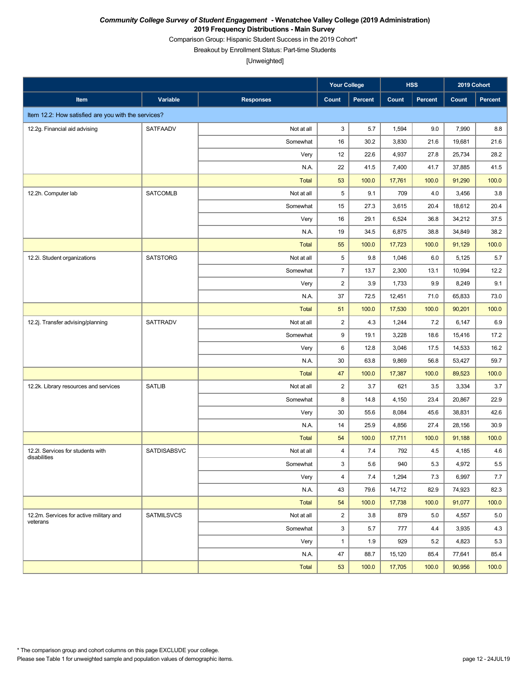Comparison Group: Hispanic Student Success in the 2019 Cohort\*

Breakout by Enrollment Status: Part-time Students

|                                                     |                   |                  | <b>Your College</b>     |         |        | <b>HSS</b>     | 2019 Cohort |                |
|-----------------------------------------------------|-------------------|------------------|-------------------------|---------|--------|----------------|-------------|----------------|
| Item                                                | Variable          | <b>Responses</b> | Count                   | Percent | Count  | <b>Percent</b> | Count       | <b>Percent</b> |
| Item 12.2: How satisfied are you with the services? |                   |                  |                         |         |        |                |             |                |
| 12.2g. Financial aid advising                       | SATFAADV          | Not at all       | 3                       | 5.7     | 1,594  | 9.0            | 7,990       | 8.8            |
|                                                     |                   | Somewhat         | 16                      | 30.2    | 3,830  | 21.6           | 19,681      | 21.6           |
|                                                     |                   | Very             | 12                      | 22.6    | 4,937  | 27.8           | 25,734      | 28.2           |
|                                                     |                   | N.A.             | 22                      | 41.5    | 7,400  | 41.7           | 37,885      | 41.5           |
|                                                     |                   | <b>Total</b>     | 53                      | 100.0   | 17,761 | 100.0          | 91,290      | 100.0          |
| 12.2h. Computer lab                                 | <b>SATCOMLB</b>   | Not at all       | 5                       | 9.1     | 709    | 4.0            | 3,456       | 3.8            |
|                                                     |                   | Somewhat         | 15                      | 27.3    | 3,615  | 20.4           | 18,612      | 20.4           |
|                                                     |                   | Very             | 16                      | 29.1    | 6,524  | 36.8           | 34,212      | 37.5           |
|                                                     |                   | N.A.             | 19                      | 34.5    | 6,875  | 38.8           | 34,849      | 38.2           |
|                                                     |                   | <b>Total</b>     | 55                      | 100.0   | 17,723 | 100.0          | 91,129      | 100.0          |
| 12.2i. Student organizations                        | <b>SATSTORG</b>   | Not at all       | 5                       | 9.8     | 1,046  | 6.0            | 5,125       | 5.7            |
|                                                     |                   | Somewhat         | $\overline{7}$          | 13.7    | 2,300  | 13.1           | 10,994      | 12.2           |
|                                                     |                   | Very             | $\overline{c}$          | 3.9     | 1,733  | 9.9            | 8,249       | 9.1            |
|                                                     |                   | N.A.             | 37                      | 72.5    | 12,451 | 71.0           | 65,833      | 73.0           |
|                                                     |                   | <b>Total</b>     | 51                      | 100.0   | 17,530 | 100.0          | 90,201      | 100.0          |
| 12.2j. Transfer advising/planning                   | <b>SATTRADV</b>   | Not at all       | $\overline{2}$          | 4.3     | 1,244  | 7.2            | 6,147       | 6.9            |
|                                                     |                   | Somewhat         | 9                       | 19.1    | 3,228  | 18.6           | 15,416      | 17.2           |
|                                                     |                   | Very             | 6                       | 12.8    | 3,046  | 17.5           | 14,533      | 16.2           |
|                                                     |                   | N.A.             | 30                      | 63.8    | 9,869  | 56.8           | 53,427      | 59.7           |
|                                                     |                   | <b>Total</b>     | 47                      | 100.0   | 17,387 | 100.0          | 89,523      | 100.0          |
| 12.2k. Library resources and services               | <b>SATLIB</b>     | Not at all       | $\overline{2}$          | 3.7     | 621    | 3.5            | 3,334       | 3.7            |
|                                                     |                   | Somewhat         | 8                       | 14.8    | 4,150  | 23.4           | 20,867      | 22.9           |
|                                                     |                   | Very             | 30                      | 55.6    | 8,084  | 45.6           | 38,831      | 42.6           |
|                                                     |                   | N.A.             | 14                      | 25.9    | 4,856  | 27.4           | 28,156      | 30.9           |
|                                                     |                   | <b>Total</b>     | 54                      | 100.0   | 17,711 | 100.0          | 91,188      | 100.0          |
| 12.2I. Services for students with<br>disabilities   | SATDISABSVC       | Not at all       | $\overline{\mathbf{4}}$ | 7.4     | 792    | 4.5            | 4,185       | 4.6            |
|                                                     |                   | Somewhat         | 3                       | 5.6     | 940    | 5.3            | 4,972       | 5.5            |
|                                                     |                   | Very             | $\overline{4}$          | 7.4     | 1,294  | 7.3            | 6,997       | 7.7            |
|                                                     |                   | N.A.             | 43                      | 79.6    | 14,712 | 82.9           | 74,923      | 82.3           |
|                                                     |                   | <b>Total</b>     | 54                      | 100.0   | 17,738 | 100.0          | 91,077      | 100.0          |
| 12.2m. Services for active military and<br>veterans | <b>SATMILSVCS</b> | Not at all       | $\overline{2}$          | 3.8     | 879    | 5.0            | 4,557       | 5.0            |
|                                                     |                   | Somewhat         | 3                       | 5.7     | 777    | 4.4            | 3,935       | 4.3            |
|                                                     |                   | Very             | $\mathbf{1}$            | 1.9     | 929    | 5.2            | 4,823       | 5.3            |
|                                                     |                   | N.A.             | 47                      | 88.7    | 15,120 | 85.4           | 77,641      | 85.4           |
|                                                     |                   | <b>Total</b>     | 53                      | 100.0   | 17,705 | 100.0          | 90,956      | 100.0          |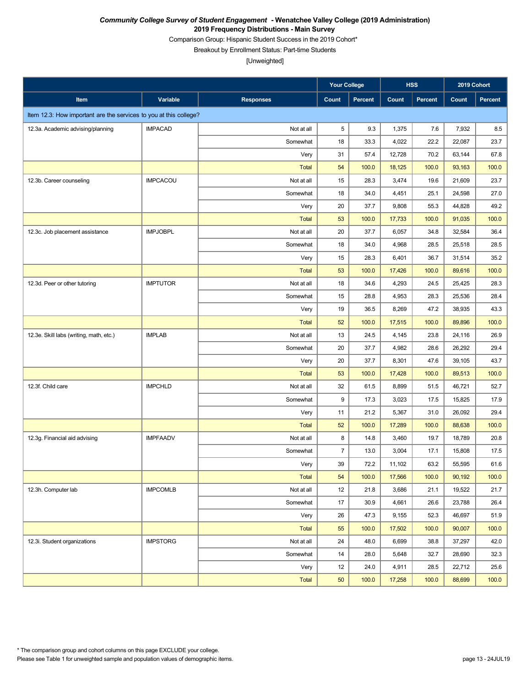Comparison Group: Hispanic Student Success in the 2019 Cohort\*

Breakout by Enrollment Status: Part-time Students

|                                                                   |                 |                  | <b>Your College</b> |         |        | <b>HSS</b>     | 2019 Cohort |         |
|-------------------------------------------------------------------|-----------------|------------------|---------------------|---------|--------|----------------|-------------|---------|
| Item                                                              | Variable        | <b>Responses</b> | Count               | Percent | Count  | <b>Percent</b> | Count       | Percent |
| Item 12.3: How important are the services to you at this college? |                 |                  |                     |         |        |                |             |         |
| 12.3a. Academic advising/planning                                 | <b>IMPACAD</b>  | Not at all       | 5                   | 9.3     | 1,375  | 7.6            | 7,932       | 8.5     |
|                                                                   |                 | Somewhat         | 18                  | 33.3    | 4,022  | 22.2           | 22,087      | 23.7    |
|                                                                   |                 | Very             | 31                  | 57.4    | 12,728 | 70.2           | 63,144      | 67.8    |
|                                                                   |                 | <b>Total</b>     | 54                  | 100.0   | 18,125 | 100.0          | 93,163      | 100.0   |
| 12.3b. Career counseling                                          | <b>IMPCACOU</b> | Not at all       | 15                  | 28.3    | 3,474  | 19.6           | 21,609      | 23.7    |
|                                                                   |                 | Somewhat         | 18                  | 34.0    | 4,451  | 25.1           | 24,598      | 27.0    |
|                                                                   |                 | Very             | 20                  | 37.7    | 9,808  | 55.3           | 44,828      | 49.2    |
|                                                                   |                 | <b>Total</b>     | 53                  | 100.0   | 17,733 | 100.0          | 91,035      | 100.0   |
| 12.3c. Job placement assistance                                   | <b>IMPJOBPL</b> | Not at all       | 20                  | 37.7    | 6,057  | 34.8           | 32,584      | 36.4    |
|                                                                   |                 | Somewhat         | 18                  | 34.0    | 4,968  | 28.5           | 25,518      | 28.5    |
|                                                                   |                 | Very             | 15                  | 28.3    | 6,401  | 36.7           | 31,514      | 35.2    |
|                                                                   |                 | <b>Total</b>     | 53                  | 100.0   | 17,426 | 100.0          | 89,616      | 100.0   |
| 12.3d. Peer or other tutoring                                     | <b>IMPTUTOR</b> | Not at all       | 18                  | 34.6    | 4,293  | 24.5           | 25,425      | 28.3    |
|                                                                   |                 | Somewhat         | 15                  | 28.8    | 4,953  | 28.3           | 25,536      | 28.4    |
|                                                                   |                 | Very             | 19                  | 36.5    | 8,269  | 47.2           | 38,935      | 43.3    |
|                                                                   |                 | <b>Total</b>     | 52                  | 100.0   | 17,515 | 100.0          | 89,896      | 100.0   |
| 12.3e. Skill labs (writing, math, etc.)                           | <b>IMPLAB</b>   | Not at all       | 13                  | 24.5    | 4,145  | 23.8           | 24,116      | 26.9    |
|                                                                   |                 | Somewhat         | 20                  | 37.7    | 4,982  | 28.6           | 26,292      | 29.4    |
|                                                                   |                 | Very             | 20                  | 37.7    | 8,301  | 47.6           | 39,105      | 43.7    |
|                                                                   |                 | <b>Total</b>     | 53                  | 100.0   | 17,428 | 100.0          | 89,513      | 100.0   |
| 12.3f. Child care                                                 | <b>IMPCHLD</b>  | Not at all       | 32                  | 61.5    | 8,899  | 51.5           | 46,721      | 52.7    |
|                                                                   |                 | Somewhat         | 9                   | 17.3    | 3,023  | 17.5           | 15,825      | 17.9    |
|                                                                   |                 | Very             | 11                  | 21.2    | 5,367  | 31.0           | 26,092      | 29.4    |
|                                                                   |                 | <b>Total</b>     | 52                  | 100.0   | 17,289 | 100.0          | 88,638      | 100.0   |
| 12.3g. Financial aid advising                                     | <b>IMPFAADV</b> | Not at all       | 8                   | 14.8    | 3,460  | 19.7           | 18,789      | 20.8    |
|                                                                   |                 | Somewhat         | $\overline{7}$      | 13.0    | 3,004  | 17.1           | 15,808      | 17.5    |
|                                                                   |                 | Very             | 39                  | 72.2    | 11,102 | 63.2           | 55,595      | 61.6    |
|                                                                   |                 | <b>Total</b>     | 54                  | 100.0   | 17,566 | 100.0          | 90,192      | 100.0   |
| 12.3h. Computer lab                                               | <b>IMPCOMLB</b> | Not at all       | 12                  | 21.8    | 3,686  | 21.1           | 19,522      | 21.7    |
|                                                                   |                 | Somewhat         | 17                  | 30.9    | 4,661  | 26.6           | 23,788      | 26.4    |
|                                                                   |                 | Very             | 26                  | 47.3    | 9,155  | 52.3           | 46,697      | 51.9    |
|                                                                   |                 | <b>Total</b>     | 55                  | 100.0   | 17,502 | 100.0          | 90,007      | 100.0   |
| 12.3i. Student organizations                                      | <b>IMPSTORG</b> | Not at all       | 24                  | 48.0    | 6,699  | 38.8           | 37,297      | 42.0    |
|                                                                   |                 | Somewhat         | 14                  | 28.0    | 5,648  | 32.7           | 28,690      | 32.3    |
|                                                                   |                 | Very             | 12                  | 24.0    | 4,911  | 28.5           | 22,712      | 25.6    |
|                                                                   |                 | <b>Total</b>     | 50                  | 100.0   | 17,258 | 100.0          | 88,699      | 100.0   |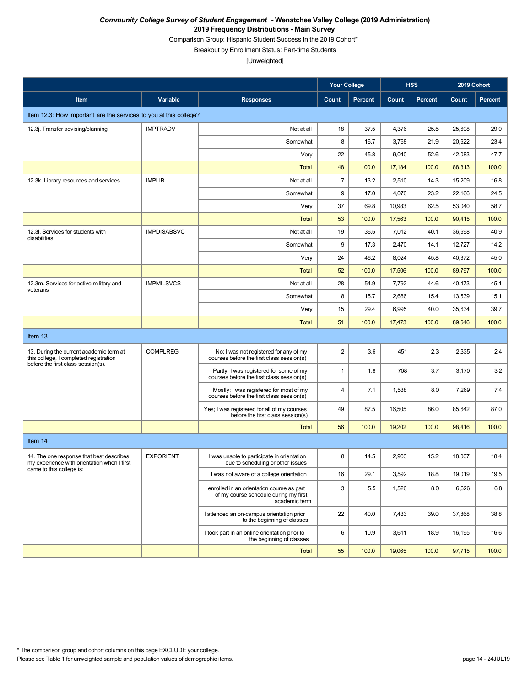Comparison Group: Hispanic Student Success in the 2019 Cohort\*

Breakout by Enrollment Status: Part-time Students

|                                                                                         |                    |                                                                                                       | <b>Your College</b> |                |        | <b>HSS</b>     | 2019 Cohort |                |
|-----------------------------------------------------------------------------------------|--------------------|-------------------------------------------------------------------------------------------------------|---------------------|----------------|--------|----------------|-------------|----------------|
| Item                                                                                    | <b>Variable</b>    | <b>Responses</b>                                                                                      | Count               | <b>Percent</b> | Count  | <b>Percent</b> | Count       | <b>Percent</b> |
| Item 12.3: How important are the services to you at this college?                       |                    |                                                                                                       |                     |                |        |                |             |                |
| 12.3j. Transfer advising/planning                                                       | <b>IMPTRADV</b>    | Not at all                                                                                            | 18                  | 37.5           | 4,376  | 25.5           | 25,608      | 29.0           |
|                                                                                         |                    | Somewhat                                                                                              | 8                   | 16.7           | 3,768  | 21.9           | 20,622      | 23.4           |
|                                                                                         |                    | Very                                                                                                  | 22                  | 45.8           | 9,040  | 52.6           | 42,083      | 47.7           |
|                                                                                         |                    | <b>Total</b>                                                                                          | 48                  | 100.0          | 17,184 | 100.0          | 88,313      | 100.0          |
| 12.3k. Library resources and services                                                   | <b>IMPLIB</b>      | Not at all                                                                                            | $\overline{7}$      | 13.2           | 2,510  | 14.3           | 15,209      | 16.8           |
|                                                                                         |                    | Somewhat                                                                                              | 9                   | 17.0           | 4,070  | 23.2           | 22,166      | 24.5           |
|                                                                                         |                    | Very                                                                                                  | 37                  | 69.8           | 10,983 | 62.5           | 53,040      | 58.7           |
|                                                                                         |                    | Total                                                                                                 | 53                  | 100.0          | 17,563 | 100.0          | 90,415      | 100.0          |
| 12.3I. Services for students with<br>disabilities                                       | <b>IMPDISABSVC</b> | Not at all                                                                                            | 19                  | 36.5           | 7,012  | 40.1           | 36,698      | 40.9           |
|                                                                                         |                    | Somewhat                                                                                              | 9                   | 17.3           | 2,470  | 14.1           | 12,727      | 14.2           |
|                                                                                         |                    | Very                                                                                                  | 24                  | 46.2           | 8,024  | 45.8           | 40,372      | 45.0           |
|                                                                                         |                    | Total                                                                                                 | 52                  | 100.0          | 17,506 | 100.0          | 89,797      | 100.0          |
| 12.3m. Services for active military and<br>veterans                                     | <b>IMPMILSVCS</b>  | Not at all                                                                                            | 28                  | 54.9           | 7,792  | 44.6           | 40,473      | 45.1           |
|                                                                                         |                    | Somewhat                                                                                              | 8                   | 15.7           | 2,686  | 15.4           | 13,539      | 15.1           |
|                                                                                         |                    | Very                                                                                                  | 15                  | 29.4           | 6,995  | 40.0           | 35,634      | 39.7           |
|                                                                                         |                    | <b>Total</b>                                                                                          | 51                  | 100.0          | 17,473 | 100.0          | 89,646      | 100.0          |
| Item 13                                                                                 |                    |                                                                                                       |                     |                |        |                |             |                |
| 13. During the current academic term at<br>this college, I completed registration       | <b>COMPLREG</b>    | No; I was not registered for any of my<br>courses before the first class session(s)                   | $\overline{c}$      | 3.6            | 451    | 2.3            | 2,335       | 2.4            |
| before the first class session(s).                                                      |                    | Partly; I was registered for some of my<br>courses before the first class session(s)                  | $\mathbf{1}$        | 1.8            | 708    | 3.7            | 3,170       | 3.2            |
|                                                                                         |                    | Mostly; I was registered for most of my<br>courses before the first class session(s)                  | 4                   | 7.1            | 1,538  | 8.0            | 7,269       | 7.4            |
|                                                                                         |                    | Yes; I was registered for all of my courses<br>before the first class session(s)                      | 49                  | 87.5           | 16,505 | 86.0           | 85,642      | 87.0           |
|                                                                                         |                    | <b>Total</b>                                                                                          | 56                  | 100.0          | 19,202 | 100.0          | 98,416      | 100.0          |
| Item 14                                                                                 |                    |                                                                                                       |                     |                |        |                |             |                |
| 14. The one response that best describes<br>my experience with orientation when I first | <b>EXPORIENT</b>   | I was unable to participate in orientation<br>due to scheduling or other issues                       | 8                   | 14.5           | 2,903  | 15.2           | 18,007      | 18.4           |
| came to this college is:                                                                |                    | I was not aware of a college orientation                                                              | 16                  | 29.1           | 3,592  | 18.8           | 19,019      | 19.5           |
|                                                                                         |                    | I enrolled in an orientation course as part<br>of my course schedule during my first<br>academic term | 3                   | 5.5            | 1,526  | 8.0            | 6,626       | $6.8\,$        |
|                                                                                         |                    | I attended an on-campus orientation prior<br>to the beginning of classes                              | 22                  | 40.0           | 7,433  | 39.0           | 37,868      | 38.8           |
|                                                                                         |                    | I took part in an online orientation prior to<br>the beginning of classes                             | 6                   | 10.9           | 3,611  | 18.9           | 16,195      | 16.6           |
|                                                                                         |                    | <b>Total</b>                                                                                          | 55                  | 100.0          | 19,065 | 100.0          | 97,715      | 100.0          |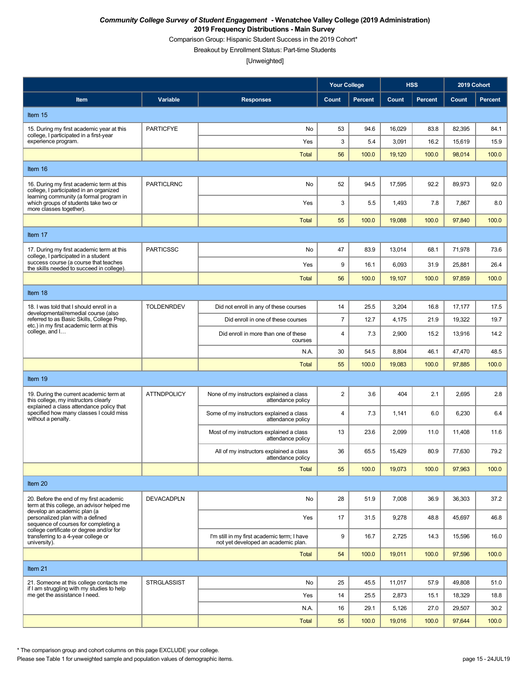Comparison Group: Hispanic Student Success in the 2019 Cohort\*

Breakout by Enrollment Status: Part-time Students

[Unweighted]

|                                                                                                                                                     |                    |                                                                                    | <b>Your College</b>     |                |        | <b>HSS</b>     | 2019 Cohort |                |
|-----------------------------------------------------------------------------------------------------------------------------------------------------|--------------------|------------------------------------------------------------------------------------|-------------------------|----------------|--------|----------------|-------------|----------------|
| Item                                                                                                                                                | Variable           | <b>Responses</b>                                                                   | Count                   | <b>Percent</b> | Count  | <b>Percent</b> | Count       | <b>Percent</b> |
| Item 15                                                                                                                                             |                    |                                                                                    |                         |                |        |                |             |                |
| 15. During my first academic year at this                                                                                                           | <b>PARTICFYE</b>   | No                                                                                 | 53                      | 94.6           | 16,029 | 83.8           | 82,395      | 84.1           |
| college, I participated in a first-year<br>experience program.                                                                                      |                    | Yes                                                                                | 3                       | 5.4            | 3,091  | 16.2           | 15,619      | 15.9           |
|                                                                                                                                                     |                    | <b>Total</b>                                                                       | 56                      | 100.0          | 19,120 | 100.0          | 98,014      | 100.0          |
| Item 16                                                                                                                                             |                    |                                                                                    |                         |                |        |                |             |                |
| 16. During my first academic term at this<br>college, I participated in an organized<br>learning community (a formal program in                     | <b>PARTICLRNC</b>  | No                                                                                 | 52                      | 94.5           | 17,595 | 92.2           | 89,973      | 92.0           |
| which groups of students take two or<br>more classes together).                                                                                     |                    | Yes                                                                                | 3                       | 5.5            | 1,493  | 7.8            | 7,867       | 8.0            |
|                                                                                                                                                     |                    | <b>Total</b>                                                                       | 55                      | 100.0          | 19,088 | 100.0          | 97,840      | 100.0          |
| Item 17                                                                                                                                             |                    |                                                                                    |                         |                |        |                |             |                |
| 17. During my first academic term at this<br>college, I participated in a student                                                                   | <b>PARTICSSC</b>   | No                                                                                 | 47                      | 83.9           | 13,014 | 68.1           | 71,978      | 73.6           |
| success course (a course that teaches<br>the skills needed to succeed in college).                                                                  |                    | Yes                                                                                | 9                       | 16.1           | 6,093  | 31.9           | 25,881      | 26.4           |
|                                                                                                                                                     |                    | <b>Total</b>                                                                       | 56                      | 100.0          | 19,107 | 100.0          | 97,859      | 100.0          |
| Item 18                                                                                                                                             |                    |                                                                                    |                         |                |        |                |             |                |
| 18. I was told that I should enroll in a<br>developmental/remedial course (also                                                                     | <b>TOLDENRDEV</b>  | Did not enroll in any of these courses                                             | 14                      | 25.5           | 3,204  | 16.8           | 17,177      | 17.5           |
| referred to as Basic Skills, College Prep,<br>etc.) in my first academic term at this                                                               |                    | Did enroll in one of these courses                                                 | $\overline{7}$          | 12.7           | 4,175  | 21.9           | 19,322      | 19.7           |
| college, and I                                                                                                                                      |                    | Did enroll in more than one of these<br>courses                                    | $\overline{\mathbf{4}}$ | 7.3            | 2,900  | 15.2           | 13,916      | 14.2           |
|                                                                                                                                                     |                    | N.A.                                                                               | 30                      | 54.5           | 8,804  | 46.1           | 47,470      | 48.5           |
|                                                                                                                                                     |                    | <b>Total</b>                                                                       | 55                      | 100.0          | 19,083 | 100.0          | 97,885      | 100.0          |
| Item 19                                                                                                                                             |                    |                                                                                    |                         |                |        |                |             |                |
| 19. During the current academic term at<br>this college, my instructors clearly<br>explained a class attendance policy that                         | <b>ATTNDPOLICY</b> | None of my instructors explained a class<br>attendance policy                      | $\overline{\mathbf{c}}$ | 3.6            | 404    | 2.1            | 2,695       | 2.8            |
| specified how many classes I could miss<br>without a penalty.                                                                                       |                    | Some of my instructors explained a class<br>attendance policy                      | 4                       | 7.3            | 1,141  | 6.0            | 6,230       | 6.4            |
|                                                                                                                                                     |                    | Most of my instructors explained a class<br>attendance policy                      | 13                      | 23.6           | 2,099  | 11.0           | 11,408      | 11.6           |
|                                                                                                                                                     |                    | All of my instructors explained a class<br>attendance policy                       | 36                      | 65.5           | 15,429 | 80.9           | 77.630      | 79.2           |
|                                                                                                                                                     |                    | <b>Total</b>                                                                       | 55                      | 100.0          | 19,073 | 100.0          | 97,963      | 100.0          |
| Item 20                                                                                                                                             |                    |                                                                                    |                         |                |        |                |             |                |
| 20. Before the end of my first academic<br>term at this college, an advisor helped me                                                               | <b>DEVACADPLN</b>  | No                                                                                 | 28                      | 51.9           | 7,008  | 36.9           | 36,303      | 37.2           |
| develop an academic plan (a<br>personalized plan with a defined<br>sequence of courses for completing a<br>college certificate or degree and/or for |                    | Yes                                                                                | 17                      | 31.5           | 9,278  | 48.8           | 45,697      | 46.8           |
| transferring to a 4-year college or<br>university).                                                                                                 |                    | I'm still in my first academic term; I have<br>not yet developed an academic plan. | 9                       | 16.7           | 2,725  | 14.3           | 15,596      | 16.0           |
|                                                                                                                                                     |                    | Total                                                                              | 54                      | 100.0          | 19,011 | 100.0          | 97,596      | 100.0          |
| Item 21                                                                                                                                             |                    |                                                                                    |                         |                |        |                |             |                |
| 21. Someone at this college contacts me<br>if I am struggling with my studies to help                                                               | <b>STRGLASSIST</b> | No                                                                                 | 25                      | 45.5           | 11,017 | 57.9           | 49,808      | 51.0           |
| me get the assistance I need.                                                                                                                       |                    | Yes                                                                                | 14                      | 25.5           | 2,873  | 15.1           | 18,329      | 18.8           |
|                                                                                                                                                     |                    | N.A.                                                                               | 16                      | 29.1           | 5,126  | 27.0           | 29,507      | 30.2           |
|                                                                                                                                                     |                    | <b>Total</b>                                                                       | 55                      | 100.0          | 19,016 | 100.0          | 97,644      | 100.0          |

\* The comparison group and cohort columns on this page EXCLUDE your college.

Please see Table 1 for unweighted sample and population values of demographic items. page 15 - 24JUL19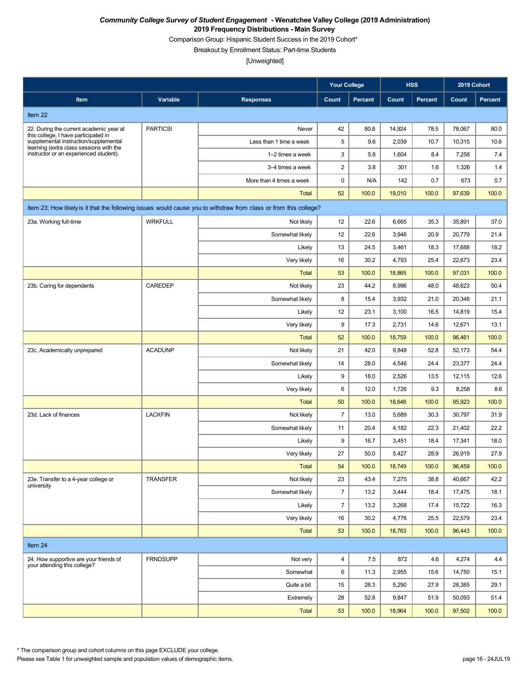Comparison Group: Hispanic Student Success in the 2019 Cohort\*

Breakout by Enrollment Status: Part-time Students

[Unweighted]

|                                                                                                                  |                 |                          | <b>Your College</b>     |                |        | <b>HSS</b>     | 2019 Cohort |                |  |
|------------------------------------------------------------------------------------------------------------------|-----------------|--------------------------|-------------------------|----------------|--------|----------------|-------------|----------------|--|
| Item                                                                                                             | Variable        | <b>Responses</b>         | Count                   | <b>Percent</b> | Count  | <b>Percent</b> | Count       | <b>Percent</b> |  |
| Item 22                                                                                                          |                 |                          |                         |                |        |                |             |                |  |
| 22. During the current academic year at                                                                          | <b>PARTICSI</b> | Never                    | 42                      | 80.8           | 14,924 | 78.5           | 78,067      | 80.0           |  |
| this college, I have participated in<br>supplemental instruction/supplemental                                    |                 | Less than 1 time a week  | 5                       | 9.6            | 2,039  | 10.7           | 10,315      | 10.6           |  |
| learning (extra class sessions with the<br>instructor or an experienced student).                                |                 | 1-2 times a week         | 3                       | 5.8            | 1,604  | 8.4            | 7,258       | 7.4            |  |
|                                                                                                                  |                 | 3-4 times a week         | $\overline{\mathbf{c}}$ | 3.8            | 301    | 1.6            | 1,326       | 1.4            |  |
|                                                                                                                  |                 | More than 4 times a week | 0                       | N/A            | 142    | 0.7            | 673         | 0.7            |  |
|                                                                                                                  |                 | <b>Total</b>             | 52                      | 100.0          | 19,010 | 100.0          | 97,639      | 100.0          |  |
| Item 23: How likely is it that the following issues would cause you to withdraw from class or from this college? |                 |                          |                         |                |        |                |             |                |  |
| 23a. Working full-time                                                                                           | <b>WRKFULL</b>  | Not likely               | 12                      | 22.6           | 6,665  | 35.3           | 35,891      | 37.0           |  |
|                                                                                                                  |                 | Somewhat likely          | 12                      | 22.6           | 3,946  | 20.9           | 20,779      | 21.4           |  |
|                                                                                                                  |                 | Likely                   | 13                      | 24.5           | 3,461  | 18.3           | 17,688      | 18.2           |  |
|                                                                                                                  |                 | Very likely              | 16                      | 30.2           | 4,793  | 25.4           | 22,673      | 23.4           |  |
|                                                                                                                  |                 | <b>Total</b>             | 53                      | 100.0          | 18,865 | 100.0          | 97,031      | 100.0          |  |
| 23b. Caring for dependents                                                                                       | CAREDEP         | Not likely               | 23                      | 44.2           | 8,996  | 48.0           | 48,623      | 50.4           |  |
|                                                                                                                  |                 | Somewhat likely          | 8                       | 15.4           | 3,932  | 21.0           | 20,348      | 21.1           |  |
|                                                                                                                  |                 | Likely                   | 12                      | 23.1           | 3,100  | 16.5           | 14,819      | 15.4           |  |
|                                                                                                                  |                 | Very likely              | 9                       | 17.3           | 2,731  | 14.6           | 12,671      | 13.1           |  |
|                                                                                                                  |                 | <b>Total</b>             | 52                      | 100.0          | 18,759 | 100.0          | 96,461      | 100.0          |  |
| 23c. Academically unprepared                                                                                     | <b>ACADUNP</b>  | Not likely               | 21                      | 42.0           | 9,848  | 52.8           | 52,173      | 54.4           |  |
|                                                                                                                  |                 | Somewhat likely          | 14                      | 28.0           | 4,546  | 24.4           | 23,377      | 24.4           |  |
|                                                                                                                  |                 | Likely                   | 9                       | 18.0           | 2,526  | 13.5           | 12,115      | 12.6           |  |
|                                                                                                                  |                 | Very likely              | 6                       | 12.0           | 1,726  | 9.3            | 8,258       | 8.6            |  |
|                                                                                                                  |                 | <b>Total</b>             | 50                      | 100.0          | 18,646 | 100.0          | 95,923      | 100.0          |  |
| 23d. Lack of finances                                                                                            | <b>LACKFIN</b>  | Not likely               | $\overline{7}$          | 13.0           | 5,689  | 30.3           | 30,797      | 31.9           |  |
|                                                                                                                  |                 | Somewhat likely          | 11                      | 20.4           | 4,182  | 22.3           | 21,402      | 22.2           |  |
|                                                                                                                  |                 | Likely                   | 9                       | 16.7           | 3,451  | 18.4           | 17,341      | 18.0           |  |
|                                                                                                                  |                 | Very likely              | 27                      | 50.0           | 5,427  | 28.9           | 26,919      | 27.9           |  |
|                                                                                                                  |                 | Total                    | 54                      | 100.0          | 18,749 | 100.0          | 96,459      | 100.0          |  |
| 23e. Transfer to a 4-year college or<br>university                                                               | <b>TRANSFER</b> | Not likely               | 23                      | 43.4           | 7,275  | 38.8           | 40,667      | 42.2           |  |
|                                                                                                                  |                 | Somewhat likely          | $\overline{7}$          | 13.2           | 3,444  | 18.4           | 17,475      | 18.1           |  |
|                                                                                                                  |                 | Likely                   | $\overline{7}$          | 13.2           | 3,268  | 17.4           | 15,722      | 16.3           |  |
|                                                                                                                  |                 | Very likely              | 16                      | 30.2           | 4,776  | 25.5           | 22,579      | 23.4           |  |
|                                                                                                                  |                 | Total                    | 53                      | 100.0          | 18,763 | 100.0          | 96,443      | 100.0          |  |
| Item 24                                                                                                          |                 |                          |                         |                |        |                |             |                |  |
| 24. How supportive are your friends of<br>your attending this college?                                           | <b>FRNDSUPP</b> | Not very                 | 4                       | 7.5            | 872    | 4.6            | 4,274       | 4.4            |  |
|                                                                                                                  |                 | Somewhat                 | 6                       | 11.3           | 2,955  | 15.6           | 14,750      | 15.1           |  |
|                                                                                                                  |                 | Quite a bit              | 15                      | 28.3           | 5,290  | 27.9           | 28,385      | 29.1           |  |
|                                                                                                                  |                 | Extremely                | 28                      | 52.8           | 9,847  | 51.9           | 50,093      | 51.4           |  |
|                                                                                                                  |                 | Total                    | 53                      | 100.0          | 18,964 | 100.0          | 97,502      | 100.0          |  |

\* The comparison group and cohort columns on this page EXCLUDE your college.

Please see Table 1 for unweighted sample and population values of demographic items. page 16 - 24JUL19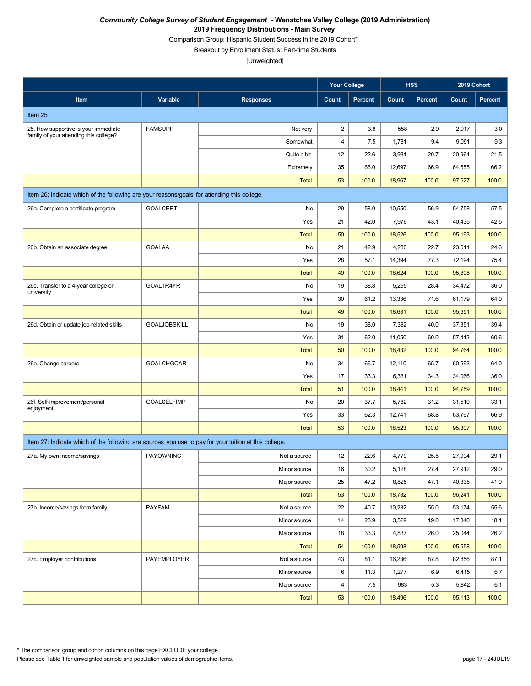Comparison Group: Hispanic Student Success in the 2019 Cohort\*

Breakout by Enrollment Status: Part-time Students

|                                                                                                       |                     |                  | <b>Your College</b>     |                |        | <b>HSS</b>     | 2019 Cohort |                |
|-------------------------------------------------------------------------------------------------------|---------------------|------------------|-------------------------|----------------|--------|----------------|-------------|----------------|
| Item                                                                                                  | Variable            | <b>Responses</b> | Count                   | <b>Percent</b> | Count  | <b>Percent</b> | Count       | <b>Percent</b> |
| Item 25                                                                                               |                     |                  |                         |                |        |                |             |                |
| 25. How supportive is your immediate                                                                  | <b>FAMSUPP</b>      | Not very         | $\overline{\mathbf{c}}$ | 3.8            | 558    | 2.9            | 2,917       | 3.0            |
| family of your attending this college?                                                                |                     | Somewhat         | $\overline{\mathbf{4}}$ | 7.5            | 1,781  | 9.4            | 9,091       | 9.3            |
|                                                                                                       |                     | Quite a bit      | 12                      | 22.6           | 3,931  | 20.7           | 20,964      | 21.5           |
|                                                                                                       |                     | Extremely        | 35                      | 66.0           | 12,697 | 66.9           | 64,555      | 66.2           |
|                                                                                                       |                     | <b>Total</b>     | 53                      | 100.0          | 18,967 | 100.0          | 97,527      | 100.0          |
| Item 26: Indicate which of the following are your reasons/goals for attending this college.           |                     |                  |                         |                |        |                |             |                |
| 26a. Complete a certificate program                                                                   | <b>GOALCERT</b>     | No               | 29                      | 58.0           | 10,550 | 56.9           | 54,758      | 57.5           |
|                                                                                                       |                     | Yes              | 21                      | 42.0           | 7,976  | 43.1           | 40,435      | 42.5           |
|                                                                                                       |                     | <b>Total</b>     | 50                      | 100.0          | 18,526 | 100.0          | 95,193      | 100.0          |
| 26b. Obtain an associate degree                                                                       | <b>GOALAA</b>       | No               | 21                      | 42.9           | 4,230  | 22.7           | 23,611      | 24.6           |
|                                                                                                       |                     | Yes              | 28                      | 57.1           | 14,394 | 77.3           | 72,194      | 75.4           |
|                                                                                                       |                     | <b>Total</b>     | 49                      | 100.0          | 18,624 | 100.0          | 95,805      | 100.0          |
| 26c. Transfer to a 4-year college or<br>university                                                    | GOALTR4YR           | No               | 19                      | 38.8           | 5,295  | 28.4           | 34,472      | 36.0           |
|                                                                                                       |                     | Yes              | 30                      | 61.2           | 13,336 | 71.6           | 61,179      | 64.0           |
|                                                                                                       |                     | <b>Total</b>     | 49                      | 100.0          | 18,631 | 100.0          | 95,651      | 100.0          |
| 26d. Obtain or update job-related skills                                                              | <b>GOALJOBSKILL</b> | No               | 19                      | 38.0           | 7,382  | 40.0           | 37,351      | 39.4           |
|                                                                                                       |                     | Yes              | 31                      | 62.0           | 11,050 | 60.0           | 57,413      | 60.6           |
|                                                                                                       |                     | <b>Total</b>     | 50                      | 100.0          | 18,432 | 100.0          | 94,764      | 100.0          |
| 26e. Change careers                                                                                   | <b>GOALCHGCAR</b>   | No               | 34                      | 66.7           | 12,110 | 65.7           | 60,693      | 64.0           |
|                                                                                                       |                     | Yes              | 17                      | 33.3           | 6,331  | 34.3           | 34,066      | 36.0           |
|                                                                                                       |                     | <b>Total</b>     | 51                      | 100.0          | 18,441 | 100.0          | 94,759      | 100.0          |
| 26f. Self-improvement/personal<br>enjoyment                                                           | <b>GOALSELFIMP</b>  | No               | 20                      | 37.7           | 5,782  | 31.2           | 31,510      | 33.1           |
|                                                                                                       |                     | Yes              | 33                      | 62.3           | 12,741 | 68.8           | 63,797      | 66.9           |
|                                                                                                       |                     | <b>Total</b>     | 53                      | 100.0          | 18,523 | 100.0          | 95,307      | 100.0          |
| Item 27: Indicate which of the following are sources you use to pay for your tuition at this college. |                     |                  |                         |                |        |                |             |                |
| 27a. My own income/savings                                                                            | <b>PAYOWNINC</b>    | Not a source     | 12                      | 22.6           | 4,779  | 25.5           | 27,994      | 29.1           |
|                                                                                                       |                     | Minor source     | 16                      | 30.2           | 5,128  | 27.4           | 27,912      | 29.0           |
|                                                                                                       |                     | Major source     | 25                      | 47.2           | 8,825  | 47.1           | 40,335      | 41.9           |
|                                                                                                       |                     | Total            | 53                      | 100.0          | 18,732 | 100.0          | 96,241      | 100.0          |
| 27b. Income/savings from family                                                                       | <b>PAYFAM</b>       | Not a source     | 22                      | 40.7           | 10,232 | 55.0           | 53,174      | 55.6           |
|                                                                                                       |                     | Minor source     | 14                      | 25.9           | 3,529  | 19.0           | 17,340      | 18.1           |
|                                                                                                       |                     | Major source     | 18                      | 33.3           | 4,837  | 26.0           | 25,044      | 26.2           |
|                                                                                                       |                     | Total            | 54                      | 100.0          | 18,598 | 100.0          | 95,558      | 100.0          |
| 27c. Employer contributions                                                                           | PAYEMPLOYER         | Not a source     | 43                      | 81.1           | 16,236 | 87.8           | 82,856      | 87.1           |
|                                                                                                       |                     | Minor source     | 6                       | 11.3           | 1,277  | 6.9            | 6,415       | 6.7            |
|                                                                                                       |                     | Major source     | 4                       | 7.5            | 983    | 5.3            | 5,842       | 6.1            |
|                                                                                                       |                     | Total            | 53                      | 100.0          | 18,496 | 100.0          | 95,113      | 100.0          |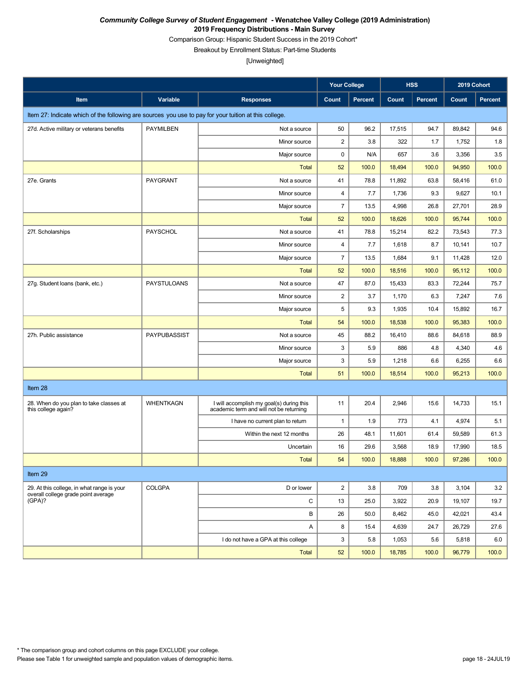Comparison Group: Hispanic Student Success in the 2019 Cohort\*

Breakout by Enrollment Status: Part-time Students

|                                                                                                       |                    |                                                                                     | <b>Your College</b>     |                | <b>HSS</b> |                | 2019 Cohort |                |
|-------------------------------------------------------------------------------------------------------|--------------------|-------------------------------------------------------------------------------------|-------------------------|----------------|------------|----------------|-------------|----------------|
| Item                                                                                                  | Variable           | <b>Responses</b>                                                                    | Count                   | <b>Percent</b> | Count      | <b>Percent</b> | Count       | <b>Percent</b> |
| Item 27: Indicate which of the following are sources you use to pay for your tuition at this college. |                    |                                                                                     |                         |                |            |                |             |                |
| 27d. Active military or veterans benefits                                                             | <b>PAYMILBEN</b>   | Not a source                                                                        | 50                      | 96.2           | 17,515     | 94.7           | 89,842      | 94.6           |
|                                                                                                       |                    | Minor source                                                                        | $\overline{2}$          | 3.8            | 322        | 1.7            | 1,752       | 1.8            |
|                                                                                                       |                    | Major source                                                                        | 0                       | N/A            | 657        | 3.6            | 3,356       | 3.5            |
|                                                                                                       |                    | <b>Total</b>                                                                        | 52                      | 100.0          | 18,494     | 100.0          | 94,950      | 100.0          |
| 27e. Grants                                                                                           | PAYGRANT           | Not a source                                                                        | 41                      | 78.8           | 11,892     | 63.8           | 58,416      | 61.0           |
|                                                                                                       |                    | Minor source                                                                        | $\overline{\mathbf{4}}$ | 7.7            | 1,736      | 9.3            | 9,627       | 10.1           |
|                                                                                                       |                    | Major source                                                                        | $\overline{7}$          | 13.5           | 4,998      | 26.8           | 27,701      | 28.9           |
|                                                                                                       |                    | <b>Total</b>                                                                        | 52                      | 100.0          | 18,626     | 100.0          | 95,744      | 100.0          |
| 27f. Scholarships                                                                                     | PAYSCHOL           | Not a source                                                                        | 41                      | 78.8           | 15,214     | 82.2           | 73,543      | 77.3           |
|                                                                                                       |                    | Minor source                                                                        | $\overline{4}$          | 7.7            | 1,618      | 8.7            | 10,141      | 10.7           |
|                                                                                                       |                    | Major source                                                                        | $\overline{7}$          | 13.5           | 1,684      | 9.1            | 11,428      | 12.0           |
|                                                                                                       |                    | <b>Total</b>                                                                        | 52                      | 100.0          | 18,516     | 100.0          | 95,112      | 100.0          |
| 27g. Student loans (bank, etc.)                                                                       | <b>PAYSTULOANS</b> | Not a source                                                                        | 47                      | 87.0           | 15,433     | 83.3           | 72,244      | 75.7           |
|                                                                                                       |                    | Minor source                                                                        | $\boldsymbol{2}$        | 3.7            | 1,170      | 6.3            | 7,247       | 7.6            |
|                                                                                                       |                    | Major source                                                                        | 5                       | 9.3            | 1,935      | 10.4           | 15,892      | 16.7           |
|                                                                                                       |                    | <b>Total</b>                                                                        | 54                      | 100.0          | 18,538     | 100.0          | 95,383      | 100.0          |
| 27h. Public assistance                                                                                | PAYPUBASSIST       | Not a source                                                                        | 45                      | 88.2           | 16,410     | 88.6           | 84,618      | 88.9           |
|                                                                                                       |                    | Minor source                                                                        | 3                       | 5.9            | 886        | 4.8            | 4,340       | 4.6            |
|                                                                                                       |                    | Major source                                                                        | 3                       | 5.9            | 1,218      | 6.6            | 6,255       | 6.6            |
|                                                                                                       |                    | <b>Total</b>                                                                        | 51                      | 100.0          | 18,514     | 100.0          | 95,213      | 100.0          |
| Item 28                                                                                               |                    |                                                                                     |                         |                |            |                |             |                |
| 28. When do you plan to take classes at<br>this college again?                                        | <b>WHENTKAGN</b>   | I will accomplish my goal(s) during this<br>academic term and will not be returning | 11                      | 20.4           | 2,946      | 15.6           | 14,733      | 15.1           |
|                                                                                                       |                    | I have no current plan to return                                                    | $\mathbf{1}$            | 1.9            | 773        | 4.1            | 4,974       | 5.1            |
|                                                                                                       |                    | Within the next 12 months                                                           | 26                      | 48.1           | 11,601     | 61.4           | 59,589      | 61.3           |
|                                                                                                       |                    | Uncertain                                                                           | 16                      | 29.6           | 3,568      | 18.9           | 17,990      | 18.5           |
|                                                                                                       |                    | <b>Total</b>                                                                        | 54                      | 100.0          | 18,888     | 100.0          | 97,286      | 100.0          |
| Item 29                                                                                               |                    |                                                                                     |                         |                |            |                |             |                |
| 29. At this college, in what range is your                                                            | <b>COLGPA</b>      | D or lower                                                                          | $\overline{2}$          | 3.8            | 709        | 3.8            | 3,104       | 3.2            |
| overall college grade point average<br>(GPA)?                                                         |                    | С                                                                                   | 13                      | 25.0           | 3,922      | 20.9           | 19,107      | 19.7           |
|                                                                                                       |                    | B                                                                                   | 26                      | 50.0           | 8,462      | 45.0           | 42,021      | 43.4           |
|                                                                                                       |                    | Α                                                                                   | 8                       | 15.4           | 4,639      | 24.7           | 26,729      | 27.6           |
|                                                                                                       |                    | I do not have a GPA at this college                                                 | 3                       | 5.8            | 1,053      | 5.6            | 5,818       | 6.0            |
|                                                                                                       |                    | Total                                                                               | 52                      | 100.0          | 18,785     | 100.0          | 96,779      | 100.0          |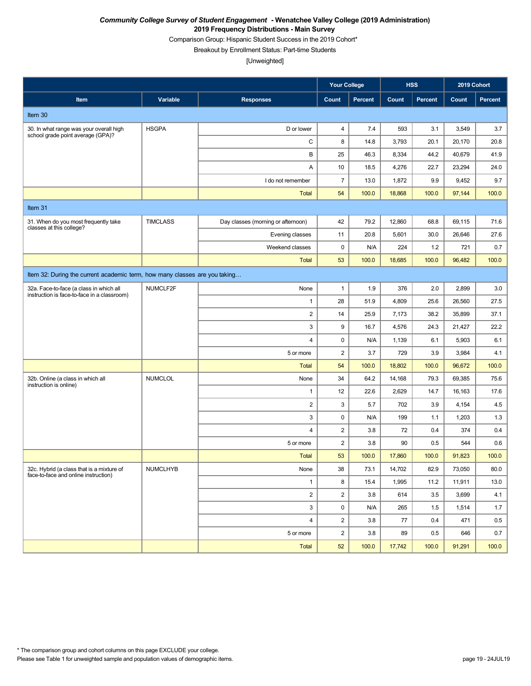Comparison Group: Hispanic Student Success in the 2019 Cohort\*

Breakout by Enrollment Status: Part-time Students

|                                                                                        |                 |                                    | <b>Your College</b>       |                |        | <b>HSS</b>     | 2019 Cohort |                |
|----------------------------------------------------------------------------------------|-----------------|------------------------------------|---------------------------|----------------|--------|----------------|-------------|----------------|
| Item                                                                                   | Variable        | <b>Responses</b>                   | Count                     | <b>Percent</b> | Count  | <b>Percent</b> | Count       | <b>Percent</b> |
| Item 30                                                                                |                 |                                    |                           |                |        |                |             |                |
| 30. In what range was your overall high<br>school grade point average (GPA)?           | <b>HSGPA</b>    | D or lower                         | $\overline{\mathbf{4}}$   | 7.4            | 593    | 3.1            | 3,549       | 3.7            |
|                                                                                        |                 | C                                  | 8                         | 14.8           | 3,793  | 20.1           | 20,170      | 20.8           |
|                                                                                        |                 | B                                  | 25                        | 46.3           | 8,334  | 44.2           | 40,679      | 41.9           |
|                                                                                        |                 | Α                                  | 10                        | 18.5           | 4,276  | 22.7           | 23,294      | 24.0           |
|                                                                                        |                 | I do not remember                  | $\overline{7}$            | 13.0           | 1,872  | 9.9            | 9,452       | 9.7            |
|                                                                                        |                 | <b>Total</b>                       | 54                        | 100.0          | 18,868 | 100.0          | 97,144      | 100.0          |
| Item 31                                                                                |                 |                                    |                           |                |        |                |             |                |
| 31. When do you most frequently take<br>classes at this college?                       | <b>TIMCLASS</b> | Day classes (morning or afternoon) | 42                        | 79.2           | 12,860 | 68.8           | 69,115      | 71.6           |
|                                                                                        |                 | Evening classes                    | 11                        | 20.8           | 5,601  | 30.0           | 26,646      | 27.6           |
|                                                                                        |                 | Weekend classes                    | $\pmb{0}$                 | N/A            | 224    | 1.2            | 721         | 0.7            |
|                                                                                        |                 | <b>Total</b>                       | 53                        | 100.0          | 18,685 | 100.0          | 96,482      | 100.0          |
| Item 32: During the current academic term, how many classes are you taking             |                 |                                    |                           |                |        |                |             |                |
| 32a. Face-to-face (a class in which all<br>instruction is face-to-face in a classroom) | NUMCLF2F        | None                               | $\mathbf{1}$              | 1.9            | 376    | 2.0            | 2,899       | 3.0            |
|                                                                                        |                 | 1                                  | 28                        | 51.9           | 4,809  | 25.6           | 26,560      | 27.5           |
|                                                                                        |                 | $\overline{a}$                     | 14                        | 25.9           | 7,173  | 38.2           | 35,899      | 37.1           |
|                                                                                        |                 | 3                                  | 9                         | 16.7           | 4,576  | 24.3           | 21,427      | 22.2           |
|                                                                                        |                 | 4                                  | $\mathbf 0$               | N/A            | 1,139  | 6.1            | 5,903       | 6.1            |
|                                                                                        |                 | 5 or more                          | $\sqrt{2}$                | 3.7            | 729    | 3.9            | 3,984       | 4.1            |
|                                                                                        |                 | <b>Total</b>                       | 54                        | 100.0          | 18,802 | 100.0          | 96,672      | 100.0          |
| 32b. Online (a class in which all<br>instruction is online)                            | <b>NUMCLOL</b>  | None                               | 34                        | 64.2           | 14,168 | 79.3           | 69,385      | 75.6           |
|                                                                                        |                 | 1                                  | 12                        | 22.6           | 2,629  | 14.7           | 16,163      | 17.6           |
|                                                                                        |                 | $\overline{c}$                     | $\ensuremath{\mathsf{3}}$ | 5.7            | 702    | 3.9            | 4,154       | 4.5            |
|                                                                                        |                 | 3                                  | $\mathbf 0$               | N/A            | 199    | 1.1            | 1,203       | 1.3            |
|                                                                                        |                 | 4                                  | $\sqrt{2}$                | 3.8            | 72     | 0.4            | 374         | 0.4            |
|                                                                                        |                 | 5 or more                          | 2                         | 3.8            | 90     | 0.5            | 544         | 0.6            |
|                                                                                        |                 | <b>Total</b>                       | 53                        | 100.0          | 17,860 | 100.0          | 91,823      | 100.0          |
| 32c. Hybrid (a class that is a mixture of<br>face-to-face and online instruction)      | <b>NUMCLHYB</b> | None                               | 38                        | 73.1           | 14,702 | 82.9           | 73,050      | 80.0           |
|                                                                                        |                 | $\mathbf{1}$                       | 8                         | 15.4           | 1,995  | 11.2           | 11,911      | 13.0           |
|                                                                                        |                 | $\overline{c}$                     | $\overline{2}$            | 3.8            | 614    | 3.5            | 3,699       | 4.1            |
|                                                                                        |                 | 3                                  | $\pmb{0}$                 | N/A            | 265    | 1.5            | 1,514       | 1.7            |
|                                                                                        |                 | $\overline{4}$                     | $\overline{c}$            | 3.8            | 77     | 0.4            | 471         | $0.5\,$        |
|                                                                                        |                 | 5 or more                          | $\overline{c}$            | 3.8            | 89     | 0.5            | 646         | 0.7            |
|                                                                                        |                 | Total                              | 52                        | 100.0          | 17,742 | 100.0          | 91,291      | 100.0          |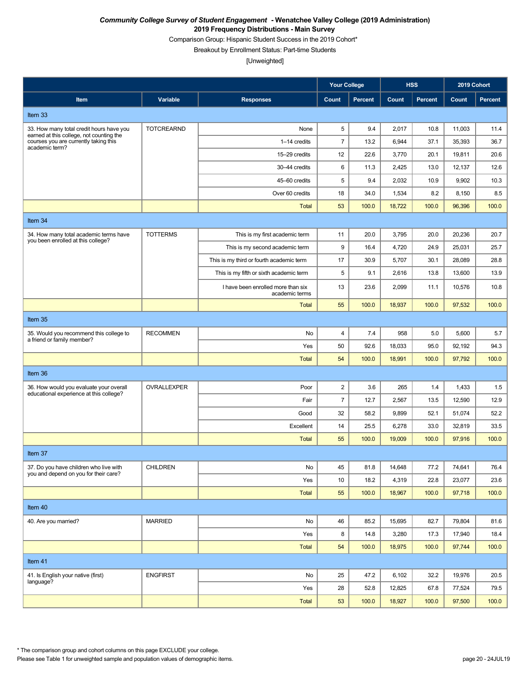Comparison Group: Hispanic Student Success in the 2019 Cohort\*

Breakout by Enrollment Status: Part-time Students

[Unweighted]

|                                                                                    |                   |                                                      | <b>Your College</b> |         |        | <b>HSS</b>     | 2019 Cohort |         |  |  |
|------------------------------------------------------------------------------------|-------------------|------------------------------------------------------|---------------------|---------|--------|----------------|-------------|---------|--|--|
| Item                                                                               | Variable          | <b>Responses</b>                                     | Count               | Percent | Count  | <b>Percent</b> | Count       | Percent |  |  |
| Item 33                                                                            |                   |                                                      |                     |         |        |                |             |         |  |  |
| 33. How many total credit hours have you                                           | <b>TOTCREARND</b> | None                                                 | 5                   | 9.4     | 2,017  | 10.8           | 11,003      | 11.4    |  |  |
| earned at this college, not counting the<br>courses you are currently taking this  |                   | 1-14 credits                                         | $\overline{7}$      | 13.2    | 6,944  | 37.1           | 35,393      | 36.7    |  |  |
| academic term?                                                                     |                   | 15-29 credits                                        | 12                  | 22.6    | 3,770  | 20.1           | 19,811      | 20.6    |  |  |
|                                                                                    |                   | 30-44 credits                                        | 6                   | 11.3    | 2,425  | 13.0           | 12,137      | 12.6    |  |  |
|                                                                                    |                   | 45-60 credits                                        | 5                   | 9.4     | 2,032  | 10.9           | 9,902       | 10.3    |  |  |
|                                                                                    |                   | Over 60 credits                                      | 18                  | 34.0    | 1,534  | 8.2            | 8,150       | 8.5     |  |  |
|                                                                                    |                   | <b>Total</b>                                         | 53                  | 100.0   | 18,722 | 100.0          | 96,396      | 100.0   |  |  |
| Item 34                                                                            |                   |                                                      |                     |         |        |                |             |         |  |  |
| 34. How many total academic terms have<br>you been enrolled at this college?       | <b>TOTTERMS</b>   | This is my first academic term                       | 11                  | 20.0    | 3,795  | 20.0           | 20,236      | 20.7    |  |  |
|                                                                                    |                   | This is my second academic term                      | 9                   | 16.4    | 4,720  | 24.9           | 25,031      | 25.7    |  |  |
|                                                                                    |                   | This is my third or fourth academic term             | 17                  | 30.9    | 5,707  | 30.1           | 28,089      | 28.8    |  |  |
|                                                                                    |                   | This is my fifth or sixth academic term              | 5                   | 9.1     | 2,616  | 13.8           | 13,600      | 13.9    |  |  |
|                                                                                    |                   | I have been enrolled more than six<br>academic terms | 13                  | 23.6    | 2,099  | 11.1           | 10,576      | 10.8    |  |  |
|                                                                                    |                   | <b>Total</b>                                         | 55                  | 100.0   | 18,937 | 100.0          | 97,532      | 100.0   |  |  |
| Item 35                                                                            |                   |                                                      |                     |         |        |                |             |         |  |  |
| 35. Would you recommend this college to<br>a friend or family member?              | <b>RECOMMEN</b>   | No                                                   | 4                   | 7.4     | 958    | 5.0            | 5,600       | 5.7     |  |  |
|                                                                                    |                   | Yes                                                  | 50                  | 92.6    | 18,033 | 95.0           | 92,192      | 94.3    |  |  |
|                                                                                    |                   | <b>Total</b>                                         | 54                  | 100.0   | 18,991 | 100.0          | 97,792      | 100.0   |  |  |
| Item 36                                                                            |                   |                                                      |                     |         |        |                |             |         |  |  |
| 36. How would you evaluate your overall<br>educational experience at this college? | OVRALLEXPER       | Poor                                                 | $\overline{c}$      | 3.6     | 265    | 1.4            | 1,433       | 1.5     |  |  |
|                                                                                    |                   | Fair                                                 | $\overline{7}$      | 12.7    | 2,567  | 13.5           | 12,590      | 12.9    |  |  |
|                                                                                    |                   | Good                                                 | 32                  | 58.2    | 9,899  | 52.1           | 51,074      | 52.2    |  |  |
|                                                                                    |                   | Excellent                                            | 14                  | 25.5    | 6,278  | 33.0           | 32,819      | 33.5    |  |  |
|                                                                                    |                   | <b>Total</b>                                         | 55                  | 100.0   | 19,009 | 100.0          | 97,916      | 100.0   |  |  |
| Item 37                                                                            |                   |                                                      |                     |         |        |                |             |         |  |  |
| 37. Do you have children who live with<br>you and depend on you for their care?    | <b>CHILDREN</b>   | No                                                   | 45                  | 81.8    | 14,648 | 77.2           | 74,641      | 76.4    |  |  |
|                                                                                    |                   | Yes                                                  | 10                  | 18.2    | 4,319  | 22.8           | 23,077      | 23.6    |  |  |
|                                                                                    |                   | <b>Total</b>                                         | 55                  | 100.0   | 18,967 | 100.0          | 97,718      | 100.0   |  |  |
| Item 40                                                                            |                   |                                                      |                     |         |        |                |             |         |  |  |
| 40. Are you married?                                                               | <b>MARRIED</b>    | No                                                   | 46                  | 85.2    | 15,695 | 82.7           | 79,804      | 81.6    |  |  |
|                                                                                    |                   | Yes                                                  | 8                   | 14.8    | 3,280  | 17.3           | 17,940      | 18.4    |  |  |
|                                                                                    |                   | Total                                                | 54                  | 100.0   | 18,975 | 100.0          | 97,744      | 100.0   |  |  |
| Item 41                                                                            |                   |                                                      |                     |         |        |                |             |         |  |  |
| 41. Is English your native (first)                                                 | <b>ENGFIRST</b>   | No                                                   | 25                  | 47.2    | 6,102  | 32.2           | 19,976      | 20.5    |  |  |
| language?                                                                          |                   | Yes                                                  | 28                  | 52.8    | 12,825 | 67.8           | 77,524      | 79.5    |  |  |
|                                                                                    |                   | <b>Total</b>                                         | 53                  | 100.0   | 18,927 | 100.0          | 97,500      | 100.0   |  |  |

\* The comparison group and cohort columns on this page EXCLUDE your college.

Please see Table 1 for unweighted sample and population values of demographic items. page 20 - 24JUL19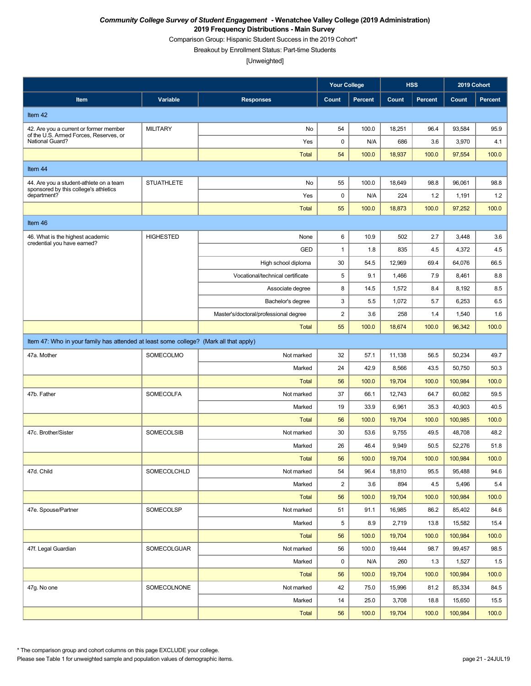Comparison Group: Hispanic Student Success in the 2019 Cohort\*

Breakout by Enrollment Status: Part-time Students

[Unweighted]

|                                                                                       |                   |                                       | <b>Your College</b> |         |        | <b>HSS</b>     | 2019 Cohort |                |
|---------------------------------------------------------------------------------------|-------------------|---------------------------------------|---------------------|---------|--------|----------------|-------------|----------------|
| Item                                                                                  | Variable          | <b>Responses</b>                      | Count               | Percent | Count  | <b>Percent</b> | Count       | <b>Percent</b> |
| Item 42                                                                               |                   |                                       |                     |         |        |                |             |                |
| 42. Are you a current or former member                                                | <b>MILITARY</b>   | No                                    | 54                  | 100.0   | 18,251 | 96.4           | 93,584      | 95.9           |
| of the U.S. Armed Forces, Reserves, or<br>National Guard?                             |                   | Yes                                   | $\mathbf 0$         | N/A     | 686    | 3.6            | 3,970       | 4.1            |
|                                                                                       |                   | <b>Total</b>                          | 54                  | 100.0   | 18,937 | 100.0          | 97,554      | 100.0          |
| Item 44                                                                               |                   |                                       |                     |         |        |                |             |                |
| 44. Are you a student-athlete on a team                                               | <b>STUATHLETE</b> | No                                    | 55                  | 100.0   | 18,649 | 98.8           | 96,061      | 98.8           |
| sponsored by this college's athletics<br>department?                                  |                   | Yes                                   | $\mathbf 0$         | N/A     | 224    | 1.2            | 1,191       | 1.2            |
|                                                                                       |                   | <b>Total</b>                          | 55                  | 100.0   | 18,873 | 100.0          | 97,252      | 100.0          |
| Item 46                                                                               |                   |                                       |                     |         |        |                |             |                |
| 46. What is the highest academic                                                      | <b>HIGHESTED</b>  | None                                  | 6                   | 10.9    | 502    | 2.7            | 3,448       | 3.6            |
| credential you have earned?                                                           |                   | <b>GED</b>                            | $\mathbf{1}$        | 1.8     | 835    | 4.5            | 4,372       | 4.5            |
|                                                                                       |                   | High school diploma                   | 30                  | 54.5    | 12,969 | 69.4           | 64,076      | 66.5           |
|                                                                                       |                   | Vocational/technical certificate      | 5                   | 9.1     | 1,466  | 7.9            | 8,461       | 8.8            |
|                                                                                       |                   | Associate degree                      | 8                   | 14.5    | 1,572  | 8.4            | 8,192       | 8.5            |
|                                                                                       |                   | Bachelor's degree                     | 3                   | 5.5     | 1,072  | 5.7            | 6,253       | 6.5            |
|                                                                                       |                   | Master's/doctoral/professional degree | $\overline{c}$      | 3.6     | 258    | 1.4            | 1,540       | 1.6            |
|                                                                                       |                   | <b>Total</b>                          | 55                  | 100.0   | 18,674 | 100.0          | 96,342      | 100.0          |
| Item 47: Who in your family has attended at least some college? (Mark all that apply) |                   |                                       |                     |         |        |                |             |                |
| 47a. Mother                                                                           | SOMECOLMO         | Not marked                            | 32                  | 57.1    | 11,138 | 56.5           | 50,234      | 49.7           |
|                                                                                       |                   | Marked                                | 24                  | 42.9    | 8,566  | 43.5           | 50,750      | 50.3           |
|                                                                                       |                   | <b>Total</b>                          | 56                  | 100.0   | 19,704 | 100.0          | 100,984     | 100.0          |
| 47b. Father                                                                           | <b>SOMECOLFA</b>  | Not marked                            | 37                  | 66.1    | 12,743 | 64.7           | 60,082      | 59.5           |
|                                                                                       |                   | Marked                                | 19                  | 33.9    | 6,961  | 35.3           | 40,903      | 40.5           |
|                                                                                       |                   | <b>Total</b>                          | 56                  | 100.0   | 19,704 | 100.0          | 100,985     | 100.0          |
| 47c. Brother/Sister                                                                   | SOMECOLSIB        | Not marked                            | 30                  | 53.6    | 9,755  | 49.5           | 48,708      | 48.2           |
|                                                                                       |                   | Marked                                | 26                  | 46.4    | 9,949  | 50.5           | 52,276      | 51.8           |
|                                                                                       |                   | <b>Total</b>                          | 56                  | 100.0   | 19,704 | 100.0          | 100,984     | 100.0          |
| 47d. Child                                                                            | SOMECOLCHLD       | Not marked                            | 54                  | 96.4    | 18,810 | 95.5           | 95,488      | 94.6           |
|                                                                                       |                   | Marked                                | $\overline{2}$      | 3.6     | 894    | 4.5            | 5,496       | 5.4            |
|                                                                                       |                   | Total                                 | 56                  | 100.0   | 19,704 | 100.0          | 100,984     | 100.0          |
| 47e. Spouse/Partner                                                                   | SOMECOLSP         | Not marked                            | 51                  | 91.1    | 16,985 | 86.2           | 85,402      | 84.6           |
|                                                                                       |                   | Marked                                | 5                   | 8.9     | 2,719  | 13.8           | 15,582      | 15.4           |
|                                                                                       |                   | Total                                 | 56                  | 100.0   | 19,704 | 100.0          | 100,984     | 100.0          |
| 47f. Legal Guardian                                                                   | SOMECOLGUAR       | Not marked                            | 56                  | 100.0   | 19,444 | 98.7           | 99,457      | 98.5           |
|                                                                                       |                   | Marked                                | $\mathsf 0$         | N/A     | 260    | 1.3            | 1,527       | 1.5            |
|                                                                                       |                   | Total                                 | 56                  | 100.0   | 19,704 | 100.0          | 100,984     | 100.0          |
| 47g. No one                                                                           | SOMECOLNONE       | Not marked                            | 42                  | 75.0    | 15,996 | 81.2           | 85,334      | 84.5           |
|                                                                                       |                   | Marked                                | 14                  | 25.0    | 3,708  | 18.8           | 15,650      | 15.5           |
|                                                                                       |                   | Total                                 | 56                  | 100.0   | 19,704 | 100.0          | 100,984     | 100.0          |

\* The comparison group and cohort columns on this page EXCLUDE your college.

Please see Table 1 for unweighted sample and population values of demographic items. page 21 - 24JUL19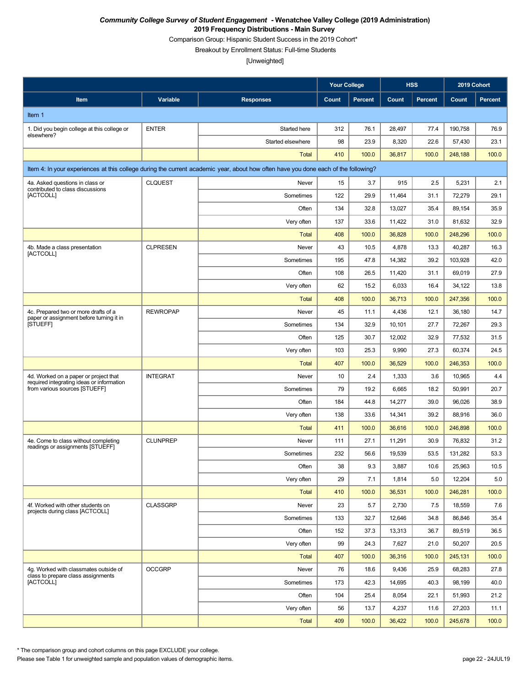Comparison Group: Hispanic Student Success in the 2019 Cohort\*

Breakout by Enrollment Status: Full-time Students

[Unweighted]

|                                                                                    |                 |                                                                                                                                    | <b>Your College</b> |                |        | <b>HSS</b>     | 2019 Cohort |                |
|------------------------------------------------------------------------------------|-----------------|------------------------------------------------------------------------------------------------------------------------------------|---------------------|----------------|--------|----------------|-------------|----------------|
| Item                                                                               | Variable        | <b>Responses</b>                                                                                                                   | Count               | <b>Percent</b> | Count  | <b>Percent</b> | Count       | <b>Percent</b> |
| Item 1                                                                             |                 |                                                                                                                                    |                     |                |        |                |             |                |
| 1. Did you begin college at this college or                                        | <b>ENTER</b>    | Started here                                                                                                                       | 312                 | 76.1           | 28,497 | 77.4           | 190,758     | 76.9           |
| elsewhere?                                                                         |                 | Started elsewhere                                                                                                                  | 98                  | 23.9           | 8,320  | 22.6           | 57,430      | 23.1           |
|                                                                                    |                 | <b>Total</b>                                                                                                                       | 410                 | 100.0          | 36,817 | 100.0          | 248,188     | 100.0          |
|                                                                                    |                 | Item 4: In your experiences at this college during the current academic year, about how often have you done each of the following? |                     |                |        |                |             |                |
| 4a. Asked questions in class or                                                    | <b>CLQUEST</b>  | Never                                                                                                                              | 15                  | 3.7            | 915    | 2.5            | 5,231       | 2.1            |
| contributed to class discussions<br>[ACTCOLL]                                      |                 | Sometimes                                                                                                                          | 122                 | 29.9           | 11,464 | 31.1           | 72,279      | 29.1           |
|                                                                                    |                 | Often                                                                                                                              | 134                 | 32.8           | 13,027 | 35.4           | 89,154      | 35.9           |
|                                                                                    |                 | Very often                                                                                                                         | 137                 | 33.6           | 11,422 | 31.0           | 81,632      | 32.9           |
|                                                                                    |                 | <b>Total</b>                                                                                                                       | 408                 | 100.0          | 36,828 | 100.0          | 248,296     | 100.0          |
| 4b. Made a class presentation<br>[ACTCOLL]                                         | <b>CLPRESEN</b> | Never                                                                                                                              | 43                  | 10.5           | 4,878  | 13.3           | 40,287      | 16.3           |
|                                                                                    |                 | Sometimes                                                                                                                          | 195                 | 47.8           | 14,382 | 39.2           | 103,928     | 42.0           |
|                                                                                    |                 | Often                                                                                                                              | 108                 | 26.5           | 11,420 | 31.1           | 69,019      | 27.9           |
|                                                                                    |                 | Very often                                                                                                                         | 62                  | 15.2           | 6,033  | 16.4           | 34,122      | 13.8           |
|                                                                                    |                 | <b>Total</b>                                                                                                                       | 408                 | 100.0          | 36,713 | 100.0          | 247,356     | 100.0          |
| 4c. Prepared two or more drafts of a<br>paper or assignment before turning it in   | <b>REWROPAP</b> | Never                                                                                                                              | 45                  | 11.1           | 4,436  | 12.1           | 36,180      | 14.7           |
| <b>ISTUEFFI</b>                                                                    |                 | Sometimes                                                                                                                          | 134                 | 32.9           | 10,101 | 27.7           | 72,267      | 29.3           |
|                                                                                    |                 | Often                                                                                                                              | 125                 | 30.7           | 12,002 | 32.9           | 77,532      | 31.5           |
|                                                                                    |                 | Very often                                                                                                                         | 103                 | 25.3           | 9,990  | 27.3           | 60,374      | 24.5           |
|                                                                                    |                 | <b>Total</b>                                                                                                                       | 407                 | 100.0          | 36,529 | 100.0          | 246,353     | 100.0          |
| 4d. Worked on a paper or project that<br>required integrating ideas or information | <b>INTEGRAT</b> | Never                                                                                                                              | 10                  | 2.4            | 1,333  | 3.6            | 10,965      | 4.4            |
| from various sources [STUEFF]                                                      |                 | Sometimes                                                                                                                          | 79                  | 19.2           | 6,665  | 18.2           | 50,991      | 20.7           |
|                                                                                    |                 | Often                                                                                                                              | 184                 | 44.8           | 14,277 | 39.0           | 96,026      | 38.9           |
|                                                                                    |                 | Very often                                                                                                                         | 138                 | 33.6           | 14,341 | 39.2           | 88,916      | 36.0           |
|                                                                                    |                 | <b>Total</b>                                                                                                                       | 411                 | 100.0          | 36,616 | 100.0          | 246,898     | 100.0          |
| 4e. Come to class without completing<br>readings or assignments [STUEFF]           | <b>CLUNPREP</b> | Never                                                                                                                              | 111                 | 27.1           | 11,291 | 30.9           | 76,832      | 31.2           |
|                                                                                    |                 | Sometimes                                                                                                                          | 232                 | 56.6           | 19,539 | 53.5           | 131,282     | 53.3           |
|                                                                                    |                 | Often                                                                                                                              | 38                  | 9.3            | 3,887  | 10.6           | 25,963      | 10.5           |
|                                                                                    |                 | Very often                                                                                                                         | 29                  | 7.1            | 1,814  | 5.0            | 12,204      | 5.0            |
|                                                                                    |                 | <b>Total</b>                                                                                                                       | 410                 | 100.0          | 36,531 | 100.0          | 246,281     | 100.0          |
| 4f. Worked with other students on<br>projects during class [ACTCOLL]               | <b>CLASSGRP</b> | Never                                                                                                                              | 23                  | 5.7            | 2,730  | 7.5            | 18,559      | 7.6            |
|                                                                                    |                 | Sometimes                                                                                                                          | 133                 | 32.7           | 12,646 | 34.8           | 86,846      | 35.4           |
|                                                                                    |                 | Often                                                                                                                              | 152                 | 37.3           | 13,313 | 36.7           | 89,519      | 36.5           |
|                                                                                    |                 | Very often                                                                                                                         | 99                  | 24.3           | 7,627  | 21.0           | 50,207      | 20.5           |
|                                                                                    |                 | <b>Total</b>                                                                                                                       | 407                 | 100.0          | 36,316 | 100.0          | 245,131     | 100.0          |
| 4g. Worked with classmates outside of<br>class to prepare class assignments        | <b>OCCGRP</b>   | Never                                                                                                                              | 76                  | 18.6           | 9,436  | 25.9           | 68,283      | 27.8           |
| [ACTCOLL]                                                                          |                 | Sometimes                                                                                                                          | 173                 | 42.3           | 14,695 | 40.3           | 98,199      | 40.0           |
|                                                                                    |                 | Often                                                                                                                              | 104                 | 25.4           | 8,054  | 22.1           | 51,993      | 21.2           |
|                                                                                    |                 | Very often                                                                                                                         | 56                  | 13.7           | 4,237  | 11.6           | 27,203      | 11.1           |
|                                                                                    |                 | <b>Total</b>                                                                                                                       | 409                 | 100.0          | 36,422 | 100.0          | 245,678     | 100.0          |

\* The comparison group and cohort columns on this page EXCLUDE your college.

Please see Table 1 for unweighted sample and population values of demographic items. page 22 - 24JUL19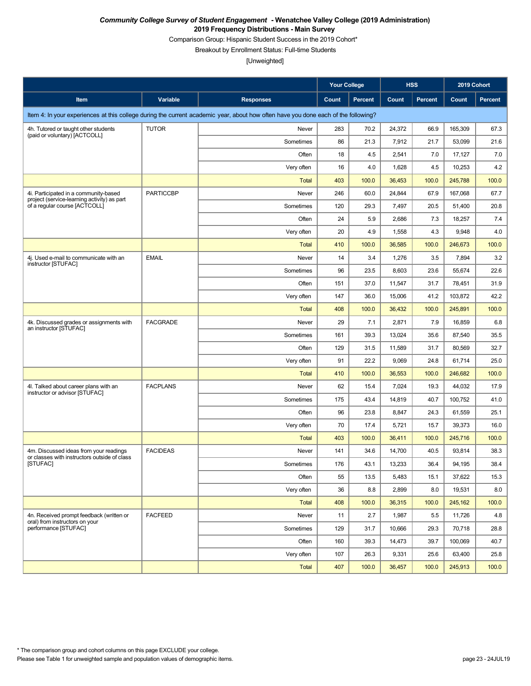Comparison Group: Hispanic Student Success in the 2019 Cohort\*

Breakout by Enrollment Status: Full-time Students

|                                                                                        |                  |                                                                                                                                    | <b>Your College</b> |                |        | <b>HSS</b>     | 2019 Cohort |         |
|----------------------------------------------------------------------------------------|------------------|------------------------------------------------------------------------------------------------------------------------------------|---------------------|----------------|--------|----------------|-------------|---------|
| Item                                                                                   | Variable         | <b>Responses</b>                                                                                                                   | Count               | <b>Percent</b> | Count  | <b>Percent</b> | Count       | Percent |
|                                                                                        |                  | Item 4: In your experiences at this college during the current academic year, about how often have you done each of the following? |                     |                |        |                |             |         |
| 4h. Tutored or taught other students                                                   | <b>TUTOR</b>     | Never                                                                                                                              | 283                 | 70.2           | 24,372 | 66.9           | 165,309     | 67.3    |
| (paid or voluntary) [ACTCOLL]                                                          |                  | Sometimes                                                                                                                          | 86                  | 21.3           | 7,912  | 21.7           | 53,099      | 21.6    |
|                                                                                        |                  | Often                                                                                                                              | 18                  | 4.5            | 2,541  | 7.0            | 17,127      | 7.0     |
|                                                                                        |                  | Very often                                                                                                                         | 16                  | 4.0            | 1,628  | 4.5            | 10,253      | 4.2     |
|                                                                                        |                  | Total                                                                                                                              | 403                 | 100.0          | 36,453 | 100.0          | 245,788     | 100.0   |
| 4i. Participated in a community-based<br>project (service-learning activity) as part   | <b>PARTICCBP</b> | Never                                                                                                                              | 246                 | 60.0           | 24.844 | 67.9           | 167,068     | 67.7    |
| of a regular course [ACTCOLL]                                                          |                  | Sometimes                                                                                                                          | 120                 | 29.3           | 7,497  | 20.5           | 51,400      | 20.8    |
|                                                                                        |                  | Often                                                                                                                              | 24                  | 5.9            | 2,686  | 7.3            | 18,257      | 7.4     |
|                                                                                        |                  | Very often                                                                                                                         | 20                  | 4.9            | 1,558  | 4.3            | 9,948       | 4.0     |
|                                                                                        |                  | <b>Total</b>                                                                                                                       | 410                 | 100.0          | 36,585 | 100.0          | 246,673     | 100.0   |
| 4j. Used e-mail to communicate with an<br>instructor [STUFAC]                          | <b>EMAIL</b>     | Never                                                                                                                              | 14                  | 3.4            | 1,276  | 3.5            | 7,894       | 3.2     |
|                                                                                        |                  | Sometimes                                                                                                                          | 96                  | 23.5           | 8,603  | 23.6           | 55,674      | 22.6    |
|                                                                                        |                  | Often                                                                                                                              | 151                 | 37.0           | 11,547 | 31.7           | 78,451      | 31.9    |
|                                                                                        |                  | Very often                                                                                                                         | 147                 | 36.0           | 15,006 | 41.2           | 103,872     | 42.2    |
|                                                                                        |                  | Total                                                                                                                              | 408                 | 100.0          | 36,432 | 100.0          | 245,891     | 100.0   |
| 4k. Discussed grades or assignments with<br>an instructor [STUFAC]                     | <b>FACGRADE</b>  | Never                                                                                                                              | 29                  | 7.1            | 2,871  | 7.9            | 16,859      | 6.8     |
|                                                                                        |                  | Sometimes                                                                                                                          | 161                 | 39.3           | 13,024 | 35.6           | 87,540      | 35.5    |
|                                                                                        |                  | Often                                                                                                                              | 129                 | 31.5           | 11,589 | 31.7           | 80,569      | 32.7    |
|                                                                                        |                  | Very often                                                                                                                         | 91                  | 22.2           | 9,069  | 24.8           | 61,714      | 25.0    |
|                                                                                        |                  | Total                                                                                                                              | 410                 | 100.0          | 36,553 | 100.0          | 246,682     | 100.0   |
| 4I. Talked about career plans with an<br>instructor or advisor [STUFAC]                | <b>FACPLANS</b>  | Never                                                                                                                              | 62                  | 15.4           | 7,024  | 19.3           | 44,032      | 17.9    |
|                                                                                        |                  | Sometimes                                                                                                                          | 175                 | 43.4           | 14,819 | 40.7           | 100,752     | 41.0    |
|                                                                                        |                  | Often                                                                                                                              | 96                  | 23.8           | 8,847  | 24.3           | 61.559      | 25.1    |
|                                                                                        |                  | Very often                                                                                                                         | 70                  | 17.4           | 5,721  | 15.7           | 39,373      | 16.0    |
|                                                                                        |                  | Total                                                                                                                              | 403                 | 100.0          | 36,411 | 100.0          | 245,716     | 100.0   |
| 4m. Discussed ideas from your readings<br>or classes with instructors outside of class | <b>FACIDEAS</b>  | Never                                                                                                                              | 141                 | 34.6           | 14,700 | 40.5           | 93,814      | 38.3    |
| [STUFAC]                                                                               |                  | Sometimes                                                                                                                          | 176                 | 43.1           | 13,233 | 36.4           | 94,195      | 38.4    |
|                                                                                        |                  | Often                                                                                                                              | 55                  | 13.5           | 5,483  | 15.1           | 37,622      | 15.3    |
|                                                                                        |                  | Very often                                                                                                                         | 36                  | 8.8            | 2,899  | 8.0            | 19,531      | 8.0     |
|                                                                                        |                  | <b>Total</b>                                                                                                                       | 408                 | 100.0          | 36,315 | 100.0          | 245,162     | 100.0   |
| 4n. Received prompt feedback (written or<br>oral) from instructors on your             | <b>FACFEED</b>   | Never                                                                                                                              | 11                  | 2.7            | 1,987  | 5.5            | 11,726      | 4.8     |
| performance [STUFAC]                                                                   |                  | Sometimes                                                                                                                          | 129                 | 31.7           | 10,666 | 29.3           | 70,718      | 28.8    |
|                                                                                        |                  | Often                                                                                                                              | 160                 | 39.3           | 14,473 | 39.7           | 100,069     | 40.7    |
|                                                                                        |                  | Very often                                                                                                                         | 107                 | 26.3           | 9,331  | 25.6           | 63,400      | 25.8    |
|                                                                                        |                  | <b>Total</b>                                                                                                                       | 407                 | 100.0          | 36,457 | 100.0          | 245,913     | 100.0   |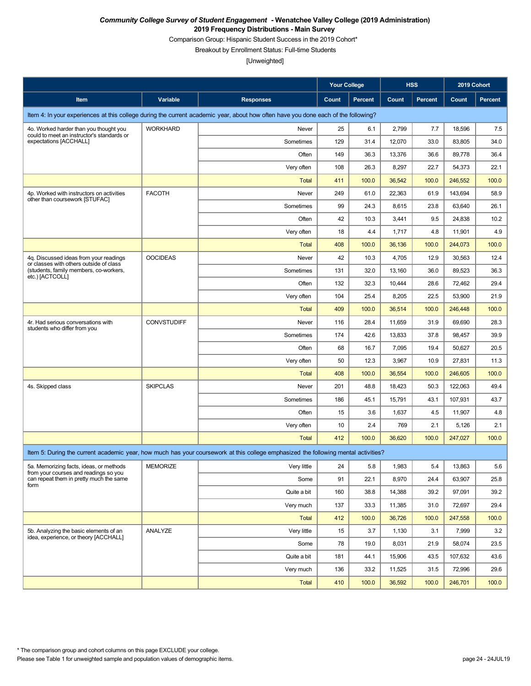Comparison Group: Hispanic Student Success in the 2019 Cohort\*

Breakout by Enrollment Status: Full-time Students

|                                                                                   |                    |                                                                                                                                    | <b>Your College</b> |                |        | <b>HSS</b>     | 2019 Cohort |                |
|-----------------------------------------------------------------------------------|--------------------|------------------------------------------------------------------------------------------------------------------------------------|---------------------|----------------|--------|----------------|-------------|----------------|
| Item                                                                              | Variable           | <b>Responses</b>                                                                                                                   | Count               | <b>Percent</b> | Count  | <b>Percent</b> | Count       | <b>Percent</b> |
|                                                                                   |                    | Item 4: In your experiences at this college during the current academic year, about how often have you done each of the following? |                     |                |        |                |             |                |
| 4o. Worked harder than you thought you                                            | <b>WORKHARD</b>    | Never                                                                                                                              | 25                  | 6.1            | 2,799  | 7.7            | 18,596      | 7.5            |
| could to meet an instructor's standards or<br>expectations [ACCHALL]              |                    | Sometimes                                                                                                                          | 129                 | 31.4           | 12,070 | 33.0           | 83,805      | 34.0           |
|                                                                                   |                    | Often                                                                                                                              | 149                 | 36.3           | 13,376 | 36.6           | 89,778      | 36.4           |
|                                                                                   |                    | Very often                                                                                                                         | 108                 | 26.3           | 8,297  | 22.7           | 54,373      | 22.1           |
|                                                                                   |                    | <b>Total</b>                                                                                                                       | 411                 | 100.0          | 36,542 | 100.0          | 246,552     | 100.0          |
| 4p. Worked with instructors on activities<br>other than coursework [STUFAC]       | <b>FACOTH</b>      | Never                                                                                                                              | 249                 | 61.0           | 22,363 | 61.9           | 143,694     | 58.9           |
|                                                                                   |                    | Sometimes                                                                                                                          | 99                  | 24.3           | 8,615  | 23.8           | 63,640      | 26.1           |
|                                                                                   |                    | Often                                                                                                                              | 42                  | 10.3           | 3,441  | 9.5            | 24,838      | 10.2           |
|                                                                                   |                    | Very often                                                                                                                         | 18                  | 4.4            | 1,717  | 4.8            | 11,901      | 4.9            |
|                                                                                   |                    | <b>Total</b>                                                                                                                       | 408                 | 100.0          | 36,136 | 100.0          | 244,073     | 100.0          |
| 4q. Discussed ideas from your readings<br>or classes with others outside of class | <b>OOCIDEAS</b>    | Never                                                                                                                              | 42                  | 10.3           | 4,705  | 12.9           | 30,563      | 12.4           |
| (students, family members, co-workers,<br>etc.) [ACTCOLL]                         |                    | Sometimes                                                                                                                          | 131                 | 32.0           | 13,160 | 36.0           | 89,523      | 36.3           |
|                                                                                   |                    | Often                                                                                                                              | 132                 | 32.3           | 10,444 | 28.6           | 72,462      | 29.4           |
|                                                                                   |                    | Very often                                                                                                                         | 104                 | 25.4           | 8,205  | 22.5           | 53,900      | 21.9           |
|                                                                                   |                    | <b>Total</b>                                                                                                                       | 409                 | 100.0          | 36,514 | 100.0          | 246,448     | 100.0          |
| 4r. Had serious conversations with<br>students who differ from you                | <b>CONVSTUDIFF</b> | Never                                                                                                                              | 116                 | 28.4           | 11,659 | 31.9           | 69,690      | 28.3           |
|                                                                                   |                    | Sometimes                                                                                                                          | 174                 | 42.6           | 13,833 | 37.8           | 98,457      | 39.9           |
|                                                                                   |                    | Often                                                                                                                              | 68                  | 16.7           | 7,095  | 19.4           | 50,627      | 20.5           |
|                                                                                   |                    | Very often                                                                                                                         | 50                  | 12.3           | 3,967  | 10.9           | 27,831      | 11.3           |
|                                                                                   |                    | <b>Total</b>                                                                                                                       | 408                 | 100.0          | 36,554 | 100.0          | 246,605     | 100.0          |
| 4s. Skipped class                                                                 | <b>SKIPCLAS</b>    | Never                                                                                                                              | 201                 | 48.8           | 18,423 | 50.3           | 122,063     | 49.4           |
|                                                                                   |                    | Sometimes                                                                                                                          | 186                 | 45.1           | 15,791 | 43.1           | 107,931     | 43.7           |
|                                                                                   |                    | Often                                                                                                                              | 15                  | 3.6            | 1,637  | 4.5            | 11,907      | 4.8            |
|                                                                                   |                    | Very often                                                                                                                         | 10                  | 2.4            | 769    | 2.1            | 5,126       | 2.1            |
|                                                                                   |                    | Total                                                                                                                              | 412                 | 100.0          | 36,620 | 100.0          | 247.027     | 100.0          |
|                                                                                   |                    | Item 5: During the current academic year, how much has your coursework at this college emphasized the following mental activities? |                     |                |        |                |             |                |
| 5a. Memorizing facts, ideas, or methods<br>from your courses and readings so you  | <b>MEMORIZE</b>    | Very little                                                                                                                        | 24                  | 5.8            | 1,983  | 5.4            | 13,863      | 5.6            |
| can repeat them in pretty much the same<br>form                                   |                    | Some                                                                                                                               | 91                  | 22.1           | 8,970  | 24.4           | 63,907      | 25.8           |
|                                                                                   |                    | Quite a bit                                                                                                                        | 160                 | 38.8           | 14,388 | 39.2           | 97,091      | 39.2           |
|                                                                                   |                    | Very much                                                                                                                          | 137                 | 33.3           | 11,385 | 31.0           | 72,697      | 29.4           |
|                                                                                   |                    | Total                                                                                                                              | 412                 | 100.0          | 36,726 | 100.0          | 247,558     | 100.0          |
| 5b. Analyzing the basic elements of an<br>idea, experience, or theory [ACCHALL]   | ANALYZE            | Very little                                                                                                                        | 15                  | 3.7            | 1,130  | 3.1            | 7,999       | 3.2            |
|                                                                                   |                    | Some                                                                                                                               | 78                  | 19.0           | 8,031  | 21.9           | 58,074      | 23.5           |
|                                                                                   |                    | Quite a bit                                                                                                                        | 181                 | 44.1           | 15,906 | 43.5           | 107,632     | 43.6           |
|                                                                                   |                    | Very much                                                                                                                          | 136                 | 33.2           | 11,525 | 31.5           | 72,996      | 29.6           |
|                                                                                   |                    | <b>Total</b>                                                                                                                       | 410                 | 100.0          | 36,592 | 100.0          | 246,701     | 100.0          |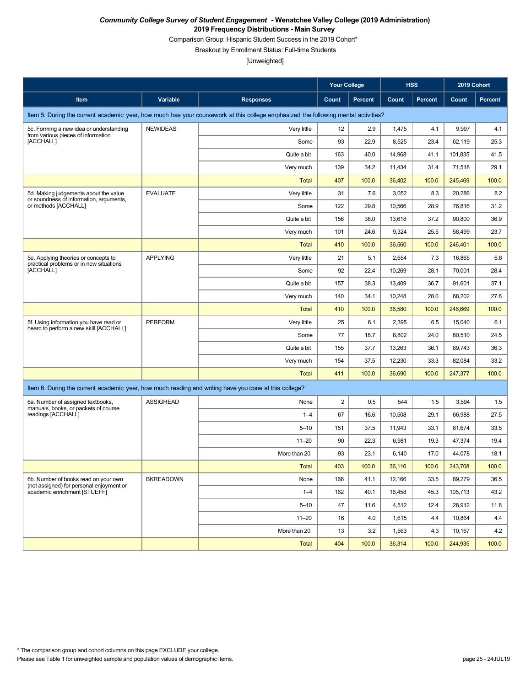Comparison Group: Hispanic Student Success in the 2019 Cohort\*

Breakout by Enrollment Status: Full-time Students

|                                                                                                       |                  |                                                                                                                                    | <b>Your College</b> |                |        | <b>HSS</b>     | 2019 Cohort |                |
|-------------------------------------------------------------------------------------------------------|------------------|------------------------------------------------------------------------------------------------------------------------------------|---------------------|----------------|--------|----------------|-------------|----------------|
| Item                                                                                                  | Variable         | <b>Responses</b>                                                                                                                   | Count               | <b>Percent</b> | Count  | <b>Percent</b> | Count       | <b>Percent</b> |
|                                                                                                       |                  | Item 5: During the current academic year, how much has your coursework at this college emphasized the following mental activities? |                     |                |        |                |             |                |
| 5c. Forming a new idea or understanding<br>from various pieces of information                         | <b>NEWIDEAS</b>  | Very little                                                                                                                        | 12                  | 2.9            | 1,475  | 4.1            | 9,997       | 4.1            |
| [ACCHALL]                                                                                             |                  | Some                                                                                                                               | 93                  | 22.9           | 8,525  | 23.4           | 62,119      | 25.3           |
|                                                                                                       |                  | Quite a bit                                                                                                                        | 163                 | 40.0           | 14,968 | 41.1           | 101,835     | 41.5           |
|                                                                                                       |                  | Very much                                                                                                                          | 139                 | 34.2           | 11,434 | 31.4           | 71,518      | 29.1           |
|                                                                                                       |                  | <b>Total</b>                                                                                                                       | 407                 | 100.0          | 36,402 | 100.0          | 245,469     | 100.0          |
| 5d. Making judgements about the value                                                                 | <b>EVALUATE</b>  | Very little                                                                                                                        | 31                  | 7.6            | 3,052  | 8.3            | 20,286      | 8.2            |
| or soundness of information, arguments,<br>or methods [ACCHALL]                                       |                  | Some                                                                                                                               | 122                 | 29.8           | 10,566 | 28.9           | 76,816      | 31.2           |
|                                                                                                       |                  | Quite a bit                                                                                                                        | 156                 | 38.0           | 13,618 | 37.2           | 90,800      | 36.9           |
|                                                                                                       |                  | Very much                                                                                                                          | 101                 | 24.6           | 9,324  | 25.5           | 58,499      | 23.7           |
|                                                                                                       |                  | <b>Total</b>                                                                                                                       | 410                 | 100.0          | 36,560 | 100.0          | 246,401     | 100.0          |
| 5e. Applying theories or concepts to                                                                  | <b>APPLYING</b>  | Very little                                                                                                                        | 21                  | 5.1            | 2,654  | 7.3            | 16,865      | 6.8            |
| practical problems or in new situations<br>[ACCHALL]                                                  |                  | Some                                                                                                                               | 92                  | 22.4           | 10,269 | 28.1           | 70,001      | 28.4           |
|                                                                                                       |                  | Quite a bit                                                                                                                        | 157                 | 38.3           | 13,409 | 36.7           | 91,601      | 37.1           |
|                                                                                                       |                  | Very much                                                                                                                          | 140                 | 34.1           | 10,248 | 28.0           | 68,202      | 27.6           |
|                                                                                                       |                  | <b>Total</b>                                                                                                                       | 410                 | 100.0          | 36,580 | 100.0          | 246,669     | 100.0          |
| 5f. Using information you have read or                                                                | <b>PERFORM</b>   | Very little                                                                                                                        | 25                  | 6.1            | 2,395  | 6.5            | 15,040      | 6.1            |
| heard to perform a new skill [ACCHALL]                                                                |                  | Some                                                                                                                               | 77                  | 18.7           | 8,802  | 24.0           | 60,510      | 24.5           |
|                                                                                                       |                  | Quite a bit                                                                                                                        | 155                 | 37.7           | 13,263 | 36.1           | 89,743      | 36.3           |
|                                                                                                       |                  | Very much                                                                                                                          | 154                 | 37.5           | 12,230 | 33.3           | 82,084      | 33.2           |
|                                                                                                       |                  | Total                                                                                                                              | 411                 | 100.0          | 36,690 | 100.0          | 247,377     | 100.0          |
| Item 6: During the current academic year, how much reading and writing have you done at this college? |                  |                                                                                                                                    |                     |                |        |                |             |                |
| 6a. Number of assigned textbooks,<br>manuals, books, or packets of course                             | <b>ASSIGREAD</b> | None                                                                                                                               | 2                   | 0.5            | 544    | 1.5            | 3,594       | 1.5            |
| readings [ACCHALL]                                                                                    |                  | $1 - 4$                                                                                                                            | 67                  | 16.6           | 10,508 | 29.1           | 66,988      | 27.5           |
|                                                                                                       |                  | $5 - 10$                                                                                                                           | 151                 | 37.5           | 11,943 | 33.1           | 81,674      | 33.5           |
|                                                                                                       |                  | $11 - 20$                                                                                                                          | 90                  | 22.3           | 6,981  | 19.3           | 47,374      | 19.4           |
|                                                                                                       |                  | More than 20                                                                                                                       | 93                  | 23.1           | 6,140  | 17.0           | 44,078      | 18.1           |
|                                                                                                       |                  | Total                                                                                                                              | 403                 | 100.0          | 36,116 | 100.0          | 243,708     | 100.0          |
| 6b. Number of books read on your own<br>(not assigned) for personal enjoyment or                      | <b>BKREADOWN</b> | None                                                                                                                               | 166                 | 41.1           | 12,166 | 33.5           | 89,279      | 36.5           |
| academic enrichment [STUEFF]                                                                          |                  | $1 - 4$                                                                                                                            | 162                 | 40.1           | 16,458 | 45.3           | 105,713     | 43.2           |
|                                                                                                       |                  | $5 - 10$                                                                                                                           | 47                  | 11.6           | 4,512  | 12.4           | 28,912      | 11.8           |
|                                                                                                       |                  | $11 - 20$                                                                                                                          | 16                  | 4.0            | 1,615  | 4.4            | 10,864      | 4.4            |
|                                                                                                       |                  | More than 20                                                                                                                       | 13                  | 3.2            | 1,563  | 4.3            | 10,167      | 4.2            |
|                                                                                                       |                  | <b>Total</b>                                                                                                                       | 404                 | 100.0          | 36,314 | 100.0          | 244,935     | 100.0          |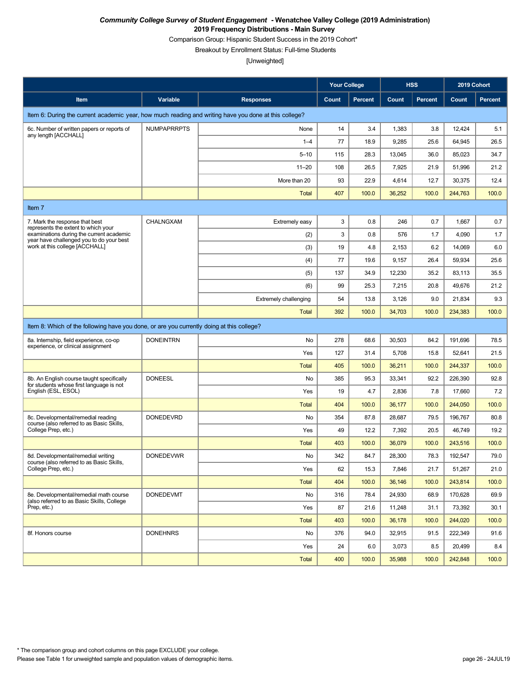Comparison Group: Hispanic Student Success in the 2019 Cohort\*

Breakout by Enrollment Status: Full-time Students

|                                                                                                       |                    |                              | <b>Your College</b> |                |        | <b>HSS</b>     | 2019 Cohort |                |
|-------------------------------------------------------------------------------------------------------|--------------------|------------------------------|---------------------|----------------|--------|----------------|-------------|----------------|
| Item                                                                                                  | Variable           | <b>Responses</b>             | Count               | <b>Percent</b> | Count  | <b>Percent</b> | Count       | <b>Percent</b> |
| Item 6: During the current academic year, how much reading and writing have you done at this college? |                    |                              |                     |                |        |                |             |                |
| 6c. Number of written papers or reports of<br>any length [ACCHALL]                                    | <b>NUMPAPRRPTS</b> | None                         | 14                  | 3.4            | 1,383  | 3.8            | 12,424      | 5.1            |
|                                                                                                       |                    | $1 - 4$                      | 77                  | 18.9           | 9,285  | 25.6           | 64,945      | 26.5           |
|                                                                                                       |                    | $5 - 10$                     | 115                 | 28.3           | 13,045 | 36.0           | 85,023      | 34.7           |
|                                                                                                       |                    | $11 - 20$                    | 108                 | 26.5           | 7,925  | 21.9           | 51,996      | 21.2           |
|                                                                                                       |                    | More than 20                 | 93                  | 22.9           | 4,614  | 12.7           | 30,375      | 12.4           |
|                                                                                                       |                    | <b>Total</b>                 | 407                 | 100.0          | 36,252 | 100.0          | 244,763     | 100.0          |
| Item 7                                                                                                |                    |                              |                     |                |        |                |             |                |
| 7. Mark the response that best<br>represents the extent to which your                                 | <b>CHALNGXAM</b>   | Extremely easy               | 3                   | 0.8            | 246    | 0.7            | 1,667       | 0.7            |
| examinations during the current academic<br>year have challenged you to do your best                  |                    | (2)                          | 3                   | 0.8            | 576    | 1.7            | 4,090       | 1.7            |
| work at this college [ACCHALL]                                                                        |                    | (3)                          | 19                  | 4.8            | 2,153  | 6.2            | 14,069      | 6.0            |
|                                                                                                       |                    | (4)                          | 77                  | 19.6           | 9,157  | 26.4           | 59,934      | 25.6           |
|                                                                                                       |                    | (5)                          | 137                 | 34.9           | 12,230 | 35.2           | 83,113      | 35.5           |
|                                                                                                       |                    | (6)                          | 99                  | 25.3           | 7,215  | 20.8           | 49,676      | 21.2           |
|                                                                                                       |                    | <b>Extremely challenging</b> | 54                  | 13.8           | 3,126  | 9.0            | 21,834      | 9.3            |
|                                                                                                       |                    | Total                        | 392                 | 100.0          | 34,703 | 100.0          | 234,383     | 100.0          |
| Item 8: Which of the following have you done, or are you currently doing at this college?             |                    |                              |                     |                |        |                |             |                |
| 8a. Internship, field experience, co-op<br>experience, or clinical assignment                         | <b>DONEINTRN</b>   | No                           | 278                 | 68.6           | 30,503 | 84.2           | 191,696     | 78.5           |
|                                                                                                       |                    | Yes                          | 127                 | 31.4           | 5,708  | 15.8           | 52,641      | 21.5           |
|                                                                                                       |                    | <b>Total</b>                 | 405                 | 100.0          | 36,211 | 100.0          | 244,337     | 100.0          |
| 8b. An English course taught specifically<br>for students whose first language is not                 | <b>DONEESL</b>     | No                           | 385                 | 95.3           | 33,341 | 92.2           | 226,390     | 92.8           |
| English (ESL, ESOL)                                                                                   |                    | Yes                          | 19                  | 4.7            | 2,836  | 7.8            | 17,660      | 7.2            |
|                                                                                                       |                    | <b>Total</b>                 | 404                 | 100.0          | 36,177 | 100.0          | 244,050     | 100.0          |
| 8c. Developmental/remedial reading<br>course (also referred to as Basic Skills,                       | <b>DONEDEVRD</b>   | No                           | 354                 | 87.8           | 28,687 | 79.5           | 196,767     | 80.8           |
| College Prep, etc.)                                                                                   |                    | Yes                          | 49                  | 12.2           | 7,392  | 20.5           | 46,749      | 19.2           |
|                                                                                                       |                    | <b>Total</b>                 | 403                 | 100.0          | 36,079 | 100.0          | 243,516     | 100.0          |
| 8d. Developmental/remedial writing<br>course (also referred to as Basic Skills,                       | <b>DONEDEVWR</b>   | No                           | 342                 | 84.7           | 28,300 | 78.3           | 192,547     | 79.0           |
| College Prep, etc.)                                                                                   |                    | Yes                          | 62                  | 15.3           | 7,846  | 21.7           | 51,267      | 21.0           |
|                                                                                                       |                    | <b>Total</b>                 | 404                 | 100.0          | 36,146 | 100.0          | 243,814     | 100.0          |
| 8e. Developmental/remedial math course<br>(also referred to as Basic Skills, College                  | <b>DONEDEVMT</b>   | No                           | 316                 | 78.4           | 24,930 | 68.9           | 170,628     | 69.9           |
| Prep, etc.)                                                                                           |                    | Yes                          | 87                  | 21.6           | 11,248 | 31.1           | 73,392      | 30.1           |
|                                                                                                       |                    | <b>Total</b>                 | 403                 | 100.0          | 36,178 | 100.0          | 244,020     | 100.0          |
| 8f. Honors course                                                                                     | <b>DONEHNRS</b>    | No                           | 376                 | 94.0           | 32,915 | 91.5           | 222,349     | 91.6           |
|                                                                                                       |                    | Yes                          | 24                  | 6.0            | 3,073  | 8.5            | 20,499      | 8.4            |
|                                                                                                       |                    | <b>Total</b>                 | 400                 | 100.0          | 35,988 | 100.0          | 242,848     | 100.0          |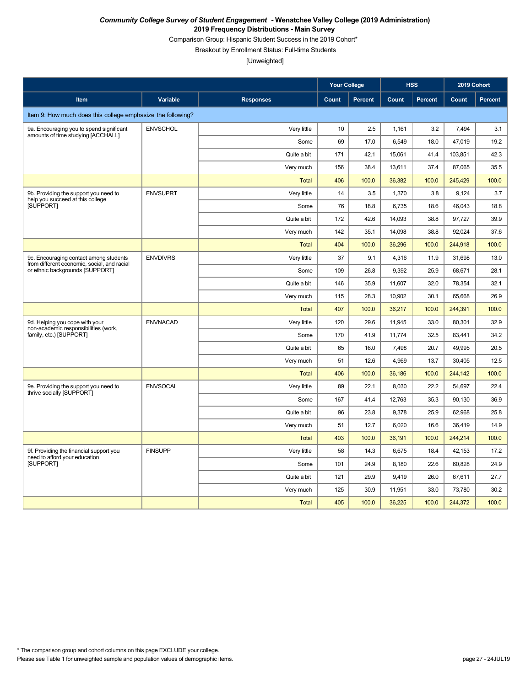Comparison Group: Hispanic Student Success in the 2019 Cohort\*

Breakout by Enrollment Status: Full-time Students

|                                                                                       |                 |                  | <b>Your College</b> |         |        | <b>HSS</b> | 2019 Cohort |         |
|---------------------------------------------------------------------------------------|-----------------|------------------|---------------------|---------|--------|------------|-------------|---------|
| Item                                                                                  | Variable        | <b>Responses</b> | <b>Count</b>        | Percent | Count  | Percent    | Count       | Percent |
| Item 9: How much does this college emphasize the following?                           |                 |                  |                     |         |        |            |             |         |
| 9a. Encouraging you to spend significant                                              | <b>ENVSCHOL</b> | Very little      | 10                  | 2.5     | 1,161  | 3.2        | 7,494       | 3.1     |
| amounts of time studying [ACCHALL]                                                    |                 | Some             | 69                  | 17.0    | 6,549  | 18.0       | 47,019      | 19.2    |
|                                                                                       |                 | Quite a bit      | 171                 | 42.1    | 15,061 | 41.4       | 103,851     | 42.3    |
|                                                                                       |                 | Very much        | 156                 | 38.4    | 13,611 | 37.4       | 87,065      | 35.5    |
|                                                                                       |                 | <b>Total</b>     | 406                 | 100.0   | 36,382 | 100.0      | 245,429     | 100.0   |
| 9b. Providing the support you need to<br>help you succeed at this college             | <b>ENVSUPRT</b> | Very little      | 14                  | 3.5     | 1,370  | 3.8        | 9,124       | 3.7     |
| <b>ISUPPORTI</b>                                                                      |                 | Some             | 76                  | 18.8    | 6,735  | 18.6       | 46.043      | 18.8    |
|                                                                                       |                 | Quite a bit      | 172                 | 42.6    | 14,093 | 38.8       | 97,727      | 39.9    |
|                                                                                       |                 | Very much        | 142                 | 35.1    | 14,098 | 38.8       | 92,024      | 37.6    |
|                                                                                       |                 | <b>Total</b>     | 404                 | 100.0   | 36.296 | 100.0      | 244,918     | 100.0   |
| 9c. Encouraging contact among students<br>from different economic, social, and racial | <b>ENVDIVRS</b> | Very little      | 37                  | 9.1     | 4.316  | 11.9       | 31.698      | 13.0    |
| or ethnic backgrounds [SUPPORT]                                                       |                 | Some             | 109                 | 26.8    | 9.392  | 25.9       | 68.671      | 28.1    |
|                                                                                       |                 | Quite a bit      | 146                 | 35.9    | 11,607 | 32.0       | 78,354      | 32.1    |
|                                                                                       |                 | Very much        | 115                 | 28.3    | 10,902 | 30.1       | 65,668      | 26.9    |
|                                                                                       |                 | <b>Total</b>     | 407                 | 100.0   | 36,217 | 100.0      | 244,391     | 100.0   |
| 9d. Helping you cope with your<br>non-academic responsibilities (work.                | <b>ENVNACAD</b> | Very little      | 120                 | 29.6    | 11,945 | 33.0       | 80,301      | 32.9    |
| family, etc.) [SUPPORT]                                                               |                 | Some             | 170                 | 41.9    | 11,774 | 32.5       | 83,441      | 34.2    |
|                                                                                       |                 | Quite a bit      | 65                  | 16.0    | 7,498  | 20.7       | 49,995      | 20.5    |
|                                                                                       |                 | Very much        | 51                  | 12.6    | 4,969  | 13.7       | 30.405      | 12.5    |
|                                                                                       |                 | <b>Total</b>     | 406                 | 100.0   | 36,186 | 100.0      | 244,142     | 100.0   |
| 9e. Providing the support you need to<br>thrive socially [SUPPORT]                    | <b>ENVSOCAL</b> | Very little      | 89                  | 22.1    | 8,030  | 22.2       | 54,697      | 22.4    |
|                                                                                       |                 | Some             | 167                 | 41.4    | 12,763 | 35.3       | 90.130      | 36.9    |
|                                                                                       |                 | Quite a bit      | 96                  | 23.8    | 9,378  | 25.9       | 62,968      | 25.8    |
|                                                                                       |                 | Very much        | 51                  | 12.7    | 6,020  | 16.6       | 36,419      | 14.9    |
|                                                                                       |                 | <b>Total</b>     | 403                 | 100.0   | 36,191 | 100.0      | 244,214     | 100.0   |
| 9f. Providing the financial support you<br>need to afford your education              | <b>FINSUPP</b>  | Very little      | 58                  | 14.3    | 6,675  | 18.4       | 42,153      | 17.2    |
| <b>ISUPPORTI</b>                                                                      |                 | Some             | 101                 | 24.9    | 8,180  | 22.6       | 60,828      | 24.9    |
|                                                                                       |                 | Quite a bit      | 121                 | 29.9    | 9,419  | 26.0       | 67,611      | 27.7    |
|                                                                                       |                 | Very much        | 125                 | 30.9    | 11,951 | 33.0       | 73,780      | 30.2    |
|                                                                                       |                 | <b>Total</b>     | 405                 | 100.0   | 36,225 | 100.0      | 244,372     | 100.0   |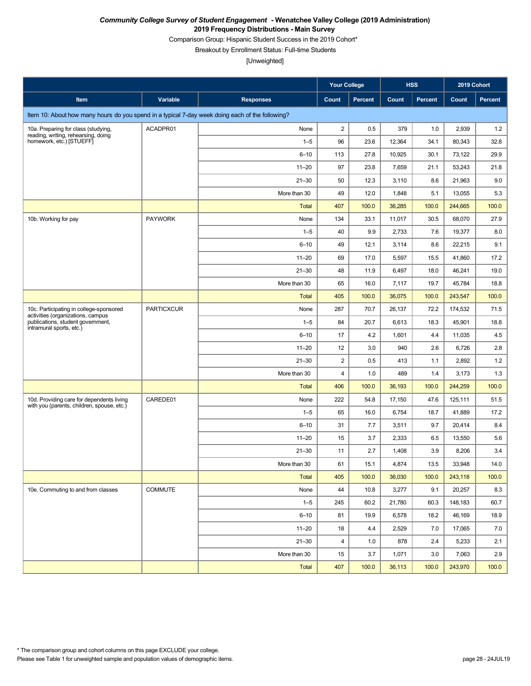Comparison Group: Hispanic Student Success in the 2019 Cohort\*

Breakout by Enrollment Status: Full-time Students

|                                                                                                                                               |                   |                  | <b>Your College</b>     |                |        | <b>HSS</b>     | 2019 Cohort |                |
|-----------------------------------------------------------------------------------------------------------------------------------------------|-------------------|------------------|-------------------------|----------------|--------|----------------|-------------|----------------|
| Item                                                                                                                                          | Variable          | <b>Responses</b> | Count                   | <b>Percent</b> | Count  | <b>Percent</b> | Count       | <b>Percent</b> |
| Item 10: About how many hours do you spend in a typical 7-day week doing each of the following?                                               |                   |                  |                         |                |        |                |             |                |
| 10a. Preparing for class (studying,                                                                                                           | ACADPR01          | None             | $\overline{2}$          | 0.5            | 379    | 1.0            | 2,939       | 1.2            |
| reading, writing, rehearsing, doing<br>homework, etc.) [STUEFF]                                                                               |                   | $1 - 5$          | 96                      | 23.6           | 12,364 | 34.1           | 80,343      | 32.8           |
|                                                                                                                                               |                   | $6 - 10$         | 113                     | 27.8           | 10,925 | 30.1           | 73,122      | 29.9           |
|                                                                                                                                               |                   | $11 - 20$        | 97                      | 23.8           | 7,659  | 21.1           | 53,243      | 21.8           |
|                                                                                                                                               |                   | $21 - 30$        | 50                      | 12.3           | 3,110  | 8.6            | 21.963      | 9.0            |
|                                                                                                                                               |                   | More than 30     | 49                      | 12.0           | 1,848  | 5.1            | 13,055      | 5.3            |
|                                                                                                                                               |                   | <b>Total</b>     | 407                     | 100.0          | 36,285 | 100.0          | 244,665     | 100.0          |
| 10b. Working for pay                                                                                                                          | <b>PAYWORK</b>    | None             | 134                     | 33.1           | 11,017 | 30.5           | 68,070      | 27.9           |
|                                                                                                                                               |                   | $1 - 5$          | 40                      | 9.9            | 2,733  | 7.6            | 19,377      | 8.0            |
|                                                                                                                                               |                   | $6 - 10$         | 49                      | 12.1           | 3,114  | 8.6            | 22,215      | 9.1            |
|                                                                                                                                               |                   | $11 - 20$        | 69                      | 17.0           | 5,597  | 15.5           | 41,860      | 17.2           |
|                                                                                                                                               |                   | $21 - 30$        | 48                      | 11.9           | 6,497  | 18.0           | 46,241      | 19.0           |
|                                                                                                                                               |                   | More than 30     | 65                      | 16.0           | 7,117  | 19.7           | 45,784      | 18.8           |
|                                                                                                                                               |                   | <b>Total</b>     | 405                     | 100.0          | 36,075 | 100.0          | 243,547     | 100.0          |
| 10c. Participating in college-sponsored<br>activities (organizations, campus<br>publications, student government,<br>intramural sports, etc.) | <b>PARTICXCUR</b> | None             | 287                     | 70.7           | 26,137 | 72.2           | 174,532     | 71.5           |
|                                                                                                                                               |                   | $1 - 5$          | 84                      | 20.7           | 6,613  | 18.3           | 45,901      | 18.8           |
|                                                                                                                                               |                   | $6 - 10$         | 17                      | 4.2            | 1,601  | 4.4            | 11,035      | 4.5            |
|                                                                                                                                               |                   | $11 - 20$        | 12                      | 3.0            | 940    | 2.6            | 6,726       | 2.8            |
|                                                                                                                                               |                   | $21 - 30$        | $\overline{c}$          | 0.5            | 413    | 1.1            | 2,892       | 1.2            |
|                                                                                                                                               |                   | More than 30     | 4                       | 1.0            | 489    | 1.4            | 3,173       | 1.3            |
|                                                                                                                                               |                   | <b>Total</b>     | 406                     | 100.0          | 36,193 | 100.0          | 244,259     | 100.0          |
| 10d. Providing care for dependents living<br>with you (parents, children, spouse, etc.)                                                       | CAREDE01          | None             | 222                     | 54.8           | 17,150 | 47.6           | 125,111     | 51.5           |
|                                                                                                                                               |                   | $1 - 5$          | 65                      | 16.0           | 6,754  | 18.7           | 41,889      | 17.2           |
|                                                                                                                                               |                   | $6 - 10$         | 31                      | 7.7            | 3,511  | 9.7            | 20,414      | 8.4            |
|                                                                                                                                               |                   | $11 - 20$        | 15                      | 3.7            | 2,333  | 6.5            | 13,550      | 5.6            |
|                                                                                                                                               |                   | $21 - 30$        | 11                      | 2.7            | 1,408  | 3.9            | 8,206       | 3.4            |
|                                                                                                                                               |                   | More than 30     | 61                      | 15.1           | 4,874  | 13.5           | 33,948      | 14.0           |
|                                                                                                                                               |                   | <b>Total</b>     | 405                     | 100.0          | 36,030 | 100.0          | 243,118     | 100.0          |
| 10e. Commuting to and from classes                                                                                                            | <b>COMMUTE</b>    | None             | 44                      | 10.8           | 3,277  | 9.1            | 20,257      | 8.3            |
|                                                                                                                                               |                   | $1 - 5$          | 245                     | 60.2           | 21,780 | 60.3           | 148,183     | 60.7           |
|                                                                                                                                               |                   | $6 - 10$         | 81                      | 19.9           | 6,578  | 18.2           | 46,169      | 18.9           |
|                                                                                                                                               |                   | $11 - 20$        | 18                      | 4.4            | 2,529  | 7.0            | 17,065      | 7.0            |
|                                                                                                                                               |                   | $21 - 30$        | $\overline{\mathbf{4}}$ | 1.0            | 878    | 2.4            | 5,233       | 2.1            |
|                                                                                                                                               |                   | More than 30     | 15                      | 3.7            | 1,071  | 3.0            | 7,063       | 2.9            |
|                                                                                                                                               |                   | <b>Total</b>     | 407                     | 100.0          | 36,113 | 100.0          | 243,970     | 100.0          |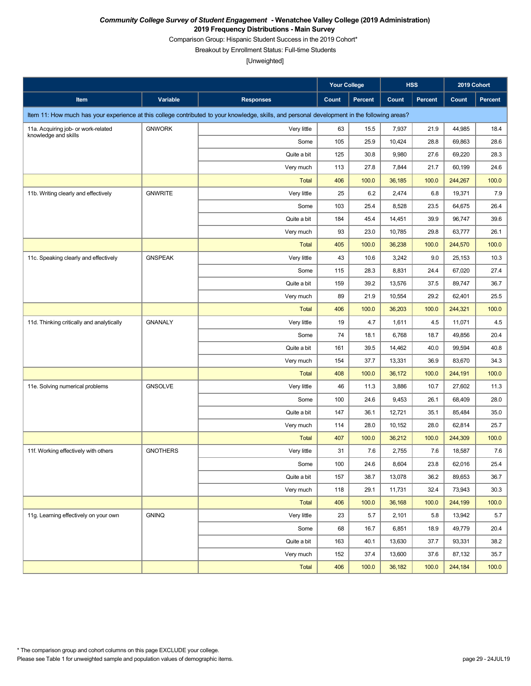Comparison Group: Hispanic Student Success in the 2019 Cohort\*

Breakout by Enrollment Status: Full-time Students

|                                           |                 |                                                                                                                                               | <b>Your College</b> |         |        | <b>HSS</b> | 2019 Cohort |                |
|-------------------------------------------|-----------------|-----------------------------------------------------------------------------------------------------------------------------------------------|---------------------|---------|--------|------------|-------------|----------------|
| Item                                      | Variable        | <b>Responses</b>                                                                                                                              | Count               | Percent | Count  | Percent    | Count       | <b>Percent</b> |
|                                           |                 | Item 11: How much has your experience at this college contributed to your knowledge, skills, and personal development in the following areas? |                     |         |        |            |             |                |
| 11a. Acquiring job- or work-related       | <b>GNWORK</b>   | Very little                                                                                                                                   | 63                  | 15.5    | 7,937  | 21.9       | 44,985      | 18.4           |
| knowledge and skills                      |                 | Some                                                                                                                                          | 105                 | 25.9    | 10,424 | 28.8       | 69,863      | 28.6           |
|                                           |                 | Quite a bit                                                                                                                                   | 125                 | 30.8    | 9,980  | 27.6       | 69,220      | 28.3           |
|                                           |                 | Very much                                                                                                                                     | 113                 | 27.8    | 7,844  | 21.7       | 60,199      | 24.6           |
|                                           |                 | <b>Total</b>                                                                                                                                  | 406                 | 100.0   | 36,185 | 100.0      | 244,267     | 100.0          |
| 11b. Writing clearly and effectively      | <b>GNWRITE</b>  | Very little                                                                                                                                   | 25                  | 6.2     | 2,474  | 6.8        | 19,371      | 7.9            |
|                                           |                 | Some                                                                                                                                          | 103                 | 25.4    | 8,528  | 23.5       | 64,675      | 26.4           |
|                                           |                 | Quite a bit                                                                                                                                   | 184                 | 45.4    | 14,451 | 39.9       | 96,747      | 39.6           |
|                                           |                 | Very much                                                                                                                                     | 93                  | 23.0    | 10,785 | 29.8       | 63,777      | 26.1           |
|                                           |                 | <b>Total</b>                                                                                                                                  | 405                 | 100.0   | 36,238 | 100.0      | 244,570     | 100.0          |
| 11c. Speaking clearly and effectively     | <b>GNSPEAK</b>  | Very little                                                                                                                                   | 43                  | 10.6    | 3,242  | 9.0        | 25,153      | 10.3           |
|                                           |                 | Some                                                                                                                                          | 115                 | 28.3    | 8,831  | 24.4       | 67,020      | 27.4           |
|                                           |                 | Quite a bit                                                                                                                                   | 159                 | 39.2    | 13,576 | 37.5       | 89,747      | 36.7           |
|                                           |                 | Very much                                                                                                                                     | 89                  | 21.9    | 10,554 | 29.2       | 62,401      | 25.5           |
|                                           |                 | <b>Total</b>                                                                                                                                  | 406                 | 100.0   | 36,203 | 100.0      | 244,321     | 100.0          |
| 11d. Thinking critically and analytically | <b>GNANALY</b>  | Very little                                                                                                                                   | 19                  | 4.7     | 1,611  | 4.5        | 11,071      | 4.5            |
|                                           |                 | Some                                                                                                                                          | 74                  | 18.1    | 6,768  | 18.7       | 49,856      | 20.4           |
|                                           |                 | Quite a bit                                                                                                                                   | 161                 | 39.5    | 14,462 | 40.0       | 99,594      | 40.8           |
|                                           |                 | Very much                                                                                                                                     | 154                 | 37.7    | 13,331 | 36.9       | 83,670      | 34.3           |
|                                           |                 | <b>Total</b>                                                                                                                                  | 408                 | 100.0   | 36,172 | 100.0      | 244,191     | 100.0          |
| 11e. Solving numerical problems           | <b>GNSOLVE</b>  | Very little                                                                                                                                   | 46                  | 11.3    | 3,886  | 10.7       | 27,602      | 11.3           |
|                                           |                 | Some                                                                                                                                          | 100                 | 24.6    | 9,453  | 26.1       | 68,409      | 28.0           |
|                                           |                 | Quite a bit                                                                                                                                   | 147                 | 36.1    | 12,721 | 35.1       | 85,484      | 35.0           |
|                                           |                 | Very much                                                                                                                                     | 114                 | 28.0    | 10,152 | 28.0       | 62,814      | 25.7           |
|                                           |                 | <b>Total</b>                                                                                                                                  | 407                 | 100.0   | 36,212 | 100.0      | 244,309     | 100.0          |
| 11f. Working effectively with others      | <b>GNOTHERS</b> | Very little                                                                                                                                   | 31                  | 7.6     | 2,755  | 7.6        | 18,587      | 7.6            |
|                                           |                 | Some                                                                                                                                          | 100                 | 24.6    | 8,604  | 23.8       | 62,016      | 25.4           |
|                                           |                 | Quite a bit                                                                                                                                   | 157                 | 38.7    | 13,078 | 36.2       | 89,653      | 36.7           |
|                                           |                 | Very much                                                                                                                                     | 118                 | 29.1    | 11,731 | 32.4       | 73,943      | 30.3           |
|                                           |                 | <b>Total</b>                                                                                                                                  | 406                 | 100.0   | 36,168 | 100.0      | 244,199     | 100.0          |
| 11g. Learning effectively on your own     | <b>GNINQ</b>    | Very little                                                                                                                                   | 23                  | 5.7     | 2,101  | 5.8        | 13,942      | 5.7            |
|                                           |                 | Some                                                                                                                                          | 68                  | 16.7    | 6,851  | 18.9       | 49,779      | 20.4           |
|                                           |                 | Quite a bit                                                                                                                                   | 163                 | 40.1    | 13,630 | 37.7       | 93,331      | 38.2           |
|                                           |                 | Very much                                                                                                                                     | 152                 | 37.4    | 13,600 | 37.6       | 87,132      | 35.7           |
|                                           |                 | <b>Total</b>                                                                                                                                  | 406                 | 100.0   | 36,182 | 100.0      | 244,184     | 100.0          |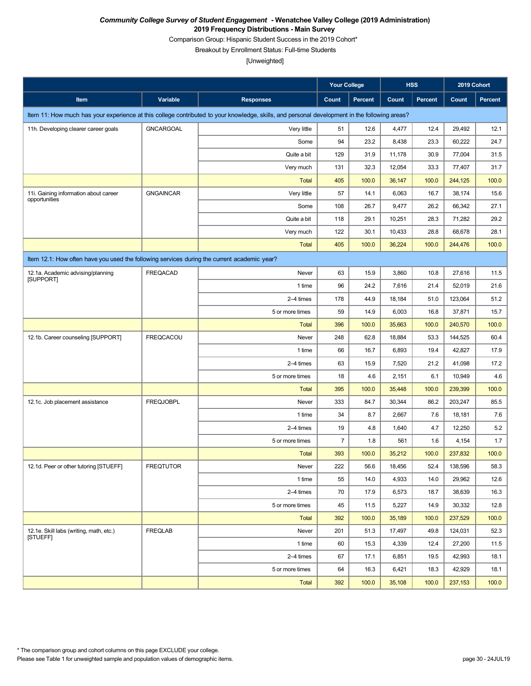Comparison Group: Hispanic Student Success in the 2019 Cohort\*

Breakout by Enrollment Status: Full-time Students

|                                                                                             |                  |                                                                                                                                               | <b>Your College</b> |                |        | <b>HSS</b>     | 2019 Cohort |                |  |
|---------------------------------------------------------------------------------------------|------------------|-----------------------------------------------------------------------------------------------------------------------------------------------|---------------------|----------------|--------|----------------|-------------|----------------|--|
| Item                                                                                        | Variable         | <b>Responses</b>                                                                                                                              | Count               | <b>Percent</b> | Count  | <b>Percent</b> | Count       | <b>Percent</b> |  |
|                                                                                             |                  | Item 11: How much has your experience at this college contributed to your knowledge, skills, and personal development in the following areas? |                     |                |        |                |             |                |  |
| 11h. Developing clearer career goals                                                        | <b>GNCARGOAL</b> | Very little                                                                                                                                   | 51                  | 12.6           | 4,477  | 12.4           | 29,492      | 12.1           |  |
|                                                                                             |                  | Some                                                                                                                                          | 94                  | 23.2           | 8,438  | 23.3           | 60,222      | 24.7           |  |
|                                                                                             |                  | Quite a bit                                                                                                                                   | 129                 | 31.9           | 11,178 | 30.9           | 77,004      | 31.5           |  |
|                                                                                             |                  | Very much                                                                                                                                     | 131                 | 32.3           | 12,054 | 33.3           | 77,407      | 31.7           |  |
|                                                                                             |                  | <b>Total</b>                                                                                                                                  | 405                 | 100.0          | 36,147 | 100.0          | 244,125     | 100.0          |  |
| 11i. Gaining information about career<br>opportunities                                      | <b>GNGAINCAR</b> | Very little                                                                                                                                   | 57                  | 14.1           | 6,063  | 16.7           | 38,174      | 15.6           |  |
|                                                                                             |                  | Some                                                                                                                                          | 108                 | 26.7           | 9,477  | 26.2           | 66,342      | 27.1           |  |
|                                                                                             |                  | Quite a bit                                                                                                                                   | 118                 | 29.1           | 10,251 | 28.3           | 71,282      | 29.2           |  |
|                                                                                             |                  | Very much                                                                                                                                     | 122                 | 30.1           | 10,433 | 28.8           | 68,678      | 28.1           |  |
|                                                                                             |                  | <b>Total</b>                                                                                                                                  | 405                 | 100.0          | 36,224 | 100.0          | 244,476     | 100.0          |  |
| Item 12.1: How often have you used the following services during the current academic year? |                  |                                                                                                                                               |                     |                |        |                |             |                |  |
| 12.1a. Academic advising/planning<br><b>ISUPPORTI</b>                                       | FREQACAD         | Never                                                                                                                                         | 63                  | 15.9           | 3,860  | 10.8           | 27,616      | 11.5           |  |
|                                                                                             |                  | 1 time                                                                                                                                        | 96                  | 24.2           | 7,616  | 21.4           | 52,019      | 21.6           |  |
|                                                                                             |                  | 2-4 times                                                                                                                                     | 178                 | 44.9           | 18,184 | 51.0           | 123,064     | 51.2           |  |
|                                                                                             |                  | 5 or more times                                                                                                                               | 59                  | 14.9           | 6,003  | 16.8           | 37,871      | 15.7           |  |
|                                                                                             |                  | <b>Total</b>                                                                                                                                  | 396                 | 100.0          | 35,663 | 100.0          | 240,570     | 100.0          |  |
| 12.1b. Career counseling [SUPPORT]                                                          | <b>FREQCACOU</b> | Never                                                                                                                                         | 248                 | 62.8           | 18,884 | 53.3           | 144,525     | 60.4           |  |
|                                                                                             |                  | 1 time                                                                                                                                        | 66                  | 16.7           | 6,893  | 19.4           | 42,827      | 17.9           |  |
|                                                                                             |                  | 2-4 times                                                                                                                                     | 63                  | 15.9           | 7,520  | 21.2           | 41,098      | 17.2           |  |
|                                                                                             |                  | 5 or more times                                                                                                                               | 18                  | 4.6            | 2,151  | 6.1            | 10,949      | 4.6            |  |
|                                                                                             |                  | <b>Total</b>                                                                                                                                  | 395                 | 100.0          | 35,448 | 100.0          | 239,399     | 100.0          |  |
| 12.1c. Job placement assistance                                                             | <b>FREQJOBPL</b> | Never                                                                                                                                         | 333                 | 84.7           | 30,344 | 86.2           | 203,247     | 85.5           |  |
|                                                                                             |                  | 1 time                                                                                                                                        | 34                  | 8.7            | 2,667  | 7.6            | 18,181      | 7.6            |  |
|                                                                                             |                  | 2-4 times                                                                                                                                     | 19                  | 4.8            | 1,640  | 4.7            | 12,250      | 5.2            |  |
|                                                                                             |                  | 5 or more times                                                                                                                               | $\overline{7}$      | 1.8            | 561    | 1.6            | 4,154       | 1.7            |  |
|                                                                                             |                  | <b>Total</b>                                                                                                                                  | 393                 | 100.0          | 35,212 | 100.0          | 237,832     | 100.0          |  |
| 12.1d. Peer or other tutoring [STUEFF]                                                      | <b>FREQTUTOR</b> | Never                                                                                                                                         | 222                 | 56.6           | 18,456 | 52.4           | 138,596     | 58.3           |  |
|                                                                                             |                  | 1 time                                                                                                                                        | 55                  | 14.0           | 4,933  | 14.0           | 29,962      | 12.6           |  |
|                                                                                             |                  | 2-4 times                                                                                                                                     | 70                  | 17.9           | 6,573  | 18.7           | 38,639      | 16.3           |  |
|                                                                                             |                  | 5 or more times                                                                                                                               | 45                  | 11.5           | 5,227  | 14.9           | 30,332      | 12.8           |  |
|                                                                                             |                  | <b>Total</b>                                                                                                                                  | 392                 | 100.0          | 35,189 | 100.0          | 237,529     | 100.0          |  |
| 12.1e. Skill labs (writing, math, etc.)<br><b>ISTUEFFI</b>                                  | <b>FREQLAB</b>   | Never                                                                                                                                         | 201                 | 51.3           | 17,497 | 49.8           | 124,031     | 52.3           |  |
|                                                                                             |                  | 1 time                                                                                                                                        | 60                  | 15.3           | 4,339  | 12.4           | 27,200      | 11.5           |  |
|                                                                                             |                  | 2-4 times                                                                                                                                     | 67                  | 17.1           | 6,851  | 19.5           | 42,993      | 18.1           |  |
|                                                                                             |                  | 5 or more times                                                                                                                               | 64                  | 16.3           | 6,421  | 18.3           | 42,929      | 18.1           |  |
|                                                                                             |                  | Total                                                                                                                                         | 392                 | 100.0          | 35,108 | 100.0          | 237,153     | 100.0          |  |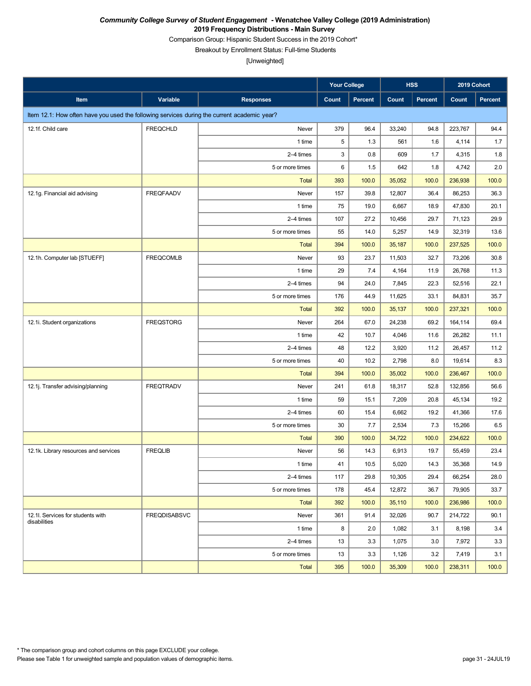Comparison Group: Hispanic Student Success in the 2019 Cohort\*

Breakout by Enrollment Status: Full-time Students

|                                                                                             |                     |                  | <b>Your College</b> |         |        | <b>HSS</b>     | 2019 Cohort |         |
|---------------------------------------------------------------------------------------------|---------------------|------------------|---------------------|---------|--------|----------------|-------------|---------|
| Item                                                                                        | Variable            | <b>Responses</b> | Count               | Percent | Count  | <b>Percent</b> | Count       | Percent |
| Item 12.1: How often have you used the following services during the current academic year? |                     |                  |                     |         |        |                |             |         |
| 12.1f. Child care                                                                           | <b>FREQCHLD</b>     | Never            | 379                 | 96.4    | 33,240 | 94.8           | 223,767     | 94.4    |
|                                                                                             |                     | 1 time           | 5                   | 1.3     | 561    | 1.6            | 4,114       | 1.7     |
|                                                                                             |                     | 2-4 times        | 3                   | 0.8     | 609    | 1.7            | 4,315       | 1.8     |
|                                                                                             |                     | 5 or more times  | 6                   | 1.5     | 642    | 1.8            | 4,742       | 2.0     |
|                                                                                             |                     | <b>Total</b>     | 393                 | 100.0   | 35,052 | 100.0          | 236,938     | 100.0   |
| 12.1g. Financial aid advising                                                               | <b>FREQFAADV</b>    | Never            | 157                 | 39.8    | 12,807 | 36.4           | 86,253      | 36.3    |
|                                                                                             |                     | 1 time           | 75                  | 19.0    | 6,667  | 18.9           | 47,830      | 20.1    |
|                                                                                             |                     | 2-4 times        | 107                 | 27.2    | 10,456 | 29.7           | 71,123      | 29.9    |
|                                                                                             |                     | 5 or more times  | 55                  | 14.0    | 5,257  | 14.9           | 32,319      | 13.6    |
|                                                                                             |                     | <b>Total</b>     | 394                 | 100.0   | 35,187 | 100.0          | 237,525     | 100.0   |
| 12.1h. Computer lab [STUEFF]                                                                | <b>FREQCOMLB</b>    | Never            | 93                  | 23.7    | 11,503 | 32.7           | 73,206      | 30.8    |
|                                                                                             |                     | 1 time           | 29                  | 7.4     | 4,164  | 11.9           | 26,768      | 11.3    |
|                                                                                             |                     | 2-4 times        | 94                  | 24.0    | 7,845  | 22.3           | 52,516      | 22.1    |
|                                                                                             |                     | 5 or more times  | 176                 | 44.9    | 11,625 | 33.1           | 84,831      | 35.7    |
|                                                                                             |                     | <b>Total</b>     | 392                 | 100.0   | 35,137 | 100.0          | 237,321     | 100.0   |
| 12.1i. Student organizations                                                                | <b>FREQSTORG</b>    | Never            | 264                 | 67.0    | 24,238 | 69.2           | 164,114     | 69.4    |
|                                                                                             |                     | 1 time           | 42                  | 10.7    | 4,046  | 11.6           | 26,282      | 11.1    |
|                                                                                             |                     | 2-4 times        | 48                  | 12.2    | 3,920  | 11.2           | 26,457      | 11.2    |
|                                                                                             |                     | 5 or more times  | 40                  | 10.2    | 2,798  | 8.0            | 19,614      | 8.3     |
|                                                                                             |                     | <b>Total</b>     | 394                 | 100.0   | 35,002 | 100.0          | 236,467     | 100.0   |
| 12.1j. Transfer advising/planning                                                           | <b>FREQTRADV</b>    | Never            | 241                 | 61.8    | 18,317 | 52.8           | 132,856     | 56.6    |
|                                                                                             |                     | 1 time           | 59                  | 15.1    | 7,209  | 20.8           | 45,134      | 19.2    |
|                                                                                             |                     | 2-4 times        | 60                  | 15.4    | 6,662  | 19.2           | 41,366      | 17.6    |
|                                                                                             |                     | 5 or more times  | 30                  | 7.7     | 2,534  | 7.3            | 15,266      | 6.5     |
|                                                                                             |                     | <b>Total</b>     | 390                 | 100.0   | 34,722 | 100.0          | 234,622     | 100.0   |
| 12.1k. Library resources and services                                                       | <b>FREQLIB</b>      | Never            | 56                  | 14.3    | 6,913  | 19.7           | 55,459      | 23.4    |
|                                                                                             |                     | 1 time           | 41                  | $10.5$  | 5,020  | 14.3           | 35,368      | 14.9    |
|                                                                                             |                     | 2-4 times        | 117                 | 29.8    | 10,305 | 29.4           | 66,254      | 28.0    |
|                                                                                             |                     | 5 or more times  | 178                 | 45.4    | 12,872 | 36.7           | 79,905      | 33.7    |
|                                                                                             |                     | Total            | 392                 | 100.0   | 35,110 | 100.0          | 236,986     | 100.0   |
| 12.1l. Services for students with<br>disabilities                                           | <b>FREQDISABSVC</b> | Never            | 361                 | 91.4    | 32,026 | 90.7           | 214,722     | 90.1    |
|                                                                                             |                     | 1 time           | 8                   | 2.0     | 1,082  | 3.1            | 8,198       | 3.4     |
|                                                                                             |                     | 2-4 times        | 13                  | 3.3     | 1,075  | 3.0            | 7,972       | 3.3     |
|                                                                                             |                     | 5 or more times  | 13                  | 3.3     | 1,126  | 3.2            | 7,419       | 3.1     |
|                                                                                             |                     | <b>Total</b>     | 395                 | 100.0   | 35,309 | 100.0          | 238,311     | 100.0   |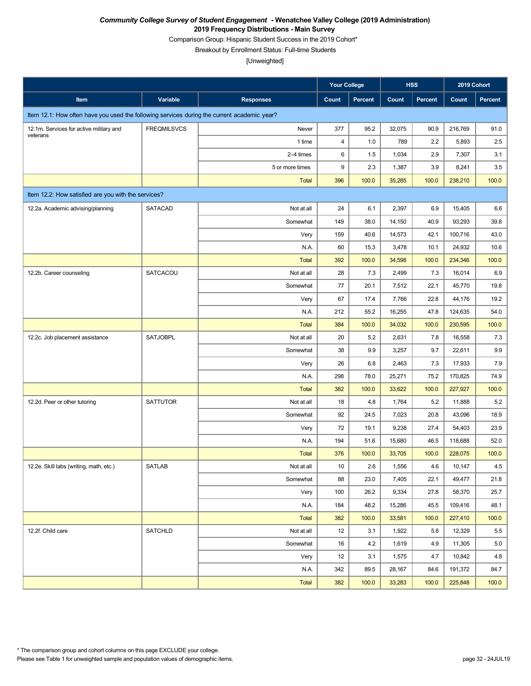Comparison Group: Hispanic Student Success in the 2019 Cohort\*

Breakout by Enrollment Status: Full-time Students

|                                                                                             |                    |                  | <b>Your College</b> |         |        | <b>HSS</b> | 2019 Cohort |         |
|---------------------------------------------------------------------------------------------|--------------------|------------------|---------------------|---------|--------|------------|-------------|---------|
| Item                                                                                        | Variable           | <b>Responses</b> | Count               | Percent | Count  | Percent    | Count       | Percent |
| Item 12.1: How often have you used the following services during the current academic year? |                    |                  |                     |         |        |            |             |         |
| 12.1m. Services for active military and<br>veterans                                         | <b>FREQMILSVCS</b> | Never            | 377                 | 95.2    | 32,075 | 90.9       | 216,769     | 91.0    |
|                                                                                             |                    | 1 time           | $\overline{4}$      | 1.0     | 789    | 2.2        | 5,893       | 2.5     |
|                                                                                             |                    | 2-4 times        | 6                   | 1.5     | 1,034  | 2.9        | 7,307       | 3.1     |
|                                                                                             |                    | 5 or more times  | 9                   | 2.3     | 1,387  | 3.9        | 8,241       | 3.5     |
|                                                                                             |                    | <b>Total</b>     | 396                 | 100.0   | 35,285 | 100.0      | 238,210     | 100.0   |
| Item 12.2: How satisfied are you with the services?                                         |                    |                  |                     |         |        |            |             |         |
| 12.2a. Academic advising/planning                                                           | <b>SATACAD</b>     | Not at all       | 24                  | 6.1     | 2,397  | 6.9        | 15,405      | 6.6     |
|                                                                                             |                    | Somewhat         | 149                 | 38.0    | 14,150 | 40.9       | 93,293      | 39.8    |
|                                                                                             |                    | Very             | 159                 | 40.6    | 14,573 | 42.1       | 100,716     | 43.0    |
|                                                                                             |                    | N.A.             | 60                  | 15.3    | 3,478  | 10.1       | 24,932      | 10.6    |
|                                                                                             |                    | <b>Total</b>     | 392                 | 100.0   | 34,598 | 100.0      | 234,346     | 100.0   |
| 12.2b. Career counseling                                                                    | SATCACOU           | Not at all       | 28                  | 7.3     | 2,499  | 7.3        | 16,014      | 6.9     |
|                                                                                             |                    | Somewhat         | 77                  | 20.1    | 7,512  | 22.1       | 45,770      | 19.8    |
|                                                                                             |                    | Very             | 67                  | 17.4    | 7,766  | 22.8       | 44,176      | 19.2    |
|                                                                                             |                    | N.A.             | 212                 | 55.2    | 16,255 | 47.8       | 124,635     | 54.0    |
|                                                                                             |                    | <b>Total</b>     | 384                 | 100.0   | 34,032 | 100.0      | 230,595     | 100.0   |
| 12.2c. Job placement assistance                                                             | <b>SATJOBPL</b>    | Not at all       | 20                  | 5.2     | 2,631  | 7.8        | 16,558      | 7.3     |
|                                                                                             |                    | Somewhat         | 38                  | 9.9     | 3,257  | 9.7        | 22,611      | 9.9     |
|                                                                                             |                    | Very             | 26                  | 6.8     | 2,463  | 7.3        | 17,933      | 7.9     |
|                                                                                             |                    | N.A.             | 298                 | 78.0    | 25,271 | 75.2       | 170,825     | 74.9    |
|                                                                                             |                    | <b>Total</b>     | 382                 | 100.0   | 33,622 | 100.0      | 227,927     | 100.0   |
| 12.2d. Peer or other tutoring                                                               | <b>SATTUTOR</b>    | Not at all       | 18                  | 4.8     | 1,764  | 5.2        | 11,888      | 5.2     |
|                                                                                             |                    | Somewhat         | 92                  | 24.5    | 7,023  | 20.8       | 43,096      | 18.9    |
|                                                                                             |                    | Very             | 72                  | 19.1    | 9,238  | 27.4       | 54,403      | 23.9    |
|                                                                                             |                    | N.A.             | 194                 | 51.6    | 15,680 | 46.5       | 118,688     | 52.0    |
|                                                                                             |                    | <b>Total</b>     | 376                 | 100.0   | 33,705 | 100.0      | 228,075     | 100.0   |
| 12.2e. Skill labs (writing, math, etc.)                                                     | <b>SATLAB</b>      | Not at all       | 10                  | 2.6     | 1,556  | 4.6        | 10,147      | 4.5     |
|                                                                                             |                    | Somewhat         | 88                  | 23.0    | 7,405  | 22.1       | 49,477      | 21.8    |
|                                                                                             |                    | Very             | 100                 | 26.2    | 9,334  | 27.8       | 58,370      | 25.7    |
|                                                                                             |                    | N.A.             | 184                 | 48.2    | 15,286 | 45.5       | 109,416     | 48.1    |
|                                                                                             |                    | <b>Total</b>     | 382                 | 100.0   | 33,581 | 100.0      | 227,410     | 100.0   |
| 12.2f. Child care                                                                           | <b>SATCHLD</b>     | Not at all       | 12                  | 3.1     | 1,922  | 5.8        | 12,329      | 5.5     |
|                                                                                             |                    | Somewhat         | 16                  | 4.2     | 1,619  | 4.9        | 11,305      | 5.0     |
|                                                                                             |                    | Very             | 12                  | 3.1     | 1,575  | 4.7        | 10,842      | 4.8     |
|                                                                                             |                    | N.A.             | 342                 | 89.5    | 28,167 | 84.6       | 191,372     | 84.7    |
|                                                                                             |                    | <b>Total</b>     | 382                 | 100.0   | 33,283 | 100.0      | 225,848     | 100.0   |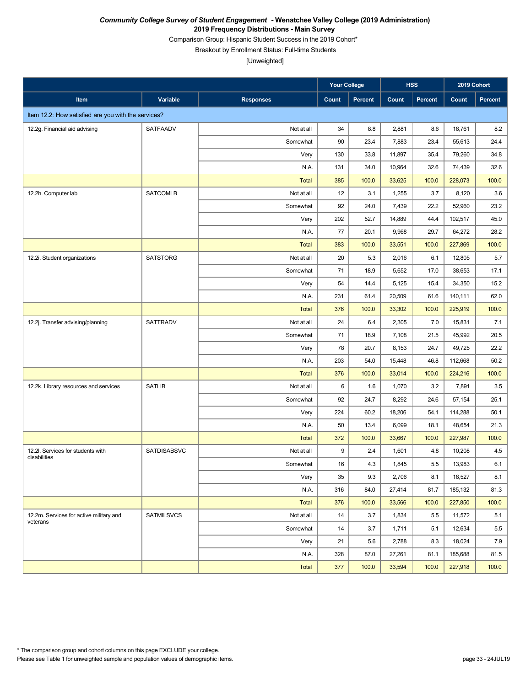Comparison Group: Hispanic Student Success in the 2019 Cohort\*

Breakout by Enrollment Status: Full-time Students

|                                                     |                   |                  | Your College |         |        | <b>HSS</b> | 2019 Cohort |         |
|-----------------------------------------------------|-------------------|------------------|--------------|---------|--------|------------|-------------|---------|
| Item                                                | Variable          | <b>Responses</b> | Count        | Percent | Count  | Percent    | Count       | Percent |
| Item 12.2: How satisfied are you with the services? |                   |                  |              |         |        |            |             |         |
| 12.2g. Financial aid advising                       | SATFAADV          | Not at all       | 34           | 8.8     | 2,881  | 8.6        | 18,761      | 8.2     |
|                                                     |                   | Somewhat         | 90           | 23.4    | 7,883  | 23.4       | 55,613      | 24.4    |
|                                                     |                   | Very             | 130          | 33.8    | 11,897 | 35.4       | 79,260      | 34.8    |
|                                                     |                   | N.A.             | 131          | 34.0    | 10,964 | 32.6       | 74,439      | 32.6    |
|                                                     |                   | <b>Total</b>     | 385          | 100.0   | 33,625 | 100.0      | 228,073     | 100.0   |
| 12.2h. Computer lab                                 | <b>SATCOMLB</b>   | Not at all       | 12           | 3.1     | 1,255  | 3.7        | 8,120       | 3.6     |
|                                                     |                   | Somewhat         | 92           | 24.0    | 7,439  | 22.2       | 52,960      | 23.2    |
|                                                     |                   | Very             | 202          | 52.7    | 14,889 | 44.4       | 102,517     | 45.0    |
|                                                     |                   | N.A.             | 77           | 20.1    | 9,968  | 29.7       | 64,272      | 28.2    |
|                                                     |                   | <b>Total</b>     | 383          | 100.0   | 33,551 | 100.0      | 227,869     | 100.0   |
| 12.2i. Student organizations                        | <b>SATSTORG</b>   | Not at all       | 20           | 5.3     | 2,016  | 6.1        | 12,805      | 5.7     |
|                                                     |                   | Somewhat         | 71           | 18.9    | 5,652  | 17.0       | 38,653      | 17.1    |
|                                                     |                   | Very             | 54           | 14.4    | 5,125  | 15.4       | 34,350      | 15.2    |
|                                                     |                   | N.A.             | 231          | 61.4    | 20,509 | 61.6       | 140,111     | 62.0    |
|                                                     |                   | <b>Total</b>     | 376          | 100.0   | 33,302 | 100.0      | 225,919     | 100.0   |
| 12.2j. Transfer advising/planning                   | SATTRADV          | Not at all       | 24           | 6.4     | 2,305  | 7.0        | 15,831      | 7.1     |
|                                                     |                   | Somewhat         | 71           | 18.9    | 7,108  | 21.5       | 45,992      | 20.5    |
|                                                     |                   | Very             | 78           | 20.7    | 8,153  | 24.7       | 49,725      | 22.2    |
|                                                     |                   | N.A.             | 203          | 54.0    | 15,448 | 46.8       | 112,668     | 50.2    |
|                                                     |                   | Total            | 376          | 100.0   | 33,014 | 100.0      | 224,216     | 100.0   |
| 12.2k. Library resources and services               | <b>SATLIB</b>     | Not at all       | 6            | 1.6     | 1,070  | 3.2        | 7,891       | 3.5     |
|                                                     |                   | Somewhat         | 92           | 24.7    | 8,292  | 24.6       | 57,154      | 25.1    |
|                                                     |                   | Very             | 224          | 60.2    | 18,206 | 54.1       | 114,288     | 50.1    |
|                                                     |                   | N.A.             | 50           | 13.4    | 6,099  | 18.1       | 48,654      | 21.3    |
|                                                     |                   | <b>Total</b>     | 372          | 100.0   | 33,667 | 100.0      | 227,987     | 100.0   |
| 12.2l. Services for students with<br>disabilities   | SATDISABSVC       | Not at all       | 9            | 2.4     | 1,601  | 4.8        | 10,208      | 4.5     |
|                                                     |                   | Somewhat         | $16\,$       | $4.3\,$ | 1,845  | $5.5\,$    | 13,983      | 6.1     |
|                                                     |                   | Very             | 35           | 9.3     | 2,706  | 8.1        | 18,527      | 8.1     |
|                                                     |                   | N.A.             | 316          | 84.0    | 27,414 | 81.7       | 185,132     | 81.3    |
|                                                     |                   | <b>Total</b>     | 376          | 100.0   | 33,566 | 100.0      | 227,850     | 100.0   |
| 12.2m. Services for active military and<br>veterans | <b>SATMILSVCS</b> | Not at all       | 14           | 3.7     | 1,834  | 5.5        | 11,572      | 5.1     |
|                                                     |                   | Somewhat         | 14           | 3.7     | 1,711  | 5.1        | 12,634      | 5.5     |
|                                                     |                   | Very             | 21           | 5.6     | 2,788  | 8.3        | 18,024      | 7.9     |
|                                                     |                   | N.A.             | 328          | 87.0    | 27,261 | 81.1       | 185,688     | 81.5    |
|                                                     |                   | <b>Total</b>     | 377          | 100.0   | 33,594 | 100.0      | 227,918     | 100.0   |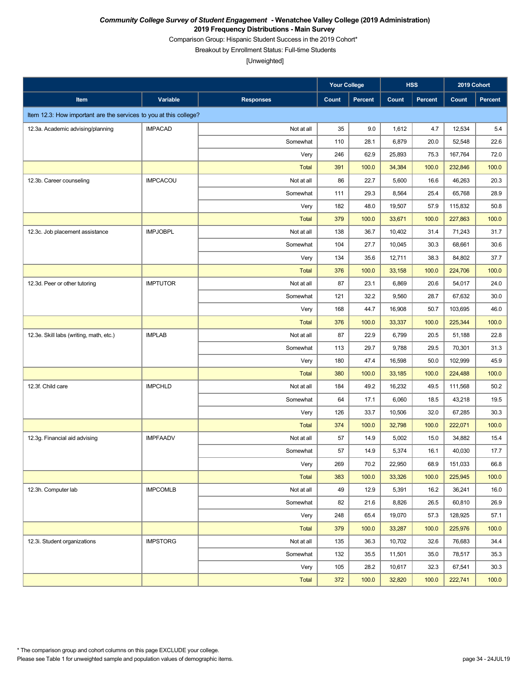Comparison Group: Hispanic Student Success in the 2019 Cohort\*

Breakout by Enrollment Status: Full-time Students

|                                                                   |                 |                  | <b>Your College</b> |         |        | <b>HSS</b>     | 2019 Cohort |         |
|-------------------------------------------------------------------|-----------------|------------------|---------------------|---------|--------|----------------|-------------|---------|
| Item                                                              | Variable        | <b>Responses</b> | Count               | Percent | Count  | <b>Percent</b> | Count       | Percent |
| Item 12.3: How important are the services to you at this college? |                 |                  |                     |         |        |                |             |         |
| 12.3a. Academic advising/planning                                 | <b>IMPACAD</b>  | Not at all       | 35                  | 9.0     | 1,612  | 4.7            | 12,534      | 5.4     |
|                                                                   |                 | Somewhat         | 110                 | 28.1    | 6,879  | 20.0           | 52,548      | 22.6    |
|                                                                   |                 | Very             | 246                 | 62.9    | 25,893 | 75.3           | 167,764     | 72.0    |
|                                                                   |                 | <b>Total</b>     | 391                 | 100.0   | 34,384 | 100.0          | 232,846     | 100.0   |
| 12.3b. Career counseling                                          | <b>IMPCACOU</b> | Not at all       | 86                  | 22.7    | 5,600  | 16.6           | 46,263      | 20.3    |
|                                                                   |                 | Somewhat         | 111                 | 29.3    | 8,564  | 25.4           | 65,768      | 28.9    |
|                                                                   |                 | Very             | 182                 | 48.0    | 19,507 | 57.9           | 115,832     | 50.8    |
|                                                                   |                 | <b>Total</b>     | 379                 | 100.0   | 33,671 | 100.0          | 227,863     | 100.0   |
| 12.3c. Job placement assistance                                   | <b>IMPJOBPL</b> | Not at all       | 138                 | 36.7    | 10,402 | 31.4           | 71,243      | 31.7    |
|                                                                   |                 | Somewhat         | 104                 | 27.7    | 10,045 | 30.3           | 68,661      | 30.6    |
|                                                                   |                 | Very             | 134                 | 35.6    | 12,711 | 38.3           | 84,802      | 37.7    |
|                                                                   |                 | <b>Total</b>     | 376                 | 100.0   | 33,158 | 100.0          | 224,706     | 100.0   |
| 12.3d. Peer or other tutoring                                     | <b>IMPTUTOR</b> | Not at all       | 87                  | 23.1    | 6,869  | 20.6           | 54,017      | 24.0    |
|                                                                   |                 | Somewhat         | 121                 | 32.2    | 9,560  | 28.7           | 67,632      | 30.0    |
|                                                                   |                 | Very             | 168                 | 44.7    | 16,908 | 50.7           | 103,695     | 46.0    |
|                                                                   |                 | <b>Total</b>     | 376                 | 100.0   | 33,337 | 100.0          | 225,344     | 100.0   |
| 12.3e. Skill labs (writing, math, etc.)                           | <b>IMPLAB</b>   | Not at all       | 87                  | 22.9    | 6,799  | 20.5           | 51,188      | 22.8    |
|                                                                   |                 | Somewhat         | 113                 | 29.7    | 9,788  | 29.5           | 70,301      | 31.3    |
|                                                                   |                 | Very             | 180                 | 47.4    | 16,598 | 50.0           | 102,999     | 45.9    |
|                                                                   |                 | <b>Total</b>     | 380                 | 100.0   | 33,185 | 100.0          | 224,488     | 100.0   |
| 12.3f. Child care                                                 | <b>IMPCHLD</b>  | Not at all       | 184                 | 49.2    | 16,232 | 49.5           | 111,568     | 50.2    |
|                                                                   |                 | Somewhat         | 64                  | 17.1    | 6,060  | 18.5           | 43,218      | 19.5    |
|                                                                   |                 | Very             | 126                 | 33.7    | 10,506 | 32.0           | 67,285      | 30.3    |
|                                                                   |                 | <b>Total</b>     | 374                 | 100.0   | 32,798 | 100.0          | 222,071     | 100.0   |
| 12.3g. Financial aid advising                                     | <b>IMPFAADV</b> | Not at all       | 57                  | 14.9    | 5,002  | 15.0           | 34,882      | 15.4    |
|                                                                   |                 | Somewhat         | 57                  | 14.9    | 5,374  | 16.1           | 40,030      | 17.7    |
|                                                                   |                 | Very             | 269                 | 70.2    | 22,950 | 68.9           | 151,033     | 66.8    |
|                                                                   |                 | <b>Total</b>     | 383                 | 100.0   | 33,326 | 100.0          | 225,945     | 100.0   |
| 12.3h. Computer lab                                               | <b>IMPCOMLB</b> | Not at all       | 49                  | 12.9    | 5,391  | 16.2           | 36,241      | 16.0    |
|                                                                   |                 | Somewhat         | 82                  | 21.6    | 8,826  | 26.5           | 60,810      | 26.9    |
|                                                                   |                 | Very             | 248                 | 65.4    | 19,070 | 57.3           | 128,925     | 57.1    |
|                                                                   |                 | <b>Total</b>     | 379                 | 100.0   | 33,287 | 100.0          | 225,976     | 100.0   |
| 12.3i. Student organizations                                      | <b>IMPSTORG</b> | Not at all       | 135                 | 36.3    | 10,702 | 32.6           | 76,683      | 34.4    |
|                                                                   |                 | Somewhat         | 132                 | 35.5    | 11,501 | 35.0           | 78,517      | 35.3    |
|                                                                   |                 | Very             | 105                 | 28.2    | 10,617 | 32.3           | 67,541      | 30.3    |
|                                                                   |                 | <b>Total</b>     | 372                 | 100.0   | 32,820 | 100.0          | 222,741     | 100.0   |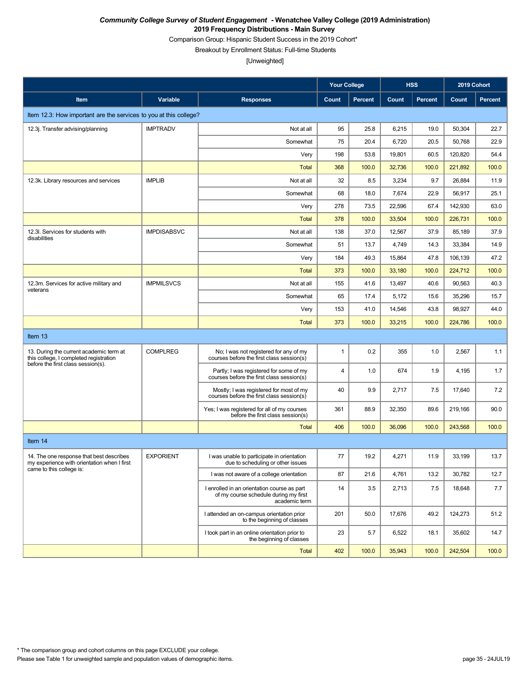Comparison Group: Hispanic Student Success in the 2019 Cohort\*

Breakout by Enrollment Status: Full-time Students

|                                                                                         |                    |                                                                                                       | <b>Your College</b> |                |        | <b>HSS</b>     | 2019 Cohort |                |
|-----------------------------------------------------------------------------------------|--------------------|-------------------------------------------------------------------------------------------------------|---------------------|----------------|--------|----------------|-------------|----------------|
| Item                                                                                    | Variable           | <b>Responses</b>                                                                                      | Count               | <b>Percent</b> | Count  | <b>Percent</b> | Count       | <b>Percent</b> |
| Item 12.3: How important are the services to you at this college?                       |                    |                                                                                                       |                     |                |        |                |             |                |
| 12.3j. Transfer advising/planning                                                       | <b>IMPTRADV</b>    | Not at all                                                                                            | 95                  | 25.8           | 6,215  | 19.0           | 50,304      | 22.7           |
|                                                                                         |                    | Somewhat                                                                                              | 75                  | 20.4           | 6,720  | 20.5           | 50,768      | 22.9           |
|                                                                                         |                    | Very                                                                                                  | 198                 | 53.8           | 19,801 | 60.5           | 120,820     | 54.4           |
|                                                                                         |                    | Total                                                                                                 | 368                 | 100.0          | 32,736 | 100.0          | 221,892     | 100.0          |
| 12.3k. Library resources and services                                                   | <b>IMPLIB</b>      | Not at all                                                                                            | 32                  | 8.5            | 3,234  | 9.7            | 26,884      | 11.9           |
|                                                                                         |                    | Somewhat                                                                                              | 68                  | 18.0           | 7,674  | 22.9           | 56,917      | 25.1           |
|                                                                                         |                    | Very                                                                                                  | 278                 | 73.5           | 22,596 | 67.4           | 142,930     | 63.0           |
|                                                                                         |                    | <b>Total</b>                                                                                          | 378                 | 100.0          | 33,504 | 100.0          | 226,731     | 100.0          |
| 12.3I. Services for students with<br>disabilities                                       | <b>IMPDISABSVC</b> | Not at all                                                                                            | 138                 | 37.0           | 12,567 | 37.9           | 85,189      | 37.9           |
|                                                                                         |                    | Somewhat                                                                                              | 51                  | 13.7           | 4,749  | 14.3           | 33,384      | 14.9           |
|                                                                                         |                    | Very                                                                                                  | 184                 | 49.3           | 15,864 | 47.8           | 106,139     | 47.2           |
|                                                                                         |                    | <b>Total</b>                                                                                          | 373                 | 100.0          | 33,180 | 100.0          | 224,712     | 100.0          |
| 12.3m. Services for active military and<br>veterans                                     | <b>IMPMILSVCS</b>  | Not at all                                                                                            | 155                 | 41.6           | 13,497 | 40.6           | 90,563      | 40.3           |
|                                                                                         |                    | Somewhat                                                                                              | 65                  | 17.4           | 5,172  | 15.6           | 35,296      | 15.7           |
|                                                                                         |                    | Very                                                                                                  | 153                 | 41.0           | 14,546 | 43.8           | 98,927      | 44.0           |
|                                                                                         |                    | <b>Total</b>                                                                                          | 373                 | 100.0          | 33,215 | 100.0          | 224,786     | 100.0          |
| Item 13                                                                                 |                    |                                                                                                       |                     |                |        |                |             |                |
| 13. During the current academic term at<br>this college, I completed registration       | <b>COMPLREG</b>    | No; I was not registered for any of my<br>courses before the first class session(s)                   | $\mathbf{1}$        | 0.2            | 355    | 1.0            | 2,567       | 1.1            |
| before the first class session(s).                                                      |                    | Partly; I was registered for some of my<br>courses before the first class session(s)                  | 4                   | 1.0            | 674    | 1.9            | 4,195       | 1.7            |
|                                                                                         |                    | Mostly; I was registered for most of my<br>courses before the first class session(s)                  | 40                  | 9.9            | 2,717  | 7.5            | 17,640      | 7.2            |
|                                                                                         |                    | Yes; I was registered for all of my courses<br>before the first class session(s)                      | 361                 | 88.9           | 32,350 | 89.6           | 219,166     | 90.0           |
|                                                                                         |                    | <b>Total</b>                                                                                          | 406                 | 100.0          | 36,096 | 100.0          | 243,568     | 100.0          |
| Item 14                                                                                 |                    |                                                                                                       |                     |                |        |                |             |                |
| 14. The one response that best describes<br>my experience with orientation when I first | <b>EXPORIENT</b>   | I was unable to participate in orientation<br>due to scheduling or other issues                       | 77                  | 19.2           | 4,271  | 11.9           | 33,199      | 13.7           |
| came to this college is:                                                                |                    | I was not aware of a college orientation                                                              | 87                  | 21.6           | 4,761  | 13.2           | 30,782      | 12.7           |
|                                                                                         |                    | I enrolled in an orientation course as part<br>of my course schedule during my first<br>academic term | 14                  | 3.5            | 2,713  | 7.5            | 18,648      | 7.7            |
|                                                                                         |                    | I attended an on-campus orientation prior<br>to the beginning of classes                              | 201                 | 50.0           | 17,676 | 49.2           | 124,273     | 51.2           |
|                                                                                         |                    | I took part in an online orientation prior to<br>the beginning of classes                             | 23                  | 5.7            | 6,522  | 18.1           | 35,602      | 14.7           |
|                                                                                         |                    | <b>Total</b>                                                                                          | 402                 | 100.0          | 35,943 | 100.0          | 242,504     | 100.0          |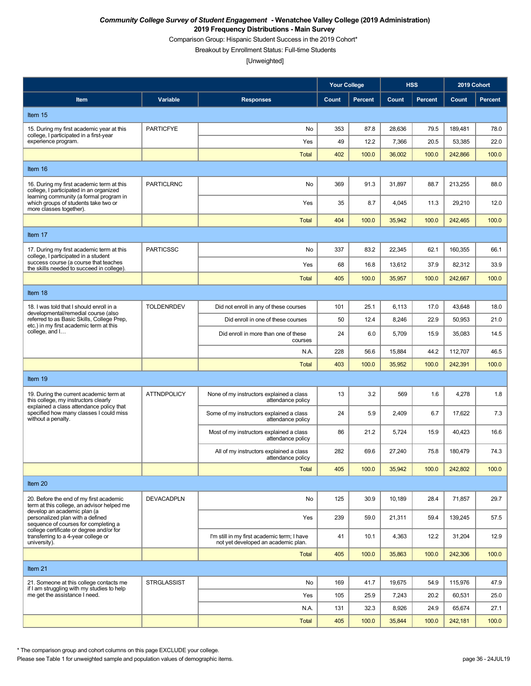Comparison Group: Hispanic Student Success in the 2019 Cohort\*

Breakout by Enrollment Status: Full-time Students

[Unweighted]

|                                                                                                                                                                                            |                    |                                                                                    | <b>Your College</b> |                | <b>HSS</b> |                | 2019 Cohort |                |
|--------------------------------------------------------------------------------------------------------------------------------------------------------------------------------------------|--------------------|------------------------------------------------------------------------------------|---------------------|----------------|------------|----------------|-------------|----------------|
| Item                                                                                                                                                                                       | Variable           | <b>Responses</b>                                                                   | Count               | <b>Percent</b> | Count      | <b>Percent</b> | Count       | <b>Percent</b> |
| Item 15                                                                                                                                                                                    |                    |                                                                                    |                     |                |            |                |             |                |
| 15. During my first academic year at this                                                                                                                                                  | <b>PARTICFYE</b>   | No                                                                                 | 353                 | 87.8           | 28,636     | 79.5           | 189,481     | 78.0           |
| college, I participated in a first-year<br>experience program.                                                                                                                             |                    | Yes                                                                                | 49                  | 12.2           | 7,366      | 20.5           | 53,385      | 22.0           |
|                                                                                                                                                                                            |                    | <b>Total</b>                                                                       | 402                 | 100.0          | 36,002     | 100.0          | 242,866     | 100.0          |
| Item 16                                                                                                                                                                                    |                    |                                                                                    |                     |                |            |                |             |                |
| 16. During my first academic term at this<br>college, I participated in an organized                                                                                                       | <b>PARTICLRNC</b>  | No                                                                                 | 369                 | 91.3           | 31,897     | 88.7           | 213,255     | 88.0           |
| learning community (a formal program in<br>which groups of students take two or<br>more classes together).                                                                                 |                    | Yes                                                                                | 35                  | 8.7            | 4,045      | 11.3           | 29,210      | 12.0           |
|                                                                                                                                                                                            |                    | <b>Total</b>                                                                       | 404                 | 100.0          | 35,942     | 100.0          | 242,465     | 100.0          |
| Item 17                                                                                                                                                                                    |                    |                                                                                    |                     |                |            |                |             |                |
| 17. During my first academic term at this<br>college, I participated in a student                                                                                                          | <b>PARTICSSC</b>   | No                                                                                 | 337                 | 83.2           | 22,345     | 62.1           | 160,355     | 66.1           |
| success course (a course that teaches<br>the skills needed to succeed in college).                                                                                                         |                    | Yes                                                                                | 68                  | 16.8           | 13,612     | 37.9           | 82,312      | 33.9           |
|                                                                                                                                                                                            |                    | <b>Total</b>                                                                       | 405                 | 100.0          | 35,957     | 100.0          | 242,667     | 100.0          |
| Item 18                                                                                                                                                                                    |                    |                                                                                    |                     |                |            |                |             |                |
| 18. I was told that I should enroll in a<br>developmental/remedial course (also<br>referred to as Basic Skills, College Prep,<br>etc.) in my first academic term at this<br>college, and I | <b>TOLDENRDEV</b>  | Did not enroll in any of these courses                                             | 101                 | 25.1           | 6,113      | 17.0           | 43,648      | 18.0           |
|                                                                                                                                                                                            |                    | Did enroll in one of these courses                                                 | 50                  | 12.4           | 8,246      | 22.9           | 50,953      | 21.0           |
|                                                                                                                                                                                            |                    | Did enroll in more than one of these<br>courses                                    | 24                  | 6.0            | 5,709      | 15.9           | 35,083      | 14.5           |
|                                                                                                                                                                                            |                    | N.A.                                                                               | 228                 | 56.6           | 15,884     | 44.2           | 112,707     | 46.5           |
|                                                                                                                                                                                            |                    | <b>Total</b>                                                                       | 403                 | 100.0          | 35,952     | 100.0          | 242,391     | 100.0          |
| Item 19                                                                                                                                                                                    |                    |                                                                                    |                     |                |            |                |             |                |
| 19. During the current academic term at<br>this college, my instructors clearly                                                                                                            | <b>ATTNDPOLICY</b> | None of my instructors explained a class<br>attendance policy                      | 13                  | 3.2            | 569        | 1.6            | 4,278       | 1.8            |
| explained a class attendance policy that<br>specified how many classes I could miss<br>without a penalty.                                                                                  |                    | Some of my instructors explained a class<br>attendance policy                      | 24                  | 5.9            | 2,409      | 6.7            | 17,622      | 7.3            |
|                                                                                                                                                                                            |                    | Most of my instructors explained a class<br>attendance policy                      | 86                  | 21.2           | 5,724      | 15.9           | 40,423      | 16.6           |
|                                                                                                                                                                                            |                    | All of my instructors explained a class<br>attendance policy                       | 282                 | 69.6           | 27,240     | 75.8           | 180,479     | 74.3           |
|                                                                                                                                                                                            |                    | <b>Total</b>                                                                       | 405                 | 100.0          | 35,942     | 100.0          | 242,802     | 100.0          |
| Item 20                                                                                                                                                                                    |                    |                                                                                    |                     |                |            |                |             |                |
| 20. Before the end of my first academic<br>term at this college, an advisor helped me                                                                                                      | <b>DEVACADPLN</b>  | No                                                                                 | 125                 | 30.9           | 10,189     | 28.4           | 71,857      | 29.7           |
| develop an academic plan (a<br>personalized plan with a defined<br>sequence of courses for completing a<br>college certificate or degree and/or for                                        |                    | Yes                                                                                | 239                 | 59.0           | 21,311     | 59.4           | 139,245     | 57.5           |
| transferring to a 4-year college or<br>university).                                                                                                                                        |                    | I'm still in my first academic term; I have<br>not yet developed an academic plan. | 41                  | 10.1           | 4,363      | 12.2           | 31,204      | 12.9           |
|                                                                                                                                                                                            |                    | <b>Total</b>                                                                       | 405                 | 100.0          | 35,863     | 100.0          | 242,306     | 100.0          |
| Item 21                                                                                                                                                                                    |                    |                                                                                    |                     |                |            |                |             |                |
| 21. Someone at this college contacts me<br>if I am struggling with my studies to help                                                                                                      | <b>STRGLASSIST</b> | No                                                                                 | 169                 | 41.7           | 19,675     | 54.9           | 115,976     | 47.9           |
| me get the assistance I need.                                                                                                                                                              |                    | Yes                                                                                | 105                 | 25.9           | 7,243      | 20.2           | 60,531      | 25.0           |
|                                                                                                                                                                                            |                    | N.A.                                                                               | 131                 | 32.3           | 8,926      | 24.9           | 65,674      | 27.1           |
|                                                                                                                                                                                            |                    | <b>Total</b>                                                                       | 405                 | 100.0          | 35,844     | 100.0          | 242,181     | 100.0          |

\* The comparison group and cohort columns on this page EXCLUDE your college.

Please see Table 1 for unweighted sample and population values of demographic items. page 36 - 24JUL19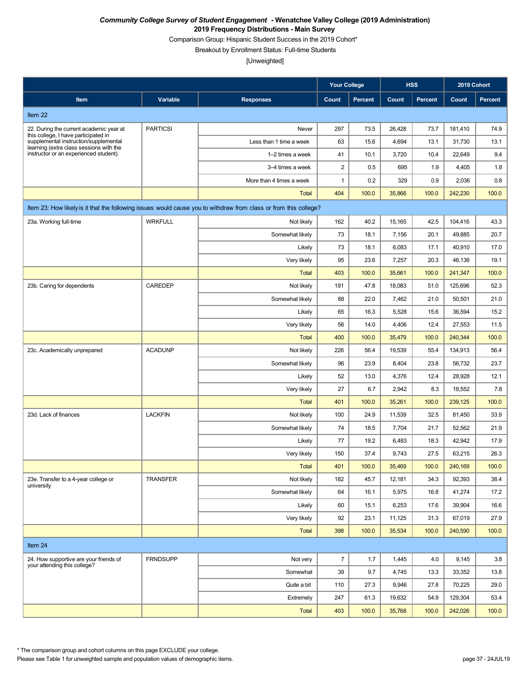Comparison Group: Hispanic Student Success in the 2019 Cohort\*

Breakout by Enrollment Status: Full-time Students

[Unweighted]

|                                                                                                                                                                                                               |                 |                                                                                                                  | <b>Your College</b> |         | <b>HSS</b> |                | 2019 Cohort |                |
|---------------------------------------------------------------------------------------------------------------------------------------------------------------------------------------------------------------|-----------------|------------------------------------------------------------------------------------------------------------------|---------------------|---------|------------|----------------|-------------|----------------|
| Item                                                                                                                                                                                                          | Variable        | <b>Responses</b>                                                                                                 | Count               | Percent | Count      | <b>Percent</b> | Count       | <b>Percent</b> |
| Item 22                                                                                                                                                                                                       |                 |                                                                                                                  |                     |         |            |                |             |                |
| 22. During the current academic year at<br>this college. I have participated in<br>supplemental instruction/supplemental<br>learning (extra class sessions with the<br>instructor or an experienced student). | <b>PARTICSI</b> | Never                                                                                                            | 297                 | 73.5    | 26,428     | 73.7           | 181,410     | 74.9           |
|                                                                                                                                                                                                               |                 | Less than 1 time a week                                                                                          | 63                  | 15.6    | 4,694      | 13.1           | 31,730      | 13.1           |
|                                                                                                                                                                                                               |                 | 1-2 times a week                                                                                                 | 41                  | 10.1    | 3,720      | 10.4           | 22,649      | 9.4            |
|                                                                                                                                                                                                               |                 | 3-4 times a week                                                                                                 | $\sqrt{2}$          | 0.5     | 695        | 1.9            | 4,405       | 1.8            |
|                                                                                                                                                                                                               |                 | More than 4 times a week                                                                                         | $\mathbf{1}$        | 0.2     | 329        | 0.9            | 2,036       | 0.8            |
|                                                                                                                                                                                                               |                 | Total                                                                                                            | 404                 | 100.0   | 35,866     | 100.0          | 242,230     | 100.0          |
|                                                                                                                                                                                                               |                 | Item 23: How likely is it that the following issues would cause you to withdraw from class or from this college? |                     |         |            |                |             |                |
| 23a. Working full-time                                                                                                                                                                                        | <b>WRKFULL</b>  | Not likely                                                                                                       | 162                 | 40.2    | 15,165     | 42.5           | 104,416     | 43.3           |
|                                                                                                                                                                                                               |                 | Somewhat likely                                                                                                  | 73                  | 18.1    | 7,156      | 20.1           | 49,885      | 20.7           |
|                                                                                                                                                                                                               |                 | Likely                                                                                                           | 73                  | 18.1    | 6,083      | 17.1           | 40,910      | 17.0           |
|                                                                                                                                                                                                               |                 | Very likely                                                                                                      | 95                  | 23.6    | 7,257      | 20.3           | 46,136      | 19.1           |
|                                                                                                                                                                                                               |                 | <b>Total</b>                                                                                                     | 403                 | 100.0   | 35,661     | 100.0          | 241,347     | 100.0          |
| 23b. Caring for dependents                                                                                                                                                                                    | CAREDEP         | Not likely                                                                                                       | 191                 | 47.8    | 18,083     | 51.0           | 125,696     | 52.3           |
|                                                                                                                                                                                                               |                 | Somewhat likely                                                                                                  | 88                  | 22.0    | 7,462      | 21.0           | 50,501      | 21.0           |
|                                                                                                                                                                                                               |                 | Likely                                                                                                           | 65                  | 16.3    | 5,528      | 15.6           | 36,594      | 15.2           |
|                                                                                                                                                                                                               |                 | Very likely                                                                                                      | 56                  | 14.0    | 4,406      | 12.4           | 27,553      | 11.5           |
|                                                                                                                                                                                                               |                 | <b>Total</b>                                                                                                     | 400                 | 100.0   | 35,479     | 100.0          | 240,344     | 100.0          |
| 23c. Academically unprepared                                                                                                                                                                                  | <b>ACADUNP</b>  | Not likely                                                                                                       | 226                 | 56.4    | 19,539     | 55.4           | 134,913     | 56.4           |
|                                                                                                                                                                                                               |                 | Somewhat likely                                                                                                  | 96                  | 23.9    | 8,404      | 23.8           | 56,732      | 23.7           |
|                                                                                                                                                                                                               |                 | Likely                                                                                                           | 52                  | 13.0    | 4,376      | 12.4           | 28,928      | 12.1           |
|                                                                                                                                                                                                               |                 | Very likely                                                                                                      | 27                  | 6.7     | 2,942      | 8.3            | 18,552      | 7.8            |
|                                                                                                                                                                                                               |                 | <b>Total</b>                                                                                                     | 401                 | 100.0   | 35,261     | 100.0          | 239,125     | 100.0          |
| 23d. Lack of finances                                                                                                                                                                                         | <b>LACKFIN</b>  | Not likely                                                                                                       | 100                 | 24.9    | 11,539     | 32.5           | 81,450      | 33.9           |
|                                                                                                                                                                                                               |                 | Somewhat likely                                                                                                  | 74                  | 18.5    | 7,704      | 21.7           | 52,562      | 21.9           |
|                                                                                                                                                                                                               |                 | Likely                                                                                                           | 77                  | 19.2    | 6,483      | 18.3           | 42,942      | 17.9           |
|                                                                                                                                                                                                               |                 | Very likely                                                                                                      | 150                 | 37.4    | 9,743      | 27.5           | 63,215      | 26.3           |
|                                                                                                                                                                                                               |                 | Total                                                                                                            | 401                 | 100.0   | 35,469     | 100.0          | 240,169     | 100.0          |
| 23e. Transfer to a 4-year college or<br>university                                                                                                                                                            | <b>TRANSFER</b> | Not likely                                                                                                       | 182                 | 45.7    | 12,181     | 34.3           | 92,393      | 38.4           |
|                                                                                                                                                                                                               |                 | Somewhat likely                                                                                                  | 64                  | 16.1    | 5,975      | 16.8           | 41,274      | 17.2           |
|                                                                                                                                                                                                               |                 | Likely                                                                                                           | 60                  | 15.1    | 6,253      | 17.6           | 39,904      | 16.6           |
|                                                                                                                                                                                                               |                 | Very likely                                                                                                      | 92                  | 23.1    | 11,125     | 31.3           | 67,019      | 27.9           |
|                                                                                                                                                                                                               |                 | <b>Total</b>                                                                                                     | 398                 | 100.0   | 35,534     | 100.0          | 240,590     | 100.0          |
| Item 24                                                                                                                                                                                                       |                 |                                                                                                                  |                     |         |            |                |             |                |
| 24. How supportive are your friends of<br>your attending this college?                                                                                                                                        | <b>FRNDSUPP</b> | Not very                                                                                                         | $\overline{7}$      | 1.7     | 1,445      | 4.0            | 9,145       | 3.8            |
|                                                                                                                                                                                                               |                 | Somewhat                                                                                                         | 39                  | 9.7     | 4,745      | 13.3           | 33,352      | 13.8           |
|                                                                                                                                                                                                               |                 | Quite a bit                                                                                                      | 110                 | 27.3    | 9,946      | 27.8           | 70,225      | 29.0           |
|                                                                                                                                                                                                               |                 | Extremely                                                                                                        | 247                 | 61.3    | 19,632     | 54.9           | 129,304     | 53.4           |
|                                                                                                                                                                                                               |                 | Total                                                                                                            | 403                 | 100.0   | 35,768     | 100.0          | 242,026     | 100.0          |

\* The comparison group and cohort columns on this page EXCLUDE your college.

Please see Table 1 for unweighted sample and population values of demographic items. page 37 - 24JUL19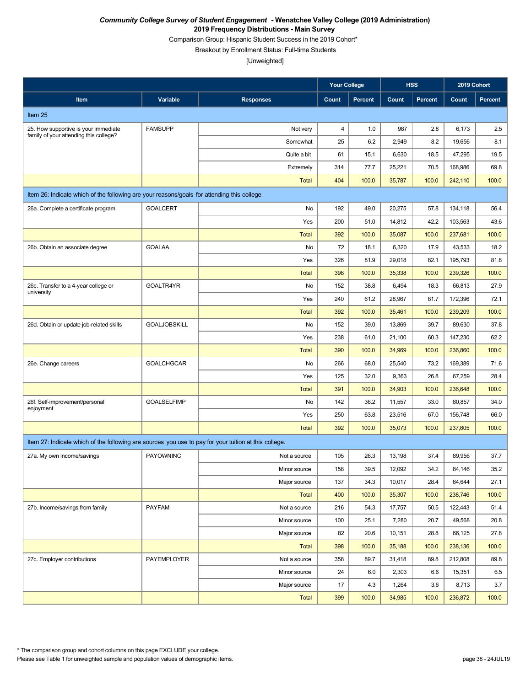Comparison Group: Hispanic Student Success in the 2019 Cohort\*

Breakout by Enrollment Status: Full-time Students

|                                                                                                       |                     |                  | <b>Your College</b> |         |        | <b>HSS</b>     |         | 2019 Cohort    |
|-------------------------------------------------------------------------------------------------------|---------------------|------------------|---------------------|---------|--------|----------------|---------|----------------|
| Item                                                                                                  | Variable            | <b>Responses</b> | Count               | Percent | Count  | <b>Percent</b> | Count   | <b>Percent</b> |
| Item 25                                                                                               |                     |                  |                     |         |        |                |         |                |
| 25. How supportive is your immediate                                                                  | <b>FAMSUPP</b>      | Not very         | 4                   | 1.0     | 987    | 2.8            | 6,173   | 2.5            |
| family of your attending this college?                                                                |                     | Somewhat         | 25                  | 6.2     | 2,949  | 8.2            | 19,656  | 8.1            |
|                                                                                                       |                     | Quite a bit      | 61                  | 15.1    | 6,630  | 18.5           | 47,295  | 19.5           |
|                                                                                                       |                     | Extremely        | 314                 | 77.7    | 25,221 | 70.5           | 168,986 | 69.8           |
|                                                                                                       |                     | <b>Total</b>     | 404                 | 100.0   | 35,787 | 100.0          | 242,110 | 100.0          |
| Item 26: Indicate which of the following are your reasons/goals for attending this college.           |                     |                  |                     |         |        |                |         |                |
| 26a. Complete a certificate program                                                                   | <b>GOALCERT</b>     | No               | 192                 | 49.0    | 20,275 | 57.8           | 134,118 | 56.4           |
|                                                                                                       |                     | Yes              | 200                 | 51.0    | 14,812 | 42.2           | 103,563 | 43.6           |
|                                                                                                       |                     | <b>Total</b>     | 392                 | 100.0   | 35,087 | 100.0          | 237,681 | 100.0          |
| 26b. Obtain an associate degree                                                                       | <b>GOALAA</b>       | No               | 72                  | 18.1    | 6,320  | 17.9           | 43,533  | 18.2           |
|                                                                                                       |                     | Yes              | 326                 | 81.9    | 29,018 | 82.1           | 195,793 | 81.8           |
|                                                                                                       |                     | <b>Total</b>     | 398                 | 100.0   | 35,338 | 100.0          | 239,326 | 100.0          |
| 26c. Transfer to a 4-year college or<br>university                                                    | GOALTR4YR           | No               | 152                 | 38.8    | 6,494  | 18.3           | 66,813  | 27.9           |
|                                                                                                       |                     | Yes              | 240                 | 61.2    | 28,967 | 81.7           | 172,396 | 72.1           |
|                                                                                                       |                     | <b>Total</b>     | 392                 | 100.0   | 35,461 | 100.0          | 239,209 | 100.0          |
| 26d. Obtain or update job-related skills                                                              | <b>GOALJOBSKILL</b> | No               | 152                 | 39.0    | 13,869 | 39.7           | 89,630  | 37.8           |
|                                                                                                       |                     | Yes              | 238                 | 61.0    | 21,100 | 60.3           | 147,230 | 62.2           |
|                                                                                                       |                     | <b>Total</b>     | 390                 | 100.0   | 34,969 | 100.0          | 236,860 | 100.0          |
| 26e. Change careers                                                                                   | <b>GOALCHGCAR</b>   | No               | 266                 | 68.0    | 25,540 | 73.2           | 169,389 | 71.6           |
|                                                                                                       |                     | Yes              | 125                 | 32.0    | 9,363  | 26.8           | 67,259  | 28.4           |
|                                                                                                       |                     | <b>Total</b>     | 391                 | 100.0   | 34,903 | 100.0          | 236,648 | 100.0          |
| 26f. Self-improvement/personal<br>enjoyment                                                           | <b>GOALSELFIMP</b>  | No               | 142                 | 36.2    | 11,557 | 33.0           | 80,857  | 34.0           |
|                                                                                                       |                     | Yes              | 250                 | 63.8    | 23,516 | 67.0           | 156,748 | 66.0           |
|                                                                                                       |                     | <b>Total</b>     | 392                 | 100.0   | 35,073 | 100.0          | 237,605 | 100.0          |
| Item 27: Indicate which of the following are sources you use to pay for your tuition at this college. |                     |                  |                     |         |        |                |         |                |
| 27a. My own income/savings                                                                            | <b>PAYOWNINC</b>    | Not a source     | 105                 | 26.3    | 13,198 | 37.4           | 89,956  | 37.7           |
|                                                                                                       |                     | Minor source     | 158                 | 39.5    | 12,092 | 34.2           | 84,146  | 35.2           |
|                                                                                                       |                     | Major source     | 137                 | 34.3    | 10,017 | 28.4           | 64,644  | 27.1           |
|                                                                                                       |                     | <b>Total</b>     | 400                 | 100.0   | 35,307 | 100.0          | 238,746 | 100.0          |
| 27b. Income/savings from family                                                                       | <b>PAYFAM</b>       | Not a source     | 216                 | 54.3    | 17,757 | 50.5           | 122,443 | 51.4           |
|                                                                                                       |                     | Minor source     | 100                 | 25.1    | 7,280  | 20.7           | 49,568  | 20.8           |
|                                                                                                       |                     | Major source     | 82                  | 20.6    | 10,151 | 28.8           | 66,125  | 27.8           |
|                                                                                                       |                     | <b>Total</b>     | 398                 | 100.0   | 35,188 | 100.0          | 238,136 | 100.0          |
| 27c. Employer contributions                                                                           | PAYEMPLOYER         | Not a source     | 358                 | 89.7    | 31,418 | 89.8           | 212,808 | 89.8           |
|                                                                                                       |                     | Minor source     | 24                  | 6.0     | 2,303  | 6.6            | 15,351  | 6.5            |
|                                                                                                       |                     | Major source     | 17                  | 4.3     | 1,264  | 3.6            | 8,713   | 3.7            |
|                                                                                                       |                     | <b>Total</b>     | 399                 | 100.0   | 34,985 | 100.0          | 236,872 | 100.0          |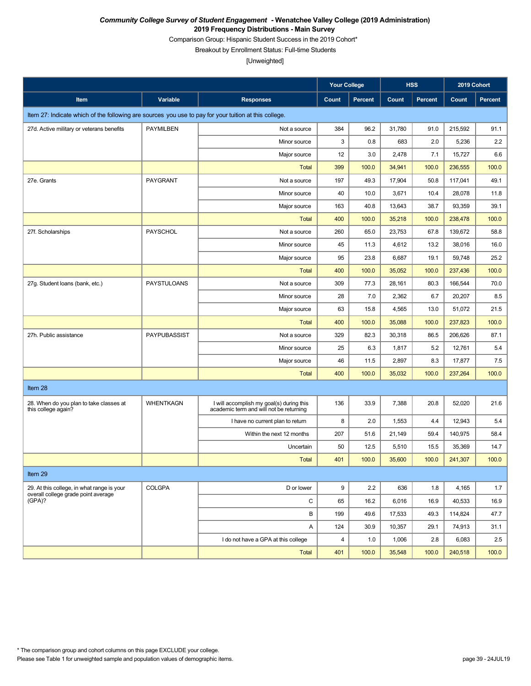Comparison Group: Hispanic Student Success in the 2019 Cohort\*

Breakout by Enrollment Status: Full-time Students

|                                                                                                       |                    |                                                                                     | <b>Your College</b> |                | <b>HSS</b> |                | 2019 Cohort |                |
|-------------------------------------------------------------------------------------------------------|--------------------|-------------------------------------------------------------------------------------|---------------------|----------------|------------|----------------|-------------|----------------|
| Item                                                                                                  | Variable           | <b>Responses</b>                                                                    | Count               | <b>Percent</b> | Count      | <b>Percent</b> | Count       | <b>Percent</b> |
| Item 27: Indicate which of the following are sources you use to pay for your tuition at this college. |                    |                                                                                     |                     |                |            |                |             |                |
| 27d. Active military or veterans benefits                                                             | <b>PAYMILBEN</b>   | Not a source                                                                        | 384                 | 96.2           | 31,780     | 91.0           | 215,592     | 91.1           |
|                                                                                                       |                    | Minor source                                                                        | 3                   | 0.8            | 683        | 2.0            | 5,236       | 2.2            |
|                                                                                                       |                    | Major source                                                                        | 12                  | 3.0            | 2,478      | 7.1            | 15,727      | 6.6            |
|                                                                                                       |                    | <b>Total</b>                                                                        | 399                 | 100.0          | 34,941     | 100.0          | 236,555     | 100.0          |
| 27e. Grants                                                                                           | PAYGRANT           | Not a source                                                                        | 197                 | 49.3           | 17,904     | 50.8           | 117,041     | 49.1           |
|                                                                                                       |                    | Minor source                                                                        | 40                  | 10.0           | 3,671      | 10.4           | 28,078      | 11.8           |
|                                                                                                       |                    | Major source                                                                        | 163                 | 40.8           | 13,643     | 38.7           | 93,359      | 39.1           |
|                                                                                                       |                    | <b>Total</b>                                                                        | 400                 | 100.0          | 35,218     | 100.0          | 238,478     | 100.0          |
| 27f. Scholarships                                                                                     | PAYSCHOL           | Not a source                                                                        | 260                 | 65.0           | 23,753     | 67.8           | 139,672     | 58.8           |
|                                                                                                       |                    | Minor source                                                                        | 45                  | 11.3           | 4,612      | 13.2           | 38,016      | 16.0           |
|                                                                                                       |                    | Major source                                                                        | 95                  | 23.8           | 6,687      | 19.1           | 59,748      | 25.2           |
|                                                                                                       |                    | <b>Total</b>                                                                        | 400                 | 100.0          | 35,052     | 100.0          | 237,436     | 100.0          |
| 27g. Student loans (bank, etc.)                                                                       | <b>PAYSTULOANS</b> | Not a source                                                                        | 309                 | 77.3           | 28,161     | 80.3           | 166,544     | 70.0           |
|                                                                                                       |                    | Minor source                                                                        | 28                  | 7.0            | 2,362      | 6.7            | 20,207      | 8.5            |
|                                                                                                       |                    | Major source                                                                        | 63                  | 15.8           | 4,565      | 13.0           | 51,072      | 21.5           |
|                                                                                                       |                    | <b>Total</b>                                                                        | 400                 | 100.0          | 35,088     | 100.0          | 237,823     | 100.0          |
| 27h. Public assistance                                                                                | PAYPUBASSIST       | Not a source                                                                        | 329                 | 82.3           | 30,318     | 86.5           | 206,626     | 87.1           |
|                                                                                                       |                    | Minor source                                                                        | 25                  | 6.3            | 1,817      | 5.2            | 12,761      | 5.4            |
|                                                                                                       |                    | Major source                                                                        | 46                  | 11.5           | 2,897      | 8.3            | 17,877      | 7.5            |
|                                                                                                       |                    | <b>Total</b>                                                                        | 400                 | 100.0          | 35,032     | 100.0          | 237,264     | 100.0          |
| Item 28                                                                                               |                    |                                                                                     |                     |                |            |                |             |                |
| 28. When do you plan to take classes at<br>this college again?                                        | <b>WHENTKAGN</b>   | I will accomplish my goal(s) during this<br>academic term and will not be returning | 136                 | 33.9           | 7,388      | 20.8           | 52,020      | 21.6           |
|                                                                                                       |                    | I have no current plan to return                                                    | 8                   | 2.0            | 1,553      | 4.4            | 12,943      | 5.4            |
|                                                                                                       |                    | Within the next 12 months                                                           | 207                 | 51.6           | 21,149     | 59.4           | 140,975     | 58.4           |
|                                                                                                       |                    | Uncertain                                                                           | 50                  | 12.5           | 5,510      | 15.5           | 35,369      | 14.7           |
|                                                                                                       |                    | <b>Total</b>                                                                        | 401                 | 100.0          | 35,600     | 100.0          | 241.307     | 100.0          |
| Item 29                                                                                               |                    |                                                                                     |                     |                |            |                |             |                |
| 29. At this college, in what range is your                                                            | <b>COLGPA</b>      | D or lower                                                                          | 9                   | 2.2            | 636        | 1.8            | 4,165       | 1.7            |
| overall college grade point average<br>(GPA)?                                                         |                    | С                                                                                   | 65                  | 16.2           | 6,016      | 16.9           | 40,533      | 16.9           |
|                                                                                                       |                    | B                                                                                   | 199                 | 49.6           | 17,533     | 49.3           | 114,824     | 47.7           |
|                                                                                                       |                    | Α                                                                                   | 124                 | 30.9           | 10,357     | 29.1           | 74,913      | 31.1           |
|                                                                                                       |                    | I do not have a GPA at this college                                                 | 4                   | 1.0            | 1,006      | 2.8            | 6,083       | 2.5            |
|                                                                                                       |                    | <b>Total</b>                                                                        | 401                 | 100.0          | 35,548     | 100.0          | 240,518     | 100.0          |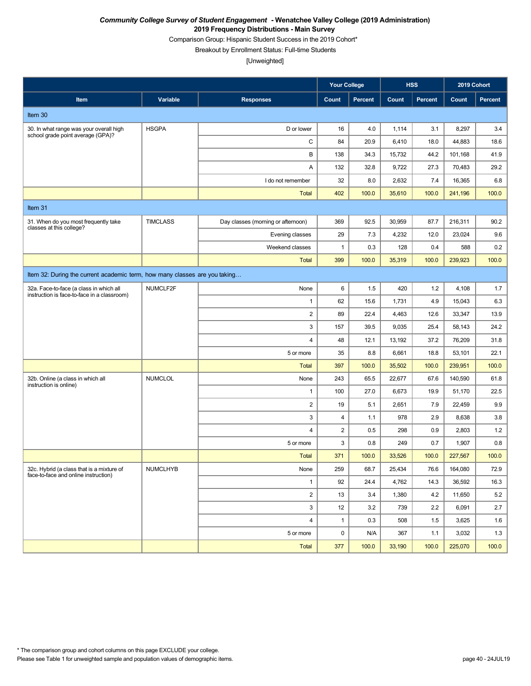Comparison Group: Hispanic Student Success in the 2019 Cohort\*

Breakout by Enrollment Status: Full-time Students

|                                                                                        |                 |                                    | <b>Your College</b> |                | <b>HSS</b> |                | 2019 Cohort |                |
|----------------------------------------------------------------------------------------|-----------------|------------------------------------|---------------------|----------------|------------|----------------|-------------|----------------|
| Item                                                                                   | Variable        | <b>Responses</b>                   | Count               | <b>Percent</b> | Count      | <b>Percent</b> | Count       | <b>Percent</b> |
| Item 30                                                                                |                 |                                    |                     |                |            |                |             |                |
| 30. In what range was your overall high<br>school grade point average (GPA)?           | <b>HSGPA</b>    | D or lower                         | 16                  | 4.0            | 1,114      | 3.1            | 8,297       | 3.4            |
|                                                                                        |                 | C                                  | 84                  | 20.9           | 6,410      | 18.0           | 44,883      | 18.6           |
|                                                                                        |                 | В                                  | 138                 | 34.3           | 15,732     | 44.2           | 101,168     | 41.9           |
|                                                                                        |                 | Α                                  | 132                 | 32.8           | 9,722      | 27.3           | 70,483      | 29.2           |
|                                                                                        |                 | I do not remember                  | 32                  | 8.0            | 2,632      | 7.4            | 16,365      | 6.8            |
|                                                                                        |                 | <b>Total</b>                       | 402                 | 100.0          | 35,610     | 100.0          | 241,196     | 100.0          |
| Item 31                                                                                |                 |                                    |                     |                |            |                |             |                |
| 31. When do you most frequently take<br>classes at this college?                       | <b>TIMCLASS</b> | Day classes (morning or afternoon) | 369                 | 92.5           | 30,959     | 87.7           | 216,311     | 90.2           |
|                                                                                        |                 | Evening classes                    | 29                  | 7.3            | 4,232      | 12.0           | 23,024      | 9.6            |
|                                                                                        |                 | Weekend classes                    | $\mathbf{1}$        | 0.3            | 128        | 0.4            | 588         | 0.2            |
|                                                                                        |                 | <b>Total</b>                       | 399                 | 100.0          | 35,319     | 100.0          | 239,923     | 100.0          |
| Item 32: During the current academic term, how many classes are you taking             |                 |                                    |                     |                |            |                |             |                |
| 32a. Face-to-face (a class in which all<br>instruction is face-to-face in a classroom) | NUMCLF2F        | None                               | 6                   | 1.5            | 420        | 1.2            | 4,108       | 1.7            |
|                                                                                        |                 | $\mathbf{1}$                       | 62                  | 15.6           | 1,731      | 4.9            | 15,043      | 6.3            |
|                                                                                        |                 | $\overline{2}$                     | 89                  | 22.4           | 4,463      | 12.6           | 33,347      | 13.9           |
|                                                                                        |                 | 3                                  | 157                 | 39.5           | 9,035      | 25.4           | 58,143      | 24.2           |
|                                                                                        |                 | 4                                  | 48                  | 12.1           | 13,192     | 37.2           | 76,209      | 31.8           |
|                                                                                        |                 | 5 or more                          | 35                  | 8.8            | 6,661      | 18.8           | 53,101      | 22.1           |
|                                                                                        |                 | <b>Total</b>                       | 397                 | 100.0          | 35,502     | 100.0          | 239,951     | 100.0          |
| 32b. Online (a class in which all<br>instruction is online)                            | <b>NUMCLOL</b>  | None                               | 243                 | 65.5           | 22,677     | 67.6           | 140,590     | 61.8           |
|                                                                                        |                 | $\mathbf{1}$                       | 100                 | 27.0           | 6,673      | 19.9           | 51,170      | 22.5           |
|                                                                                        |                 | $\overline{2}$                     | 19                  | 5.1            | 2,651      | 7.9            | 22,459      | 9.9            |
|                                                                                        |                 | 3                                  | 4                   | 1.1            | 978        | 2.9            | 8,638       | 3.8            |
|                                                                                        |                 | $\overline{4}$                     | $\sqrt{2}$          | 0.5            | 298        | 0.9            | 2,803       | 1.2            |
|                                                                                        |                 | 5 or more                          | 3                   | 0.8            | 249        | 0.7            | 1,907       | 0.8            |
|                                                                                        |                 | <b>Total</b>                       | 371                 | 100.0          | 33,526     | 100.0          | 227,567     | 100.0          |
| 32c. Hybrid (a class that is a mixture of<br>face-to-face and online instruction)      | <b>NUMCLHYB</b> | None                               | 259                 | 68.7           | 25,434     | 76.6           | 164,080     | 72.9           |
|                                                                                        |                 | $\mathbf{1}$                       | 92                  | 24.4           | 4,762      | 14.3           | 36,592      | 16.3           |
|                                                                                        |                 | $\overline{2}$                     | 13                  | 3.4            | 1,380      | 4.2            | 11,650      | 5.2            |
|                                                                                        |                 | 3                                  | 12                  | 3.2            | 739        | 2.2            | 6,091       | 2.7            |
|                                                                                        |                 | 4                                  | $\mathbf{1}$        | 0.3            | 508        | 1.5            | 3,625       | 1.6            |
|                                                                                        |                 | 5 or more                          | $\mathbf 0$         | N/A            | 367        | 1.1            | 3,032       | 1.3            |
|                                                                                        |                 | Total                              | 377                 | 100.0          | 33,190     | 100.0          | 225,070     | 100.0          |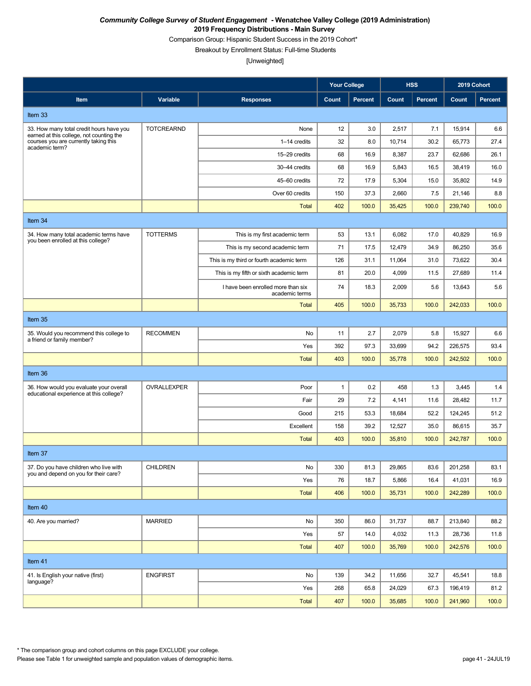Comparison Group: Hispanic Student Success in the 2019 Cohort\*

Breakout by Enrollment Status: Full-time Students

[Unweighted]

|                                                                                                                                                 |                   |                                                      | <b>Your College</b> |                | <b>HSS</b> |                | 2019 Cohort |                |
|-------------------------------------------------------------------------------------------------------------------------------------------------|-------------------|------------------------------------------------------|---------------------|----------------|------------|----------------|-------------|----------------|
| Item                                                                                                                                            | Variable          | <b>Responses</b>                                     | Count               | <b>Percent</b> | Count      | <b>Percent</b> | Count       | <b>Percent</b> |
| Item 33                                                                                                                                         |                   |                                                      |                     |                |            |                |             |                |
| 33. How many total credit hours have you<br>earned at this college, not counting the<br>courses you are currently taking this<br>academic term? | <b>TOTCREARND</b> | None                                                 | 12                  | 3.0            | 2,517      | 7.1            | 15,914      | 6.6            |
|                                                                                                                                                 |                   | 1-14 credits                                         | 32                  | 8.0            | 10,714     | 30.2           | 65,773      | 27.4           |
|                                                                                                                                                 |                   | 15-29 credits                                        | 68                  | 16.9           | 8,387      | 23.7           | 62,686      | 26.1           |
|                                                                                                                                                 |                   | 30-44 credits                                        | 68                  | 16.9           | 5,843      | 16.5           | 38,419      | 16.0           |
|                                                                                                                                                 |                   | 45-60 credits                                        | 72                  | 17.9           | 5,304      | 15.0           | 35,802      | 14.9           |
|                                                                                                                                                 |                   | Over 60 credits                                      | 150                 | 37.3           | 2,660      | 7.5            | 21,146      | 8.8            |
|                                                                                                                                                 |                   | <b>Total</b>                                         | 402                 | 100.0          | 35,425     | 100.0          | 239,740     | 100.0          |
| Item 34                                                                                                                                         |                   |                                                      |                     |                |            |                |             |                |
| 34. How many total academic terms have<br>you been enrolled at this college?                                                                    | <b>TOTTERMS</b>   | This is my first academic term                       | 53                  | 13.1           | 6,082      | 17.0           | 40,829      | 16.9           |
|                                                                                                                                                 |                   | This is my second academic term                      | 71                  | 17.5           | 12,479     | 34.9           | 86,250      | 35.6           |
|                                                                                                                                                 |                   | This is my third or fourth academic term             | 126                 | 31.1           | 11,064     | 31.0           | 73,622      | 30.4           |
|                                                                                                                                                 |                   | This is my fifth or sixth academic term              | 81                  | 20.0           | 4,099      | 11.5           | 27,689      | 11.4           |
|                                                                                                                                                 |                   | I have been enrolled more than six<br>academic terms | 74                  | 18.3           | 2,009      | 5.6            | 13,643      | 5.6            |
|                                                                                                                                                 |                   | <b>Total</b>                                         | 405                 | 100.0          | 35,733     | 100.0          | 242,033     | 100.0          |
| Item 35                                                                                                                                         |                   |                                                      |                     |                |            |                |             |                |
| 35. Would you recommend this college to<br>a friend or family member?                                                                           | <b>RECOMMEN</b>   | No                                                   | 11                  | 2.7            | 2,079      | 5.8            | 15,927      | 6.6            |
|                                                                                                                                                 |                   | Yes                                                  | 392                 | 97.3           | 33,699     | 94.2           | 226,575     | 93.4           |
|                                                                                                                                                 |                   | <b>Total</b>                                         | 403                 | 100.0          | 35,778     | 100.0          | 242,502     | 100.0          |
| Item 36                                                                                                                                         |                   |                                                      |                     |                |            |                |             |                |
| 36. How would you evaluate your overall<br>educational experience at this college?                                                              | OVRALLEXPER       | Poor                                                 | $\mathbf{1}$        | 0.2            | 458        | 1.3            | 3,445       | 1.4            |
|                                                                                                                                                 |                   | Fair                                                 | 29                  | 7.2            | 4,141      | 11.6           | 28,482      | 11.7           |
|                                                                                                                                                 |                   | Good                                                 | 215                 | 53.3           | 18,684     | 52.2           | 124,245     | 51.2           |
|                                                                                                                                                 |                   | Excellent                                            | 158                 | 39.2           | 12,527     | 35.0           | 86,615      | 35.7           |
|                                                                                                                                                 |                   | <b>Total</b>                                         | 403                 | 100.0          | 35,810     | 100.0          | 242,787     | 100.0          |
| Item 37                                                                                                                                         |                   |                                                      |                     |                |            |                |             |                |
| 37. Do you have children who live with<br>you and depend on you for their care?                                                                 | CHILDREN          | No                                                   | 330                 | 81.3           | 29,865     | 83.6           | 201,258     | 83.1           |
|                                                                                                                                                 |                   | Yes                                                  | 76                  | 18.7           | 5,866      | 16.4           | 41,031      | 16.9           |
|                                                                                                                                                 |                   | <b>Total</b>                                         | 406                 | 100.0          | 35,731     | 100.0          | 242,289     | 100.0          |
| Item 40                                                                                                                                         |                   |                                                      |                     |                |            |                |             |                |
| 40. Are you married?                                                                                                                            | <b>MARRIED</b>    | No                                                   | 350                 | 86.0           | 31,737     | 88.7           | 213,840     | 88.2           |
|                                                                                                                                                 |                   | Yes                                                  | 57                  | 14.0           | 4,032      | 11.3           | 28,736      | 11.8           |
|                                                                                                                                                 |                   | <b>Total</b>                                         | 407                 | 100.0          | 35,769     | 100.0          | 242,576     | 100.0          |
| Item 41                                                                                                                                         |                   |                                                      |                     |                |            |                |             |                |
| 41. Is English your native (first)                                                                                                              | <b>ENGFIRST</b>   | No                                                   | 139                 | 34.2           | 11,656     | 32.7           | 45,541      | 18.8           |
| language?                                                                                                                                       |                   | Yes                                                  | 268                 | 65.8           | 24,029     | 67.3           | 196,419     | 81.2           |
|                                                                                                                                                 |                   | Total                                                | 407                 | 100.0          | 35,685     | 100.0          | 241,960     | 100.0          |

Please see Table 1 for unweighted sample and population values of demographic items. page 41 - 24JUL19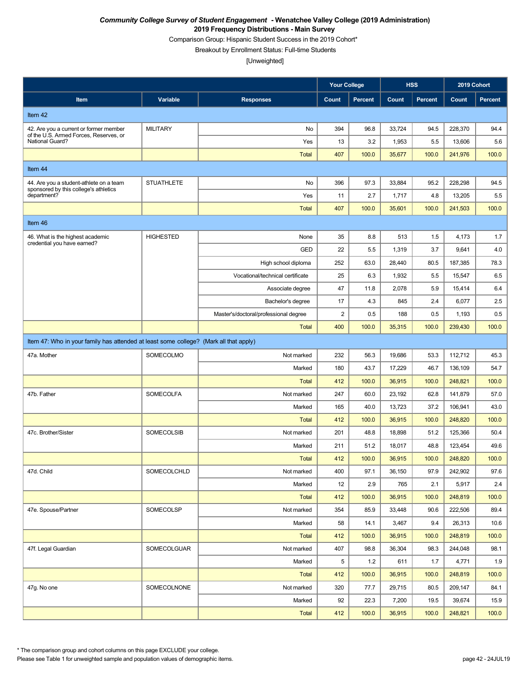Comparison Group: Hispanic Student Success in the 2019 Cohort\*

Breakout by Enrollment Status: Full-time Students

[Unweighted]

|                                                                                       |                   |                                       | <b>Your College</b> |                | <b>HSS</b>      |                | 2019 Cohort       |                |
|---------------------------------------------------------------------------------------|-------------------|---------------------------------------|---------------------|----------------|-----------------|----------------|-------------------|----------------|
| Item                                                                                  | Variable          | <b>Responses</b>                      | Count               | <b>Percent</b> | Count           | <b>Percent</b> | Count             | <b>Percent</b> |
| Item 42                                                                               |                   |                                       |                     |                |                 |                |                   |                |
| 42. Are you a current or former member                                                | <b>MILITARY</b>   | No                                    | 394                 | 96.8           | 33,724          | 94.5           | 228,370           | 94.4           |
| of the U.S. Armed Forces, Reserves, or<br>National Guard?                             |                   | Yes                                   | 13                  | 3.2            | 1,953           | 5.5            | 13,606            | 5.6            |
|                                                                                       |                   | Total                                 | 407                 | 100.0          | 35,677          | 100.0          | 241,976           | 100.0          |
| Item 44                                                                               |                   |                                       |                     |                |                 |                |                   |                |
| 44. Are you a student-athlete on a team                                               | <b>STUATHLETE</b> | No                                    | 396                 | 97.3           | 33,884          | 95.2           | 228,298           | 94.5           |
| sponsored by this college's athletics<br>department?                                  |                   | Yes                                   | 11                  | 2.7            | 1,717           | 4.8            | 13,205            | 5.5            |
|                                                                                       |                   | <b>Total</b>                          | 407                 | 100.0          | 35,601          | 100.0          | 241,503           | 100.0          |
| Item 46                                                                               |                   |                                       |                     |                |                 |                |                   |                |
| 46. What is the highest academic                                                      | <b>HIGHESTED</b>  | None                                  | 35                  | 8.8            | 513             | 1.5            | 4,173             | 1.7            |
| credential you have earned?                                                           |                   | <b>GED</b>                            | 22                  | 5.5            | 1,319           | 3.7            | 9,641             | 4.0            |
|                                                                                       |                   | High school diploma                   | 252                 | 63.0           | 28,440          | 80.5           | 187,385           | 78.3           |
|                                                                                       |                   | Vocational/technical certificate      | 25                  | 6.3            | 1,932           | 5.5            | 15,547            | 6.5            |
|                                                                                       |                   | Associate degree                      | 47                  | 11.8           | 2,078           | 5.9            | 15,414            | 6.4            |
|                                                                                       |                   | Bachelor's degree                     | 17                  | 4.3            | 845             | 2.4            | 6,077             | 2.5            |
|                                                                                       |                   | Master's/doctoral/professional degree | 2                   | 0.5            | 188             | 0.5            | 1,193             | 0.5            |
|                                                                                       |                   | <b>Total</b>                          | 400                 | 100.0          | 35,315          | 100.0          | 239,430           | 100.0          |
| Item 47: Who in your family has attended at least some college? (Mark all that apply) |                   |                                       |                     |                |                 |                |                   |                |
| 47a. Mother                                                                           | SOMECOLMO         | Not marked                            | 232                 | 56.3           | 19,686          | 53.3           | 112,712           | 45.3           |
|                                                                                       |                   | Marked                                | 180                 | 43.7           | 17,229          | 46.7           | 136,109           | 54.7           |
|                                                                                       |                   | <b>Total</b>                          | 412                 | 100.0          | 36,915          | 100.0          | 248,821           | 100.0          |
| 47b. Father                                                                           | <b>SOMECOLFA</b>  | Not marked                            | 247                 | 60.0           | 23,192          | 62.8           | 141,879           | 57.0           |
|                                                                                       |                   | Marked                                | 165                 | 40.0           | 13,723          | 37.2           | 106,941           | 43.0           |
|                                                                                       |                   | <b>Total</b>                          | 412                 | 100.0          | 36,915          | 100.0          | 248,820           | 100.0          |
| 47c. Brother/Sister                                                                   | <b>SOMECOLSIB</b> | Not marked                            | 201                 | 48.8           | 18,898          | 51.2           | 125,366           | 50.4           |
|                                                                                       |                   | Marked                                | 211                 | 51.2           | 18,017          | 48.8           | 123,454           | 49.6           |
|                                                                                       |                   | <b>Total</b>                          | 412                 | 100.0          | 36,915          | 100.0          | 248,820           | 100.0          |
| 47d. Child                                                                            | SOMECOLCHLD       | Not marked                            | 400                 | 97.1           | 36,150          | 97.9           | 242,902           | 97.6           |
|                                                                                       |                   | Marked                                | 12                  | 2.9            | 765             | 2.1            | 5,917             | 2.4            |
|                                                                                       |                   | <b>Total</b>                          | 412                 | 100.0          | 36,915          | 100.0          | 248,819           | 100.0          |
| 47e. Spouse/Partner                                                                   | SOMECOLSP         | Not marked                            | 354                 | 85.9           | 33,448          | 90.6           | 222,506           | 89.4           |
|                                                                                       |                   | Marked                                | 58                  | 14.1           | 3,467           | 9.4            | 26,313            | 10.6           |
|                                                                                       |                   | <b>Total</b>                          | 412                 | 100.0          | 36,915          | 100.0          | 248,819           | 100.0          |
| 47f. Legal Guardian                                                                   | SOMECOLGUAR       | Not marked                            | 407                 | 98.8           | 36,304          | 98.3           | 244,048           | 98.1           |
|                                                                                       |                   | Marked                                | 5                   | 1.2            | 611             | 1.7            | 4,771             | 1.9            |
|                                                                                       | SOMECOLNONE       | <b>Total</b><br>Not marked            | 412                 | 100.0          | 36,915          | 100.0          | 248,819           | 100.0          |
| 47g. No one                                                                           |                   | Marked                                | 320<br>92           | 77.7<br>22.3   | 29,715          | 80.5<br>19.5   | 209,147           | 84.1<br>15.9   |
|                                                                                       |                   | Total                                 | 412                 | 100.0          | 7,200<br>36,915 | 100.0          | 39,674<br>248,821 | 100.0          |
|                                                                                       |                   |                                       |                     |                |                 |                |                   |                |

\* The comparison group and cohort columns on this page EXCLUDE your college.

Please see Table 1 for unweighted sample and population values of demographic items. page 42 - 24JUL19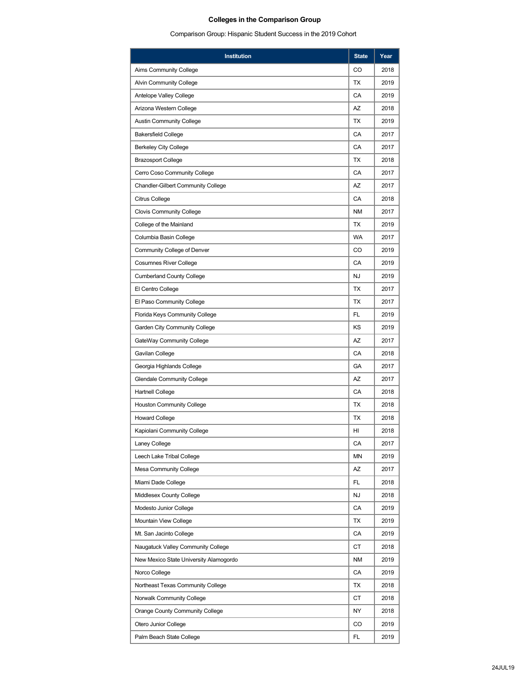# **Colleges in the Comparison Group**

Comparison Group: Hispanic Student Success in the 2019 Cohort

| <b>Institution</b>                        | <b>State</b> | Year |
|-------------------------------------------|--------------|------|
| Aims Community College                    | CO           | 2018 |
| <b>Alvin Community College</b>            | TX           | 2019 |
| Antelope Valley College                   | CA           | 2019 |
| Arizona Western College                   | AZ           | 2018 |
| <b>Austin Community College</b>           | TX           | 2019 |
| <b>Bakersfield College</b>                | CA           | 2017 |
| <b>Berkeley City College</b>              | CA           | 2017 |
| <b>Brazosport College</b>                 | ТX           | 2018 |
| Cerro Coso Community College              | CA           | 2017 |
| <b>Chandler-Gilbert Community College</b> | AZ           | 2017 |
| Citrus College                            | CA           | 2018 |
| <b>Clovis Community College</b>           | ΝM           | 2017 |
| College of the Mainland                   | TX           | 2019 |
| Columbia Basin College                    | <b>WA</b>    | 2017 |
| Community College of Denver               | CO           | 2019 |
| <b>Cosumnes River College</b>             | CA           | 2019 |
| <b>Cumberland County College</b>          | NJ           | 2019 |
| El Centro College                         | TX           | 2017 |
| El Paso Community College                 | TX           | 2017 |
| Florida Keys Community College            | FL           | 2019 |
| Garden City Community College             | <b>KS</b>    | 2019 |
| GateWay Community College                 | AZ           | 2017 |
| Gavilan College                           | CA           | 2018 |
| Georgia Highlands College                 | GA           | 2017 |
| <b>Glendale Community College</b>         | AZ           | 2017 |
| <b>Hartnell College</b>                   | CA           | 2018 |
| <b>Houston Community College</b>          | ТX           | 2018 |
| <b>Howard College</b>                     | TX           | 2018 |
| Kapiolani Community College               | HI           | 2018 |
| Laney College                             | CA           | 2017 |
| Leech Lake Tribal College                 | ΜN           | 2019 |
| Mesa Community College                    | AZ           | 2017 |
| Miami Dade College                        | FL           | 2018 |
| Middlesex County College                  | <b>NJ</b>    | 2018 |
| Modesto Junior College                    | CA           | 2019 |
| Mountain View College                     | ТX           | 2019 |
| Mt. San Jacinto College                   | CA           | 2019 |
| Naugatuck Valley Community College        | СT           | 2018 |
| New Mexico State University Alamogordo    | ΝM           | 2019 |
| Norco College                             | CA           | 2019 |
| Northeast Texas Community College         | ТX           | 2018 |
| Norwalk Community College                 | СT           | 2018 |
| Orange County Community College           | NY           | 2018 |
| Otero Junior College                      | CO           | 2019 |
| Palm Beach State College                  | FL           | 2019 |